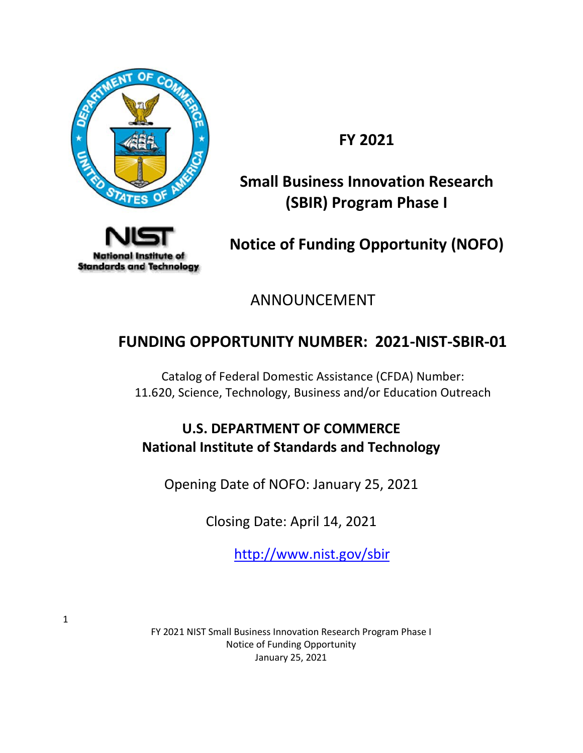

**FY 2021**

# **Small Business Innovation Research (SBIR) Program Phase I**



**Notice of Funding Opportunity (NOFO)**

ANNOUNCEMENT

# **FUNDING OPPORTUNITY NUMBER: 2021-NIST-SBIR-01**

Catalog of Federal Domestic Assistance (CFDA) Number: 11.620, Science, Technology, Business and/or Education Outreach

# **U.S. DEPARTMENT OF COMMERCE National Institute of Standards and Technology**

Opening Date of NOFO: January 25, 2021

Closing Date: April 14, 2021

<http://www.nist.gov/sbir>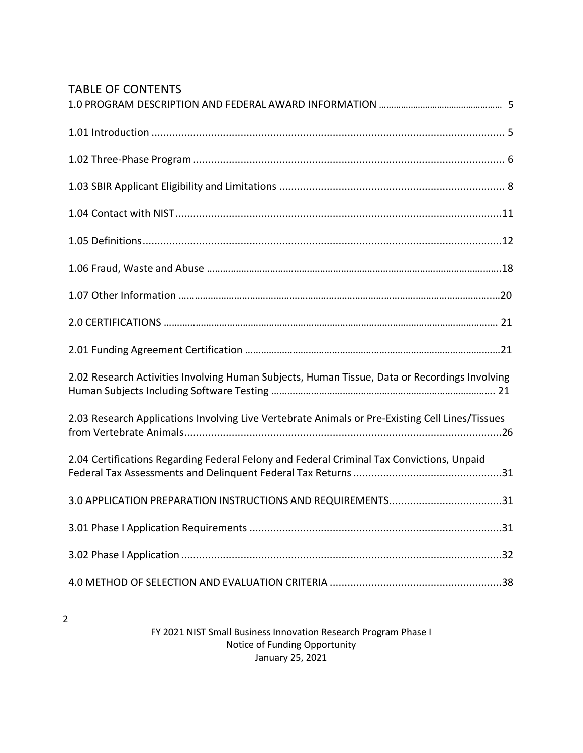# TABLE OF CONTENTS

2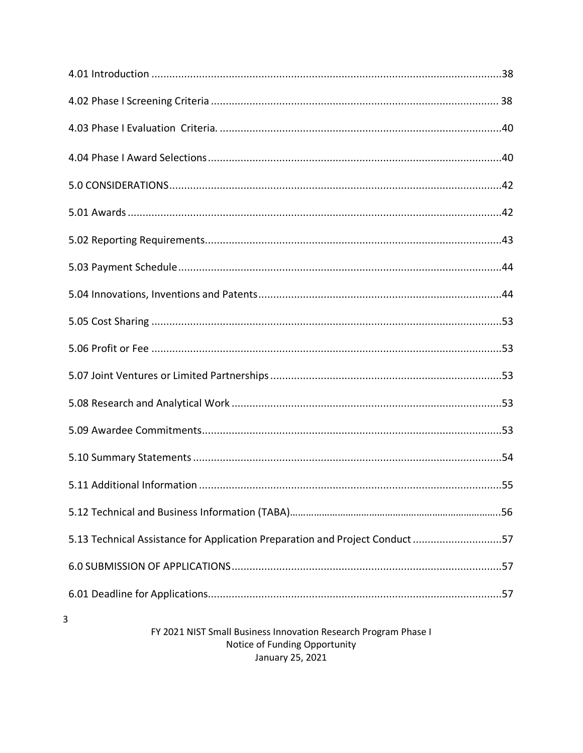| 57.13 Technical Assistance for Application Preparation and Project Conduct57 |  |
|------------------------------------------------------------------------------|--|
|                                                                              |  |
|                                                                              |  |
| 3                                                                            |  |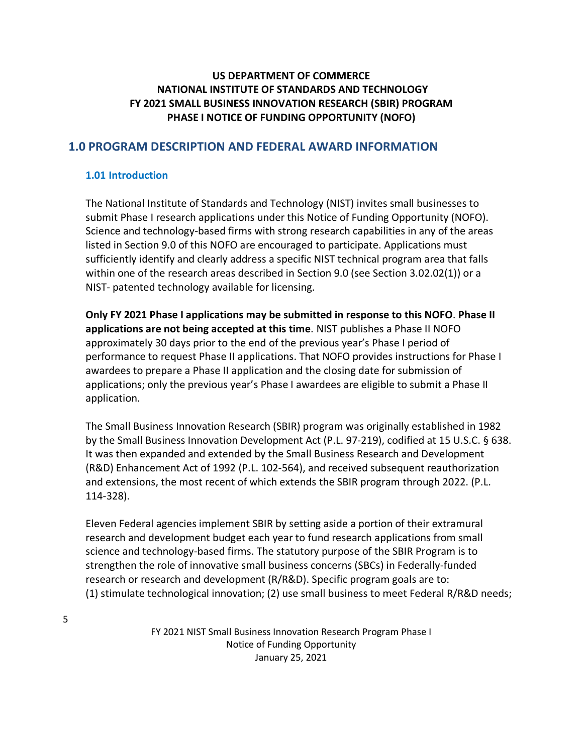# **US DEPARTMENT OF COMMERCE NATIONAL INSTITUTE OF STANDARDS AND TECHNOLOGY FY 2021 SMALL BUSINESS INNOVATION RESEARCH (SBIR) PROGRAM PHASE I NOTICE OF FUNDING OPPORTUNITY (NOFO)**

## <span id="page-4-0"></span>**1.0 PROGRAM DESCRIPTION AND FEDERAL AWARD INFORMATION**

#### <span id="page-4-1"></span>**1.01 Introduction**

The National Institute of Standards and Technology (NIST) invites small businesses to submit Phase I research applications under this Notice of Funding Opportunity (NOFO). Science and technology-based firms with strong research capabilities in any of the areas listed in Section 9.0 of this NOFO are encouraged to participate. Applications must sufficiently identify and clearly address a specific NIST technical program area that falls within one of the research areas described in Section 9.0 (see Section 3.02.02(1)) or a NIST- patented technology available for licensing.

**Only FY 2021 Phase I applications may be submitted in response to this NOFO**. **Phase II applications are not being accepted at this time**. NIST publishes a Phase II NOFO approximately 30 days prior to the end of the previous year's Phase I period of performance to request Phase II applications. That NOFO provides instructions for Phase I awardees to prepare a Phase II application and the closing date for submission of applications; only the previous year's Phase I awardees are eligible to submit a Phase II application.

The Small Business Innovation Research (SBIR) program was originally established in 1982 by the Small Business Innovation Development Act (P.L. 97-219), codified at 15 U.S.C. § 638. It was then expanded and extended by the Small Business Research and Development (R&D) Enhancement Act of 1992 (P.L. 102-564), and received subsequent reauthorization and extensions, the most recent of which extends the SBIR program through 2022. (P.L. 114-328).

Eleven Federal agencies implement SBIR by setting aside a portion of their extramural research and development budget each year to fund research applications from small science and technology-based firms. The statutory purpose of the SBIR Program is to strengthen the role of innovative small business concerns (SBCs) in Federally-funded research or research and development (R/R&D). Specific program goals are to: (1) stimulate technological innovation; (2) use small business to meet Federal R/R&D needs;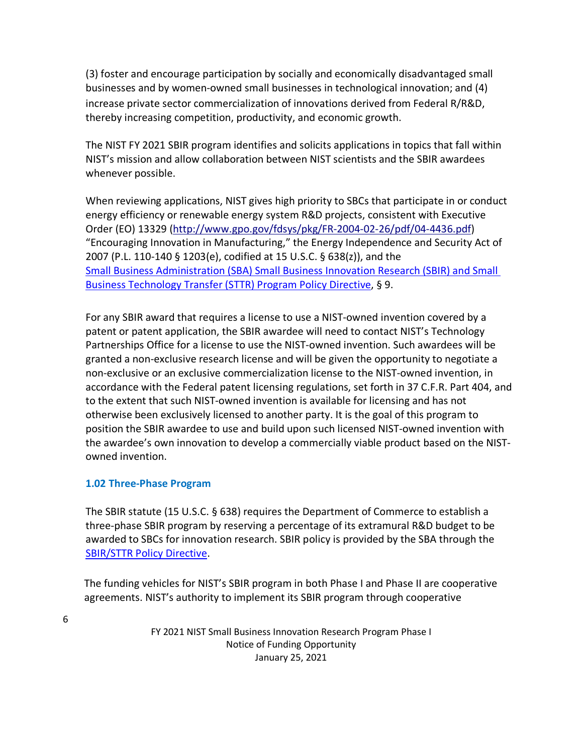(3) foster and encourage participation by socially and economically disadvantaged small businesses and by women-owned small businesses in technological innovation; and (4) increase private sector commercialization of innovations derived from Federal R/R&D, thereby increasing competition, productivity, and economic growth.

The NIST FY 2021 SBIR program identifies and solicits applications in topics that fall within NIST's mission and allow collaboration between NIST scientists and the SBIR awardees whenever possible.

When reviewing applications, NIST gives high priority to SBCs that participate in or conduct energy efficiency or renewable energy system R&D projects, consistent with Executive Order (EO) 13329 [\(http://www.gpo.gov/fdsys/pkg/FR-2004-02-26/pdf/04-4436.pdf\)](http://www.gpo.gov/fdsys/pkg/FR-2004-02-26/pdf/04-4436.pdf) "Encouraging Innovation in Manufacturing," the Energy Independence and Security Act of 2007 (P.L. 110-140 § 1203(e), codified at 15 U.S.C. § 638(z)), and the [Small Business Administration \(SBA\) Small Business Innovation Research \(SBIR\) and Small](https://www.sbir.gov/sites/default/files/SBA_SBIR_STTR_POLICY_DIRECTIVE_OCT_2020_0.pdf)  [Business Technology Transfer \(STTR\) Program Policy Directive,](https://www.sbir.gov/sites/default/files/SBA_SBIR_STTR_POLICY_DIRECTIVE_OCT_2020_0.pdf) § 9.

For any SBIR award that requires a license to use a NIST-owned invention covered by a patent or patent application, the SBIR awardee will need to contact NIST's Technology Partnerships Office for a license to use the NIST-owned invention. Such awardees will be granted a non-exclusive research license and will be given the opportunity to negotiate a non-exclusive or an exclusive commercialization license to the NIST-owned invention, in accordance with the Federal patent licensing regulations, set forth in 37 C.F.R. Part 404, and to the extent that such NIST-owned invention is available for licensing and has not otherwise been exclusively licensed to another party. It is the goal of this program to position the SBIR awardee to use and build upon such licensed NIST-owned invention with the awardee's own innovation to develop a commercially viable product based on the NISTowned invention.

## <span id="page-5-0"></span>**1.02 Three-Phase Program**

The SBIR statute (15 U.S.C. § 638) requires the Department of Commerce to establish a three-phase SBIR program by reserving a percentage of its extramural R&D budget to be awarded to SBCs for innovation research. SBIR policy is provided by the SBA through the [SBIR/STTR Policy Directive.](https://www.sbir.gov/sites/default/files/SBA_SBIR_STTR_POLICY_DIRECTIVE_OCT_2020_0.pdf)

The funding vehicles for NIST's SBIR program in both Phase I and Phase II are cooperative agreements. NIST's authority to implement its SBIR program through cooperative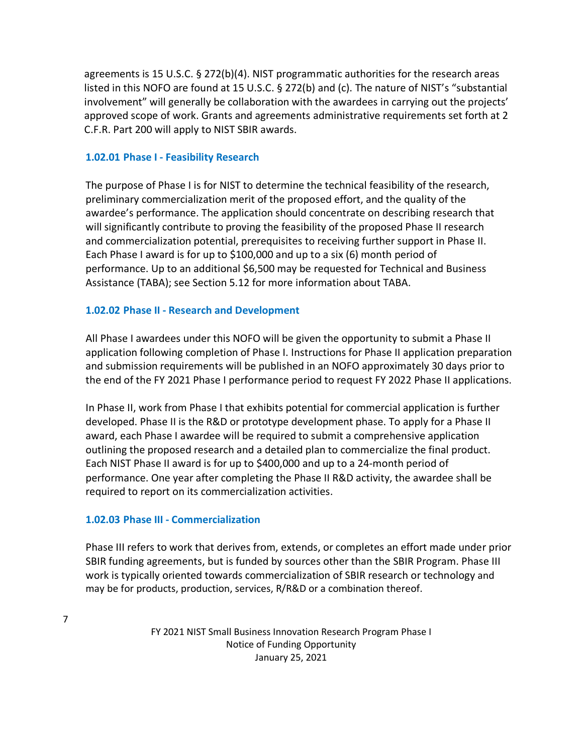agreements is 15 U.S.C. § 272(b)(4). NIST programmatic authorities for the research areas listed in this NOFO are found at 15 U.S.C. § 272(b) and (c). The nature of NIST's "substantial involvement" will generally be collaboration with the awardees in carrying out the projects' approved scope of work. Grants and agreements administrative requirements set forth at 2 C.F.R. Part 200 will apply to NIST SBIR awards.

#### **1.02.01 Phase I - Feasibility Research**

The purpose of Phase I is for NIST to determine the technical feasibility of the research, preliminary commercialization merit of the proposed effort, and the quality of the awardee's performance. The application should concentrate on describing research that will significantly contribute to proving the feasibility of the proposed Phase II research and commercialization potential, prerequisites to receiving further support in Phase II. Each Phase I award is for up to \$100,000 and up to a six (6) month period of performance. Up to an additional \$6,500 may be requested for Technical and Business Assistance (TABA); see Section 5.12 for more information about TABA.

## **1.02.02 Phase II - Research and Development**

All Phase I awardees under this NOFO will be given the opportunity to submit a Phase II application following completion of Phase I. Instructions for Phase II application preparation and submission requirements will be published in an NOFO approximately 30 days prior to the end of the FY 2021 Phase I performance period to request FY 2022 Phase II applications.

In Phase II, work from Phase I that exhibits potential for commercial application is further developed. Phase II is the R&D or prototype development phase. To apply for a Phase II award, each Phase I awardee will be required to submit a comprehensive application outlining the proposed research and a detailed plan to commercialize the final product. Each NIST Phase II award is for up to \$400,000 and up to a 24-month period of performance. One year after completing the Phase II R&D activity, the awardee shall be required to report on its commercialization activities.

## **1.02.03 Phase III - Commercialization**

Phase III refers to work that derives from, extends, or completes an effort made under prior SBIR funding agreements, but is funded by sources other than the SBIR Program. Phase III work is typically oriented towards commercialization of SBIR research or technology and may be for products, production, services, R/R&D or a combination thereof.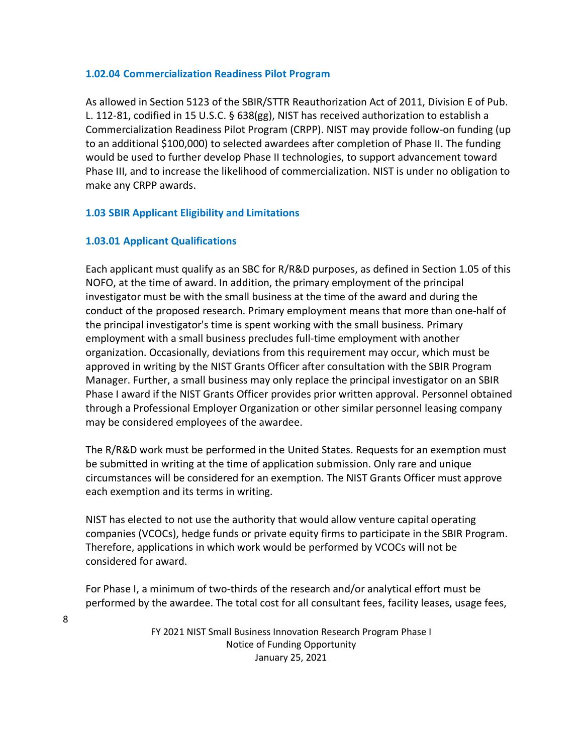#### **1.02.04 Commercialization Readiness Pilot Program**

As allowed in Section 5123 of the SBIR/STTR Reauthorization Act of 2011, Division E of Pub. L. 112-81, codified in 15 U.S.C. § 638(gg), NIST has received authorization to establish a Commercialization Readiness Pilot Program (CRPP). NIST may provide follow-on funding (up to an additional \$100,000) to selected awardees after completion of Phase II. The funding would be used to further develop Phase II technologies, to support advancement toward Phase III, and to increase the likelihood of commercialization. NIST is under no obligation to make any CRPP awards.

## <span id="page-7-0"></span>**1.03 SBIR Applicant Eligibility and Limitations**

## **1.03.01 Applicant Qualifications**

Each applicant must qualify as an SBC for R/R&D purposes, as defined in Section 1.05 of this NOFO, at the time of award. In addition, the primary employment of the principal investigator must be with the small business at the time of the award and during the conduct of the proposed research. Primary employment means that more than one-half of the principal investigator's time is spent working with the small business. Primary employment with a small business precludes full-time employment with another organization. Occasionally, deviations from this requirement may occur, which must be approved in writing by the NIST Grants Officer after consultation with the SBIR Program Manager. Further, a small business may only replace the principal investigator on an SBIR Phase I award if the NIST Grants Officer provides prior written approval. Personnel obtained through a Professional Employer Organization or other similar personnel leasing company may be considered employees of the awardee.

The R/R&D work must be performed in the United States. Requests for an exemption must be submitted in writing at the time of application submission. Only rare and unique circumstances will be considered for an exemption. The NIST Grants Officer must approve each exemption and its terms in writing.

NIST has elected to not use the authority that would allow venture capital operating companies (VCOCs), hedge funds or private equity firms to participate in the SBIR Program. Therefore, applications in which work would be performed by VCOCs will not be considered for award.

For Phase I, a minimum of two-thirds of the research and/or analytical effort must be performed by the awardee. The total cost for all consultant fees, facility leases, usage fees,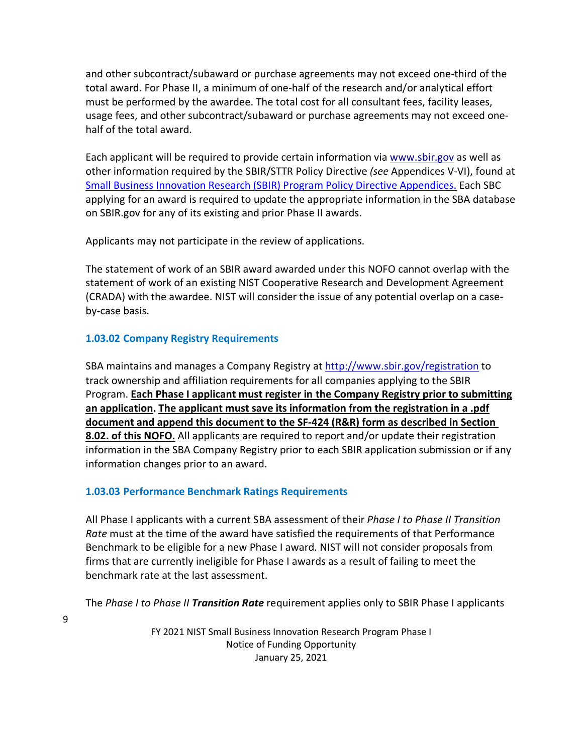and other subcontract/subaward or purchase agreements may not exceed one-third of the total award. For Phase II, a minimum of one-half of the research and/or analytical effort must be performed by the awardee. The total cost for all consultant fees, facility leases, usage fees, and other subcontract/subaward or purchase agreements may not exceed onehalf of the total award.

Each applicant will be required to provide certain information via [www.sbir.gov](http://www.sbir.gov/) as well as other information required by the SBIR/STTR Policy Directive *(see* Appendices V-VI), found at [Small Business Innovation Research \(SBIR\) Program Policy Directive Appendices.](https://www.sbir.gov/sites/default/files/SBIR_Appendices.pdf) Each SBC applying for an award is required to update the appropriate information in the SBA database on SBIR.gov for any of its existing and prior Phase II awards.

Applicants may not participate in the review of applications.

The statement of work of an SBIR award awarded under this NOFO cannot overlap with the statement of work of an existing NIST Cooperative Research and Development Agreement (CRADA) with the awardee. NIST will consider the issue of any potential overlap on a caseby-case basis.

# **1.03.02 Company Registry Requirements**

SBA maintains and manages a Company Registry at<http://www.sbir.gov/registration> to track ownership and affiliation requirements for all companies applying to the SBIR Program. **Each Phase I applicant must register in the Company Registry prior to submitting an application. The applicant must save its information from the registration in a .pdf document and append this document to the SF-424 (R&R) form as described in Section 8.02. of this NOFO.** All applicants are required to report and/or update their registration information in the SBA Company Registry prior to each SBIR application submission or if any information changes prior to an award.

# **1.03.03 Performance Benchmark Ratings Requirements**

All Phase I applicants with a current SBA assessment of their *Phase I to Phase II Transition Rate* must at the time of the award have satisfied the requirements of that Performance Benchmark to be eligible for a new Phase I award. NIST will not consider proposals from firms that are currently ineligible for Phase I awards as a result of failing to meet the benchmark rate at the last assessment.

The *Phase I to Phase II Transition Rate* requirement applies only to SBIR Phase I applicants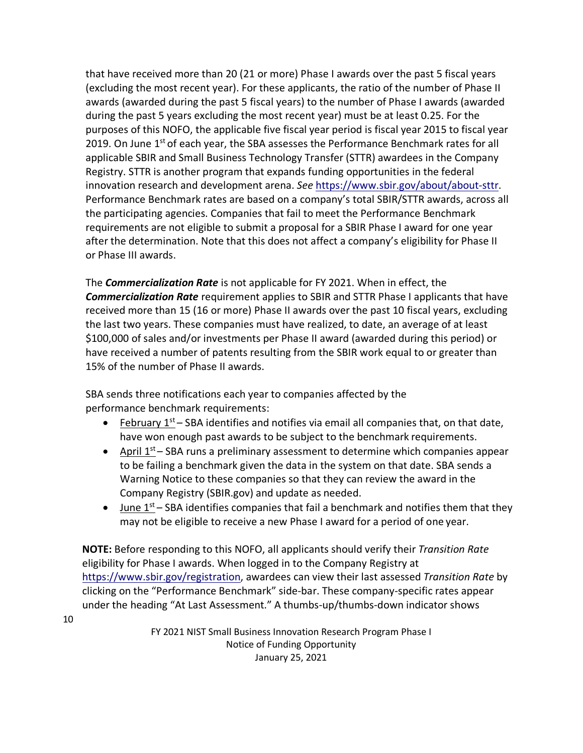that have received more than 20 (21 or more) Phase I awards over the past 5 fiscal years (excluding the most recent year). For these applicants, the ratio of the number of Phase II awards (awarded during the past 5 fiscal years) to the number of Phase I awards (awarded during the past 5 years excluding the most recent year) must be at least 0.25. For the purposes of this NOFO, the applicable five fiscal year period is fiscal year 2015 to fiscal year 2019. On June  $1<sup>st</sup>$  of each year, the SBA assesses the Performance Benchmark rates for all applicable SBIR and Small Business Technology Transfer (STTR) awardees in the Company Registry. STTR is another program that expands funding opportunities in the federal innovation research and development arena. *See* [https://www.sbir.gov/about/about-sttr.](https://www.sbir.gov/about/about-sttr) Performance Benchmark rates are based on a company's total SBIR/STTR awards, across all the participating agencies. Companies that fail to meet the Performance Benchmark requirements are not eligible to submit a proposal for a SBIR Phase I award for one year after the determination. Note that this does not affect a company's eligibility for Phase II or Phase III awards.

The *Commercialization Rate* is not applicable for FY 2021. When in effect, the *Commercialization Rate* requirement applies to SBIR and STTR Phase I applicants that have received more than 15 (16 or more) Phase II awards over the past 10 fiscal years, excluding the last two years. These companies must have realized, to date, an average of at least \$100,000 of sales and/or investments per Phase II award (awarded during this period) or have received a number of patents resulting from the SBIR work equal to or greater than 15% of the number of Phase II awards.

SBA sends three notifications each year to companies affected by the performance benchmark requirements:

10

- February  $1<sup>st</sup>$  SBA identifies and notifies via email all companies that, on that date, have won enough past awards to be subject to the benchmark requirements.
- April  $1^{st}$  SBA runs a preliminary assessment to determine which companies appear to be failing a benchmark given the data in the system on that date. SBA sends a Warning Notice to these companies so that they can review the award in the Company Registry (SBIR.gov) and update as needed.
- June  $1^{st}$  SBA identifies companies that fail a benchmark and notifies them that they may not be eligible to receive a new Phase I award for a period of one year.

**NOTE:** Before responding to this NOFO, all applicants should verify their *Transition Rate*  eligibility for Phase I awards. When logged in to the Company Registry at [https://www.sbir.gov/registration,](https://www.sbir.gov/registration) awardees can view their last assessed *Transition Rate* by clicking on the "Performance Benchmark" side-bar. These company-specific rates appear under the heading "At Last Assessment." A thumbs-up/thumbs-down indicator shows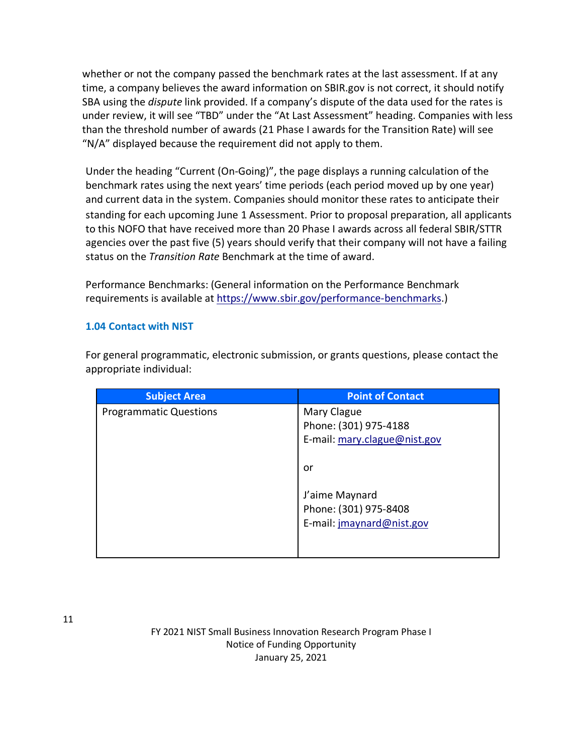whether or not the company passed the benchmark rates at the last assessment. If at any time, a company believes the award information on SBIR.gov is not correct, it should notify SBA using the *dispute* link provided. If a company's dispute of the data used for the rates is under review, it will see "TBD" under the "At Last Assessment" heading. Companies with less than the threshold number of awards (21 Phase I awards for the Transition Rate) will see "N/A" displayed because the requirement did not apply to them.

Under the heading "Current (On-Going)", the page displays a running calculation of the benchmark rates using the next years' time periods (each period moved up by one year) and current data in the system. Companies should monitor these rates to anticipate their standing for each upcoming June 1 Assessment. Prior to proposal preparation, all applicants to this NOFO that have received more than 20 Phase I awards across all federal SBIR/STTR agencies over the past five (5) years should verify that their company will not have a failing status on the *Transition Rate* Benchmark at the time of award.

Performance Benchmarks: (General information on the Performance Benchmark requirements is available a[t https://www.sbir.gov/performance-benchmarks.](https://www.sbir.gov/performance-benchmarks))

## <span id="page-10-0"></span>**1.04 Contact with NIST**

For general programmatic, electronic submission, or grants questions, please contact the appropriate individual:

| <b>Subject Area</b>           | <b>Point of Contact</b>                                              |
|-------------------------------|----------------------------------------------------------------------|
| <b>Programmatic Questions</b> | Mary Clague<br>Phone: (301) 975-4188<br>E-mail: mary.clague@nist.gov |
|                               | or                                                                   |
|                               | J'aime Maynard<br>Phone: (301) 975-8408<br>E-mail: jmaynard@nist.gov |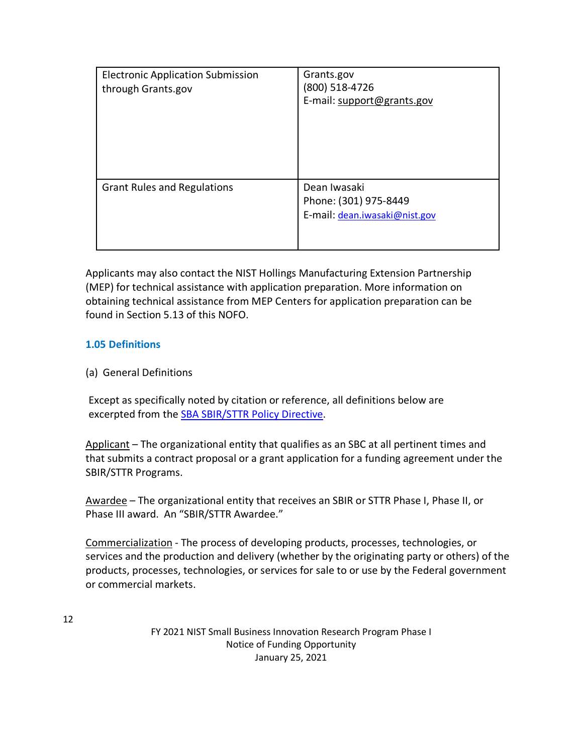| <b>Electronic Application Submission</b><br>through Grants.gov | Grants.gov<br>(800) 518-4726<br>E-mail: support@grants.gov             |
|----------------------------------------------------------------|------------------------------------------------------------------------|
| <b>Grant Rules and Regulations</b>                             | Dean Iwasaki<br>Phone: (301) 975-8449<br>E-mail: dean.iwasaki@nist.gov |

Applicants may also contact the NIST Hollings Manufacturing Extension Partnership (MEP) for technical assistance with application preparation. More information on obtaining technical assistance from MEP Centers for application preparation can be found in Section 5.13 of this NOFO.

# **1.05 Definitions**

(a) General Definitions

Except as specifically noted by citation or reference, all definitions below are excerpted from the [SBA SBIR/STTR Policy Directive.](https://www.sbir.gov/sites/default/files/SBA_SBIR_STTR_POLICY_DIRECTIVE_OCT_2020_0.pdf)

Applicant – The organizational entity that qualifies as an SBC at all pertinent times and that submits a contract proposal or a grant application for a funding agreement under the SBIR/STTR Programs.

Awardee – The organizational entity that receives an SBIR or STTR Phase I, Phase II, or Phase III award. An "SBIR/STTR Awardee."

Commercialization - The process of developing products, processes, technologies, or services and the production and delivery (whether by the originating party or others) of the products, processes, technologies, or services for sale to or use by the Federal government or commercial markets.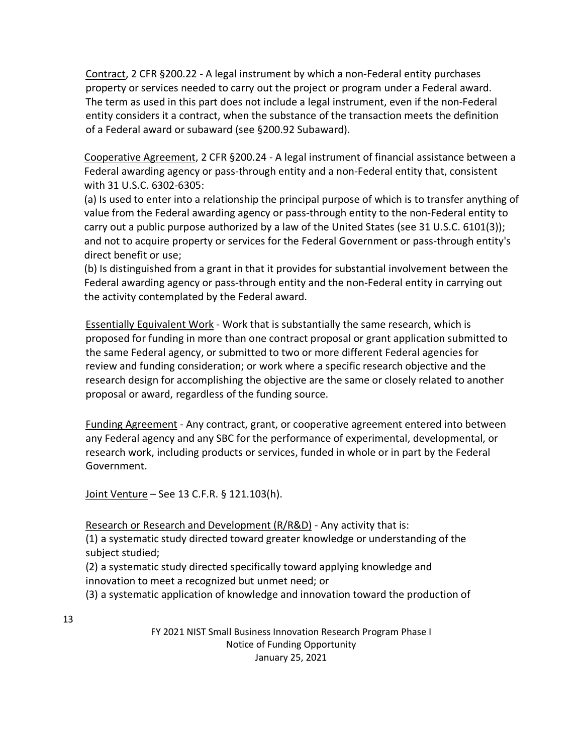Contract, 2 CFR §200.22 - A legal instrument by which a non-Federal entity purchases property or services needed to carry out the project or program under a Federal award. The term as used in this part does not include a legal instrument, even if the non-Federal entity considers it a contract, when the substance of the transaction meets the definition of a Federal award or subaward (see §200.92 Subaward).

Cooperative Agreement, 2 CFR §200.24 - A legal instrument of financial assistance between a Federal awarding agency or pass-through entity and a non-Federal entity that, consistent with 31 U.S.C. 6302-6305:

(a) Is used to enter into a relationship the principal purpose of which is to transfer anything of value from the Federal awarding agency or pass-through entity to the non-Federal entity to carry out a public purpose authorized by a law of the United States (see 31 U.S.C. 6101(3)); and not to acquire property or services for the Federal Government or pass-through entity's direct benefit or use;

(b) Is distinguished from a grant in that it provides for substantial involvement between the Federal awarding agency or pass-through entity and the non-Federal entity in carrying out the activity contemplated by the Federal award.

Essentially Equivalent Work - Work that is substantially the same research, which is proposed for funding in more than one contract proposal or grant application submitted to the same Federal agency, or submitted to two or more different Federal agencies for review and funding consideration; or work where a specific research objective and the research design for accomplishing the objective are the same or closely related to another proposal or award, regardless of the funding source.

Funding Agreement - Any contract, grant, or cooperative agreement entered into between any Federal agency and any SBC for the performance of experimental, developmental, or research work, including products or services, funded in whole or in part by the Federal Government.

Joint Venture – [See 13 C.F.R. § 121.103\(h\).](http://www.law.cornell.edu/cfr/text/13/121.103)

Research or Research and Development (R/R&D) - Any activity that is:

(1) a systematic study directed toward greater knowledge or understanding of the subject studied;

(2) a systematic study directed specifically toward applying knowledge and innovation to meet a recognized but unmet need; or

(3) a systematic application of knowledge and innovation toward the production of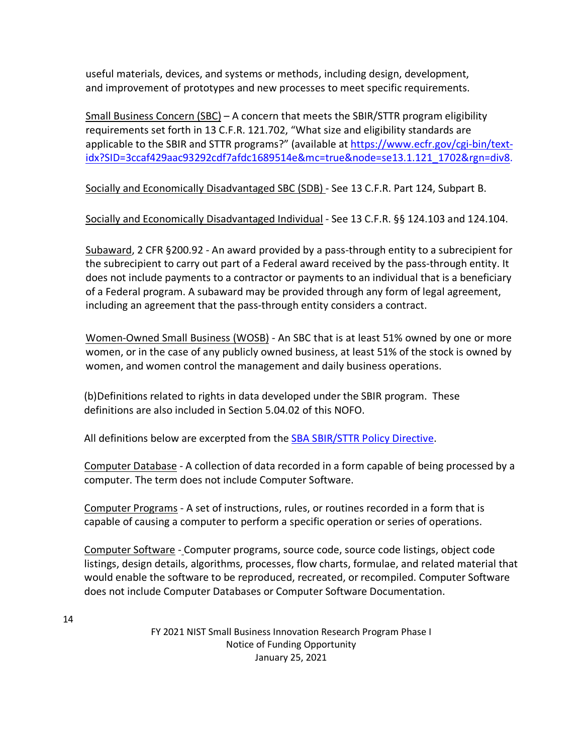useful materials, devices, and systems or methods, including design, development, and improvement of prototypes and new processes to meet specific requirements.

Small Business Concern (SBC) – A concern that meets the SBIR/STTR program eligibility requirements set forth in 13 C.F.R. 121.702, "What size and eligibility standards are applicable to the SBIR and STTR programs?" (available at [https://www.ecfr.gov/cgi-bin/text](https://www.ecfr.gov/cgi-bin/text-idx?SID=3ccaf429aac93292cdf7afdc1689514e&mc=true&node=se13.1.121_1702&rgn=div8)[idx?SID=3ccaf429aac93292cdf7afdc1689514e&mc=true&node=se13.1.121\\_1702&rgn=div8.](https://www.ecfr.gov/cgi-bin/text-idx?SID=3ccaf429aac93292cdf7afdc1689514e&mc=true&node=se13.1.121_1702&rgn=div8)

Socially and Economically Disadvantaged SBC (SDB) - See [13 C.F.R. Part 124, S](https://www.federalregister.gov/select-citation/2012/08/06/13-CFR-124)ubpart B.

Socially and Economically Disadvantaged Individual - See [13 C.F.R. §§ 124.103 a](https://www.federalregister.gov/select-citation/2012/08/06/13-CFR-124.103)nd 124.104.

Subaward, 2 CFR §200.92 - An award provided by a pass-through entity to a subrecipient for the subrecipient to carry out part of a Federal award received by the pass-through entity. It does not include payments to a contractor or payments to an individual that is a beneficiary of a Federal program. A subaward may be provided through any form of legal agreement, including an agreement that the pass-through entity considers a contract.

Women-Owned Small Business (WOSB) - An SBC that is at least 51% owned by one or more women, or in the case of any publicly owned business, at least 51% of the stock is owned by women, and women control the management and daily business operations.

(b)Definitions related to rights in data developed under the SBIR program. These definitions are also included in Section 5.04.02 of this NOFO.

All definitions below are excerpted from the [SBA SBIR/STTR Policy Directive.](https://www.sbir.gov/sites/default/files/SBA_SBIR_STTR_POLICY_DIRECTIVE_OCT_2020_0.pdf)

Computer Database - A collection of data recorded in a form capable of being processed by a computer. The term does not include Computer Software.

Computer Programs - A set of instructions, rules, or routines recorded in a form that is capable of causing a computer to perform a specific operation or series of operations.

Computer Software - Computer programs, source code, source code listings, object code listings, design details, algorithms, processes, flow charts, formulae, and related material that would enable the software to be reproduced, recreated, or recompiled. Computer Software does not include Computer Databases or Computer Software Documentation.

14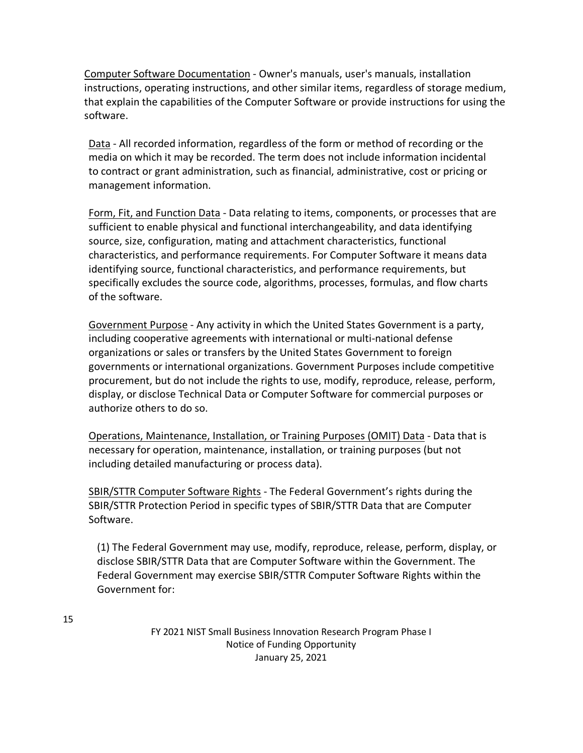Computer Software Documentation - Owner's manuals, user's manuals, installation instructions, operating instructions, and other similar items, regardless of storage medium, that explain the capabilities of the Computer Software or provide instructions for using the software.

Data - All recorded information, regardless of the form or method of recording or the media on which it may be recorded. The term does not include information incidental to contract or grant administration, such as financial, administrative, cost or pricing or management information.

Form, Fit, and Function Data - Data relating to items, components, or processes that are sufficient to enable physical and functional interchangeability, and data identifying source, size, configuration, mating and attachment characteristics, functional characteristics, and performance requirements. For Computer Software it means data identifying source, functional characteristics, and performance requirements, but specifically excludes the source code, algorithms, processes, formulas, and flow charts of the software.

Government Purpose - Any activity in which the United States Government is a party, including cooperative agreements with international or multi-national defense organizations or sales or transfers by the United States Government to foreign governments or international organizations. Government Purposes include competitive procurement, but do not include the rights to use, modify, reproduce, release, perform, display, or disclose Technical Data or Computer Software for commercial purposes or authorize others to do so.

Operations, Maintenance, Installation, or Training Purposes (OMIT) Data - Data that is necessary for operation, maintenance, installation, or training purposes (but not including detailed manufacturing or process data).

SBIR/STTR Computer Software Rights - The Federal Government's rights during the SBIR/STTR Protection Period in specific types of SBIR/STTR Data that are Computer Software.

(1) The Federal Government may use, modify, reproduce, release, perform, display, or disclose SBIR/STTR Data that are Computer Software within the Government. The Federal Government may exercise SBIR/STTR Computer Software Rights within the Government for: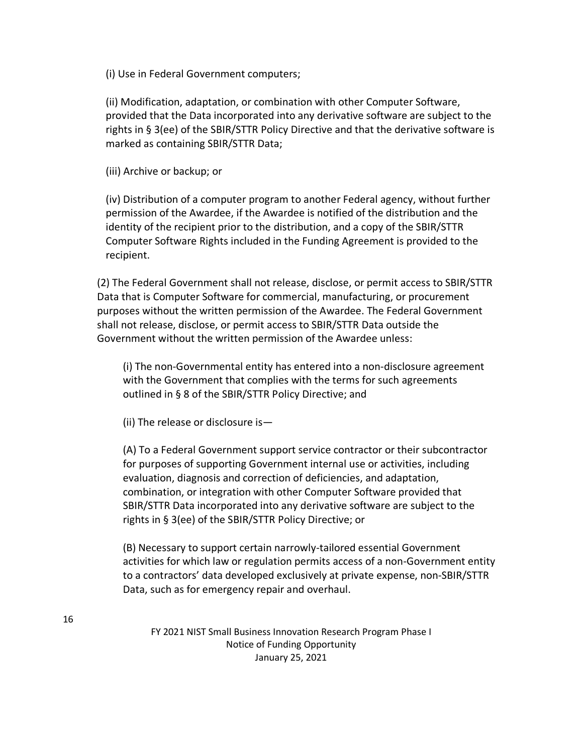(i) Use in Federal Government computers;

(ii) Modification, adaptation, or combination with other Computer Software, provided that the Data incorporated into any derivative software are subject to the rights in § 3(ee) of the SBIR/STTR Policy Directive and that the derivative software is marked as containing SBIR/STTR Data;

(iii) Archive or backup; or

(iv) Distribution of a computer program to another Federal agency, without further permission of the Awardee, if the Awardee is notified of the distribution and the identity of the recipient prior to the distribution, and a copy of the SBIR/STTR Computer Software Rights included in the Funding Agreement is provided to the recipient.

(2) The Federal Government shall not release, disclose, or permit access to SBIR/STTR Data that is Computer Software for commercial, manufacturing, or procurement purposes without the written permission of the Awardee. The Federal Government shall not release, disclose, or permit access to SBIR/STTR Data outside the Government without the written permission of the Awardee unless:

(i) The non-Governmental entity has entered into a non-disclosure agreement with the Government that complies with the terms for such agreements outlined in § 8 of the SBIR/STTR Policy Directive; and

(ii) The release or disclosure is—

(A) To a Federal Government support service contractor or their subcontractor for purposes of supporting Government internal use or activities, including evaluation, diagnosis and correction of deficiencies, and adaptation, combination, or integration with other Computer Software provided that SBIR/STTR Data incorporated into any derivative software are subject to the rights in § 3(ee) of the SBIR/STTR Policy Directive; or

(B) Necessary to support certain narrowly-tailored essential Government activities for which law or regulation permits access of a non-Government entity to a contractors' data developed exclusively at private expense, non-SBIR/STTR Data, such as for emergency repair and overhaul.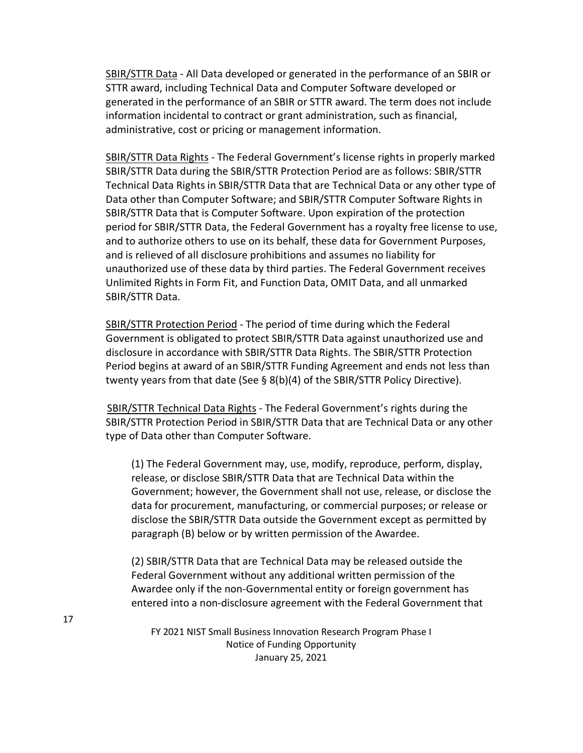SBIR/STTR Data - All Data developed or generated in the performance of an SBIR or STTR award, including Technical Data and Computer Software developed or generated in the performance of an SBIR or STTR award. The term does not include information incidental to contract or grant administration, such as financial, administrative, cost or pricing or management information.

SBIR/STTR Data Rights - The Federal Government's license rights in properly marked SBIR/STTR Data during the SBIR/STTR Protection Period are as follows: SBIR/STTR Technical Data Rights in SBIR/STTR Data that are Technical Data or any other type of Data other than Computer Software; and SBIR/STTR Computer Software Rights in SBIR/STTR Data that is Computer Software. Upon expiration of the protection period for SBIR/STTR Data, the Federal Government has a royalty free license to use, and to authorize others to use on its behalf, these data for Government Purposes, and is relieved of all disclosure prohibitions and assumes no liability for unauthorized use of these data by third parties. The Federal Government receives Unlimited Rights in Form Fit, and Function Data, OMIT Data, and all unmarked SBIR/STTR Data.

SBIR/STTR Protection Period - The period of time during which the Federal Government is obligated to protect SBIR/STTR Data against unauthorized use and disclosure in accordance with SBIR/STTR Data Rights. The SBIR/STTR Protection Period begins at award of an SBIR/STTR Funding Agreement and ends not less than twenty years from that date (See § 8(b)(4) of the SBIR/STTR Policy Directive).

SBIR/STTR Technical Data Rights - The Federal Government's rights during the SBIR/STTR Protection Period in SBIR/STTR Data that are Technical Data or any other type of Data other than Computer Software.

(1) The Federal Government may, use, modify, reproduce, perform, display, release, or disclose SBIR/STTR Data that are Technical Data within the Government; however, the Government shall not use, release, or disclose the data for procurement, manufacturing, or commercial purposes; or release or disclose the SBIR/STTR Data outside the Government except as permitted by paragraph (B) below or by written permission of the Awardee.

(2) SBIR/STTR Data that are Technical Data may be released outside the Federal Government without any additional written permission of the Awardee only if the non-Governmental entity or foreign government has entered into a non-disclosure agreement with the Federal Government that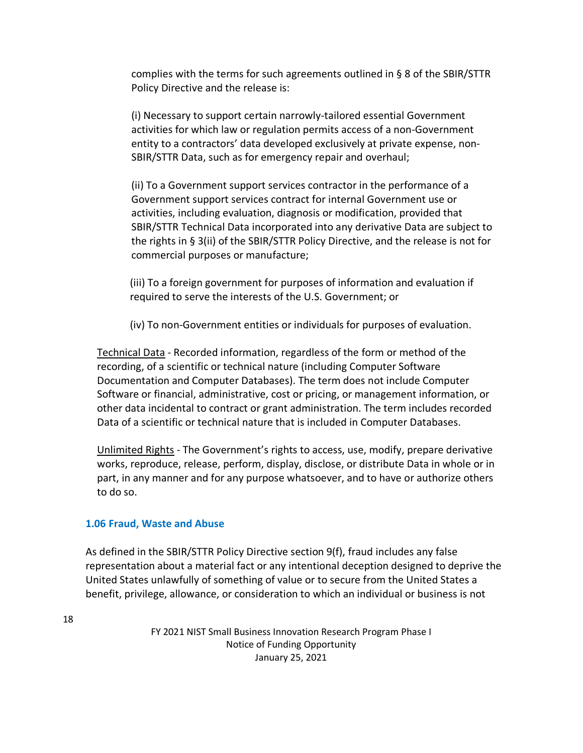complies with the terms for such agreements outlined in § 8 of the SBIR/STTR Policy Directive and the release is:

(i) Necessary to support certain narrowly-tailored essential Government activities for which law or regulation permits access of a non-Government entity to a contractors' data developed exclusively at private expense, non-SBIR/STTR Data, such as for emergency repair and overhaul;

(ii) To a Government support services contractor in the performance of a Government support services contract for internal Government use or activities, including evaluation, diagnosis or modification, provided that SBIR/STTR Technical Data incorporated into any derivative Data are subject to the rights in § 3(ii) of the SBIR/STTR Policy Directive, and the release is not for commercial purposes or manufacture;

(iii) To a foreign government for purposes of information and evaluation if required to serve the interests of the U.S. Government; or

(iv) To non-Government entities or individuals for purposes of evaluation.

Technical Data - Recorded information, regardless of the form or method of the recording, of a scientific or technical nature (including Computer Software Documentation and Computer Databases). The term does not include Computer Software or financial, administrative, cost or pricing, or management information, or other data incidental to contract or grant administration. The term includes recorded Data of a scientific or technical nature that is included in Computer Databases.

Unlimited Rights - The Government's rights to access, use, modify, prepare derivative works, reproduce, release, perform, display, disclose, or distribute Data in whole or in part, in any manner and for any purpose whatsoever, and to have or authorize others to do so.

#### <span id="page-17-0"></span>**1.06 Fraud, Waste and Abuse**

As defined in the SBIR/STTR Policy Directive section 9(f), fraud includes any false representation about a material fact or any intentional deception designed to deprive the United States unlawfully of something of value or to secure from the United States a benefit, privilege, allowance, or consideration to which an individual or business is not

18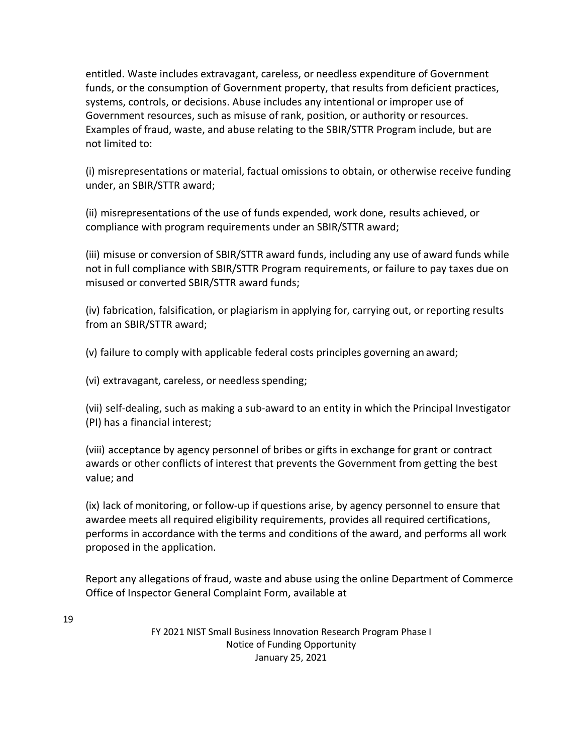entitled. Waste includes extravagant, careless, or needless expenditure of Government funds, or the consumption of Government property, that results from deficient practices, systems, controls, or decisions. Abuse includes any intentional or improper use of Government resources, such as misuse of rank, position, or authority or resources. Examples of fraud, waste, and abuse relating to the SBIR/STTR Program include, but are not limited to:

(i) misrepresentations or material, factual omissions to obtain, or otherwise receive funding under, an SBIR/STTR award;

(ii) misrepresentations of the use of funds expended, work done, results achieved, or compliance with program requirements under an SBIR/STTR award;

(iii) misuse or conversion of SBIR/STTR award funds, including any use of award funds while not in full compliance with SBIR/STTR Program requirements, or failure to pay taxes due on misused or converted SBIR/STTR award funds;

(iv) fabrication, falsification, or plagiarism in applying for, carrying out, or reporting results from an SBIR/STTR award;

(v) failure to comply with applicable federal costs principles governing an award;

(vi) extravagant, careless, or needless spending;

(vii) self-dealing, such as making a sub-award to an entity in which the Principal Investigator (PI) has a financial interest;

(viii) acceptance by agency personnel of bribes or gifts in exchange for grant or contract awards or other conflicts of interest that prevents the Government from getting the best value; and

(ix) lack of monitoring, or follow-up if questions arise, by agency personnel to ensure that awardee meets all required eligibility requirements, provides all required certifications, performs in accordance with the terms and conditions of the award, and performs all work proposed in the application.

Report any allegations of fraud, waste and abuse using the online Department of Commerce Office of Inspector Gen[eral Complaint Form,](https://www.oig.doc.gov/Pages/online-hotline-complaint-form.aspx) available at

19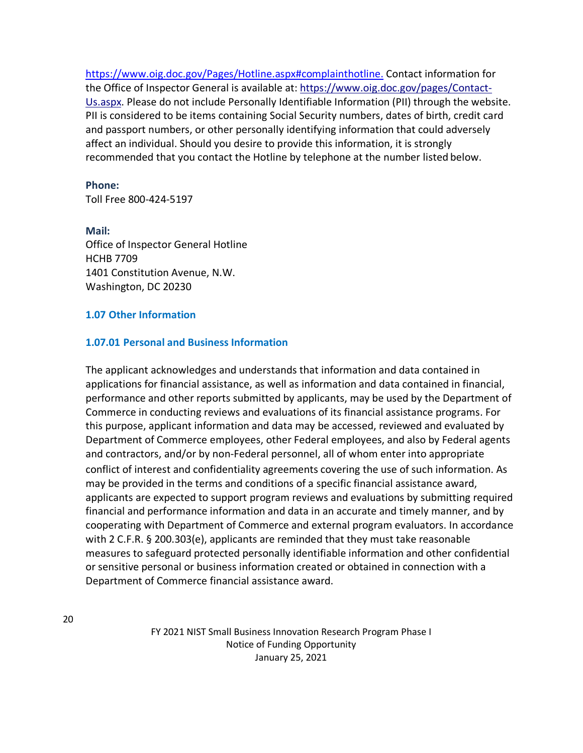[https://www.oig.doc.gov/Pages/Hotline.aspx#complainthotline.](https://www.oig.doc.gov/Pages/Hotline.aspx#complainthotline) Contact information for the Office of Inspector General is available at: [https://www.oig.doc.gov/pages/Contact-](https://www.oig.doc.gov/pages/Contact-Us.aspx)[Us.aspx. P](https://www.oig.doc.gov/pages/Contact-Us.aspx)lease do not include Personally Identifiable Information (PII) through the website. PII is considered to be items containing Social Security numbers, dates of birth, credit card and passport numbers, or other personally identifying information that could adversely affect an individual. Should you desire to provide this information, it is strongly recommended that you contact the Hotline by telephone at the number listed below.

#### **Phone:**

Toll Free 800-424-5197

#### **Mail:**

Office of Inspector General Hotline HCHB 7709 1401 Constitution Avenue, N.W. Washington, DC 20230

#### <span id="page-19-0"></span>**1.07 Other Information**

#### **1.07.01 Personal and Business Information**

The applicant acknowledges and understands that information and data contained in applications for financial assistance, as well as information and data contained in financial, performance and other reports submitted by applicants, may be used by the Department of Commerce in conducting reviews and evaluations of its financial assistance programs. For this purpose, applicant information and data may be accessed, reviewed and evaluated by Department of Commerce employees, other Federal employees, and also by Federal agents and contractors, and/or by non-Federal personnel, all of whom enter into appropriate conflict of interest and confidentiality agreements covering the use of such information. As may be provided in the terms and conditions of a specific financial assistance award, applicants are expected to support program reviews and evaluations by submitting required financial and performance information and data in an accurate and timely manner, and by cooperating with Department of Commerce and external program evaluators. In accordance with 2 C.F.R. § 200.303(e), applicants are reminded that they must take reasonable measures to safeguard protected personally identifiable information and other confidential or sensitive personal or business information created or obtained in connection with a Department of Commerce financial assistance award.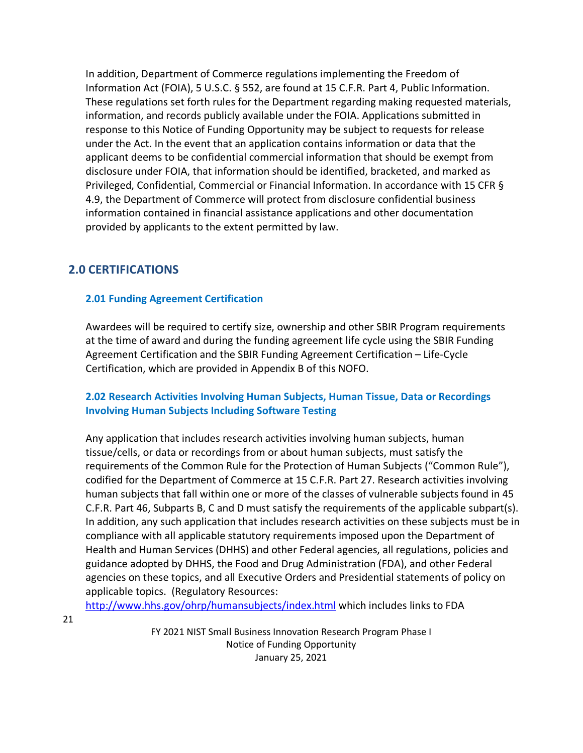In addition, Department of Commerce regulations implementing the Freedom of Information Act (FOIA), 5 U.S.C. § 552, are found at 15 C.F.R. Part 4, Public Information. These regulations set forth rules for the Department regarding making requested materials, information, and records publicly available under the FOIA. Applications submitted in response to this Notice of Funding Opportunity may be subject to requests for release under the Act. In the event that an application contains information or data that the applicant deems to be confidential commercial information that should be exempt from disclosure under FOIA, that information should be identified, bracketed, and marked as Privileged, Confidential, Commercial or Financial Information. In accordance with 15 CFR § 4.9, the Department of Commerce will protect from disclosure confidential business information contained in financial assistance applications and other documentation provided by applicants to the extent permitted by law.

# <span id="page-20-0"></span>**2.0 CERTIFICATIONS**

## <span id="page-20-1"></span>**2.01 Funding Agreement Certification**

Awardees will be required to certify size, ownership and other SBIR Program requirements at the time of award and during the funding agreement life cycle using the SBIR Funding Agreement Certification and the SBIR Funding Agreement Certification – Life-Cycle Certification, which are provided in Appendix B of this NOFO.

## <span id="page-20-2"></span>**2.02 Research Activities Involving Human Subjects, Human Tissue, Data or Recordings Involving Human Subjects Including Software Testing**

Any application that includes research activities involving human subjects, human tissue/cells, or data or recordings from or about human subjects, must satisfy the requirements of the Common Rule for the Protection of Human Subjects ("Common Rule"), codified for the Department of Commerce at 15 C.F.R. Part 27. Research activities involving human subjects that fall within one or more of the classes of vulnerable subjects found in 45 C.F.R. Part 46, Subparts B, C and D must satisfy the requirements of the applicable subpart(s). In addition, any such application that includes research activities on these subjects must be in compliance with all applicable statutory requirements imposed upon the Department of Health and Human Services (DHHS) and other Federal agencies, all regulations, policies and guidance adopted by DHHS, the Food and Drug Administration (FDA), and other Federal agencies on these topics, and all Executive Orders and Presidential statements of policy on applicable topics. (Regulatory Resources:

<http://www.hhs.gov/ohrp/humansubjects/index.html> which includes links to FDA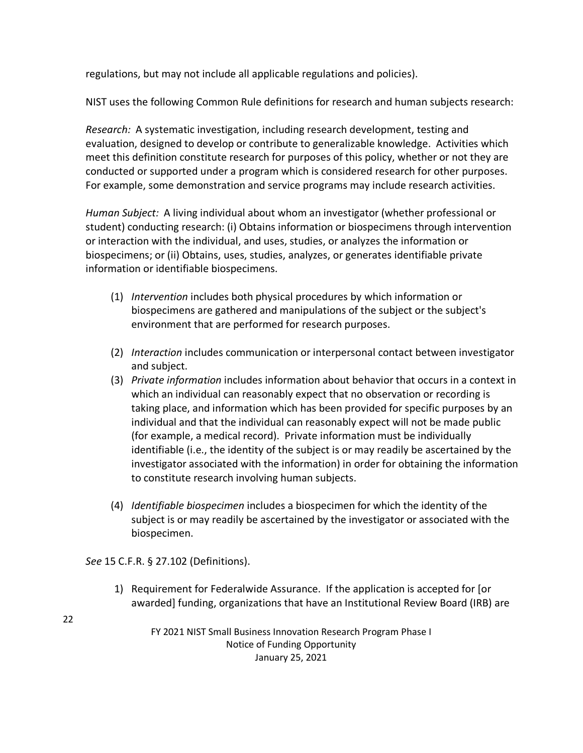regulations, but may not include all applicable regulations and policies).

NIST uses the following Common Rule definitions for research and human subjects research:

*Research:* A systematic investigation, including research development, testing and evaluation, designed to develop or contribute to generalizable knowledge. Activities which meet this definition constitute research for purposes of this policy, whether or not they are conducted or supported under a program which is considered research for other purposes. For example, some demonstration and service programs may include research activities.

*Human Subject:* A living individual about whom an investigator (whether professional or student) conducting research: (i) Obtains information or biospecimens through intervention or interaction with the individual, and uses, studies, or analyzes the information or biospecimens; or (ii) Obtains, uses, studies, analyzes, or generates identifiable private information or identifiable biospecimens.

- (1) *Intervention* includes both physical procedures by which information or biospecimens are gathered and manipulations of the subject or the subject's environment that are performed for research purposes.
- (2) *Interaction* includes communication or interpersonal contact between investigator and subject.
- (3) *Private information* includes information about behavior that occurs in a context in which an individual can reasonably expect that no observation or recording is taking place, and information which has been provided for specific purposes by an individual and that the individual can reasonably expect will not be made public (for example, a medical record). Private information must be individually identifiable (i.e., the identity of the subject is or may readily be ascertained by the investigator associated with the information) in order for obtaining the information to constitute research involving human subjects.
- (4) *Identifiable biospecimen* includes a biospecimen for which the identity of the subject is or may readily be ascertained by the investigator or associated with the biospecimen.

*See* 15 C.F.R. § 27.102 (Definitions).

1) Requirement for Federalwide Assurance. If the application is accepted for [or awarded] funding, organizations that have an Institutional Review Board (IRB) are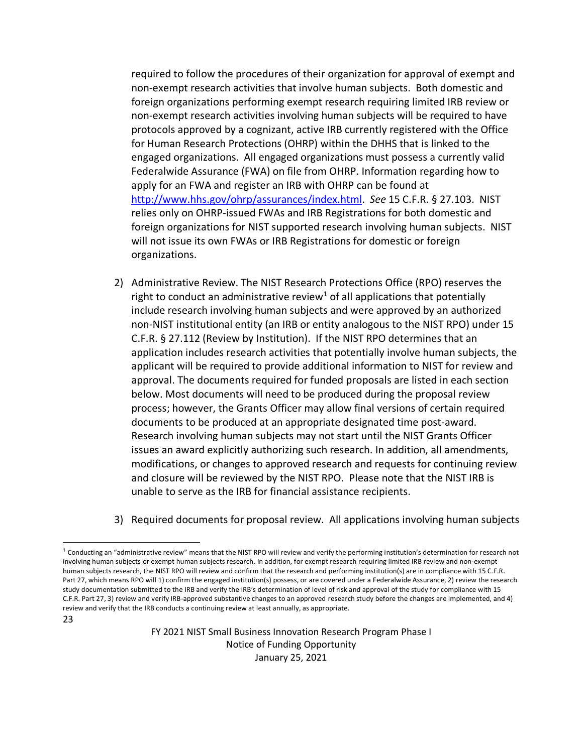required to follow the procedures of their organization for approval of exempt and non-exempt research activities that involve human subjects. Both domestic and foreign organizations performing exempt research requiring limited IRB review or non-exempt research activities involving human subjects will be required to have protocols approved by a cognizant, active IRB currently registered with the Office for Human Research Protections (OHRP) within the DHHS that is linked to the engaged organizations. All engaged organizations must possess a currently valid Federalwide Assurance (FWA) on file from OHRP. Information regarding how to apply for an FWA and register an IRB with OHRP can be found at [http://www.hhs.gov/ohrp/assurances/index.html.](http://www.hhs.gov/ohrp/assurances/index.html) *See* 15 C.F.R. § 27.103. NIST relies only on OHRP-issued FWAs and IRB Registrations for both domestic and foreign organizations for NIST supported research involving human subjects. NIST will not issue its own FWAs or IRB Registrations for domestic or foreign organizations.

- 2) Administrative Review. The NIST Research Protections Office (RPO) reserves the right to conduct an administrative review<sup>[1](#page-22-0)</sup> of all applications that potentially include research involving human subjects and were approved by an authorized non-NIST institutional entity (an IRB or entity analogous to the NIST RPO) under 15 C.F.R. § 27.112 (Review by Institution). If the NIST RPO determines that an application includes research activities that potentially involve human subjects, the applicant will be required to provide additional information to NIST for review and approval. The documents required for funded proposals are listed in each section below. Most documents will need to be produced during the proposal review process; however, the Grants Officer may allow final versions of certain required documents to be produced at an appropriate designated time post-award. Research involving human subjects may not start until the NIST Grants Officer issues an award explicitly authorizing such research. In addition, all amendments, modifications, or changes to approved research and requests for continuing review and closure will be reviewed by the NIST RPO. Please note that the NIST IRB is unable to serve as the IRB for financial assistance recipients.
- 3) Required documents for proposal review. All applications involving human subjects

23

<span id="page-22-0"></span> $1$  Conducting an "administrative review" means that the NIST RPO will review and verify the performing institution's determination for research not involving human subjects or exempt human subjects research. In addition, for exempt research requiring limited IRB review and non-exempt human subjects research, the NIST RPO will review and confirm that the research and performing institution(s) are in compliance with 15 C.F.R. Part 27, which means RPO will 1) confirm the engaged institution(s) possess, or are covered under a Federalwide Assurance, 2) review the research study documentation submitted to the IRB and verify the IRB's determination of level of risk and approval of the study for compliance with 15 C.F.R. Part 27, 3) review and verify IRB-approved substantive changes to an approved research study before the changes are implemented, and 4) review and verify that the IRB conducts a continuing review at least annually, as appropriate.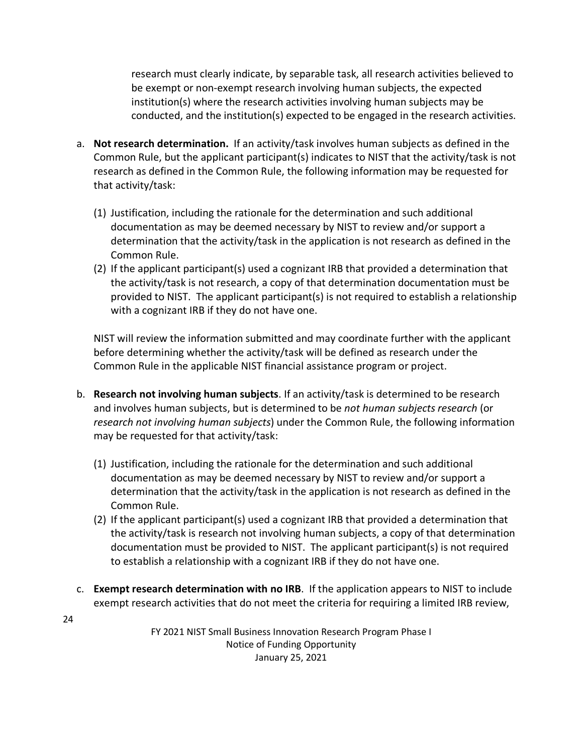research must clearly indicate, by separable task, all research activities believed to be exempt or non-exempt research involving human subjects, the expected institution(s) where the research activities involving human subjects may be conducted, and the institution(s) expected to be engaged in the research activities.

- a. **Not research determination.** If an activity/task involves human subjects as defined in the Common Rule, but the applicant participant(s) indicates to NIST that the activity/task is not research as defined in the Common Rule, the following information may be requested for that activity/task:
	- (1) Justification, including the rationale for the determination and such additional documentation as may be deemed necessary by NIST to review and/or support a determination that the activity/task in the application is not research as defined in the Common Rule.
	- (2) If the applicant participant(s) used a cognizant IRB that provided a determination that the activity/task is not research, a copy of that determination documentation must be provided to NIST. The applicant participant(s) is not required to establish a relationship with a cognizant IRB if they do not have one.

NIST will review the information submitted and may coordinate further with the applicant before determining whether the activity/task will be defined as research under the Common Rule in the applicable NIST financial assistance program or project.

- b. **Research not involving human subjects**. If an activity/task is determined to be research and involves human subjects, but is determined to be *not human subjects research* (or *research not involving human subjects*) under the Common Rule, the following information may be requested for that activity/task:
	- (1) Justification, including the rationale for the determination and such additional documentation as may be deemed necessary by NIST to review and/or support a determination that the activity/task in the application is not research as defined in the Common Rule.
	- (2) If the applicant participant(s) used a cognizant IRB that provided a determination that the activity/task is research not involving human subjects, a copy of that determination documentation must be provided to NIST. The applicant participant(s) is not required to establish a relationship with a cognizant IRB if they do not have one.
- c. **Exempt research determination with no IRB**. If the application appears to NIST to include exempt research activities that do not meet the criteria for requiring a limited IRB review,

FY 2021 NIST Small Business Innovation Research Program Phase I Notice of Funding Opportunity January 25, 2021

24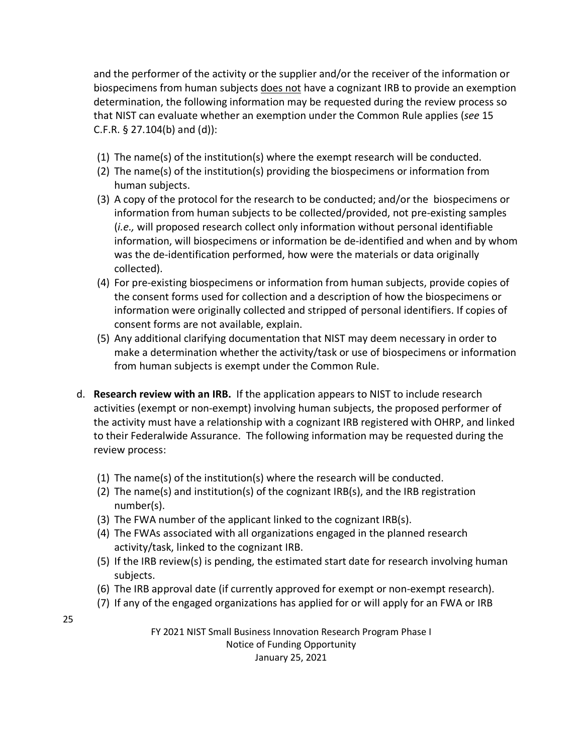and the performer of the activity or the supplier and/or the receiver of the information or biospecimens from human subjects does not have a cognizant IRB to provide an exemption determination, the following information may be requested during the review process so that NIST can evaluate whether an exemption under the Common Rule applies (*see* 15 C.F.R. § 27.104(b) and (d)):

- (1) The name(s) of the institution(s) where the exempt research will be conducted.
- (2) The name(s) of the institution(s) providing the biospecimens or information from human subjects.
- (3) A copy of the protocol for the research to be conducted; and/or the biospecimens or information from human subjects to be collected/provided, not pre-existing samples (*i.e.,* will proposed research collect only information without personal identifiable information, will biospecimens or information be de-identified and when and by whom was the de-identification performed, how were the materials or data originally collected).
- (4) For pre-existing biospecimens or information from human subjects, provide copies of the consent forms used for collection and a description of how the biospecimens or information were originally collected and stripped of personal identifiers. If copies of consent forms are not available, explain.
- (5) Any additional clarifying documentation that NIST may deem necessary in order to make a determination whether the activity/task or use of biospecimens or information from human subjects is exempt under the Common Rule.
- d. **Research review with an IRB.** If the application appears to NIST to include research activities (exempt or non-exempt) involving human subjects, the proposed performer of the activity must have a relationship with a cognizant IRB registered with OHRP, and linked to their Federalwide Assurance. The following information may be requested during the review process:
	- (1) The name(s) of the institution(s) where the research will be conducted.
	- (2) The name(s) and institution(s) of the cognizant IRB(s), and the IRB registration number(s).
	- (3) The FWA number of the applicant linked to the cognizant IRB(s).
	- (4) The FWAs associated with all organizations engaged in the planned research activity/task, linked to the cognizant IRB.
	- (5) If the IRB review(s) is pending, the estimated start date for research involving human subjects.
	- (6) The IRB approval date (if currently approved for exempt or non-exempt research).
	- (7) If any of the engaged organizations has applied for or will apply for an FWA or IRB

25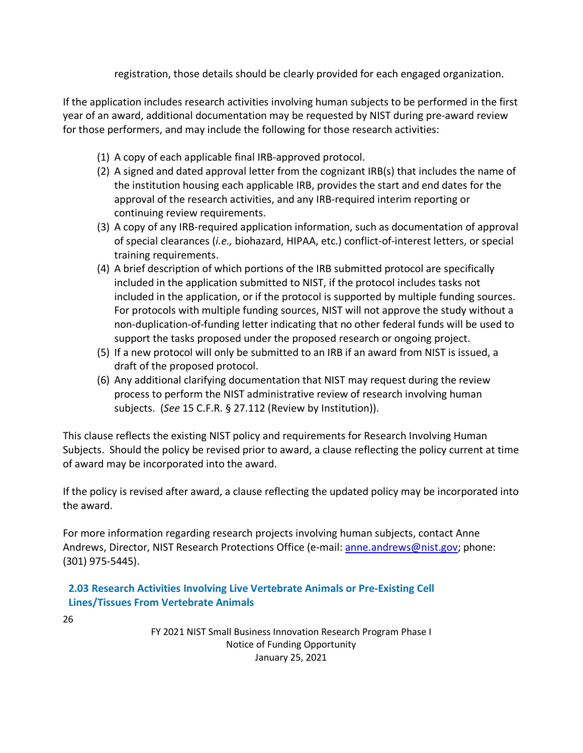registration, those details should be clearly provided for each engaged organization.

If the application includes research activities involving human subjects to be performed in the first year of an award, additional documentation may be requested by NIST during pre-award review for those performers, and may include the following for those research activities:

- (1) A copy of each applicable final IRB-approved protocol.
- (2) A signed and dated approval letter from the cognizant IRB(s) that includes the name of the institution housing each applicable IRB, provides the start and end dates for the approval of the research activities, and any IRB-required interim reporting or continuing review requirements.
- (3) A copy of any IRB-required application information, such as documentation of approval of special clearances (*i.e.,* biohazard, HIPAA, etc.) conflict-of-interest letters, or special training requirements.
- (4) A brief description of which portions of the IRB submitted protocol are specifically included in the application submitted to NIST, if the protocol includes tasks not included in the application, or if the protocol is supported by multiple funding sources. For protocols with multiple funding sources, NIST will not approve the study without a non-duplication-of-funding letter indicating that no other federal funds will be used to support the tasks proposed under the proposed research or ongoing project.
- (5) If a new protocol will only be submitted to an IRB if an award from NIST is issued, a draft of the proposed protocol.
- (6) Any additional clarifying documentation that NIST may request during the review process to perform the NIST administrative review of research involving human subjects. (*See* 15 C.F.R. § 27.112 (Review by Institution)).

This clause reflects the existing NIST policy and requirements for Research Involving Human Subjects. Should the policy be revised prior to award, a clause reflecting the policy current at time of award may be incorporated into the award.

If the policy is revised after award, a clause reflecting the updated policy may be incorporated into the award.

For more information regarding research projects involving human subjects, contact Anne Andrews, Director, NIST Research Protections Office (e-mail[: anne.andrews@nist.gov;](mailto:anne.andrews@nist.gov) phone: (301) 975-5445).

<span id="page-25-0"></span>**2.03 Research Activities Involving Live Vertebrate Animals or Pre-Existing Cell Lines/Tissues From Vertebrate Animals**

26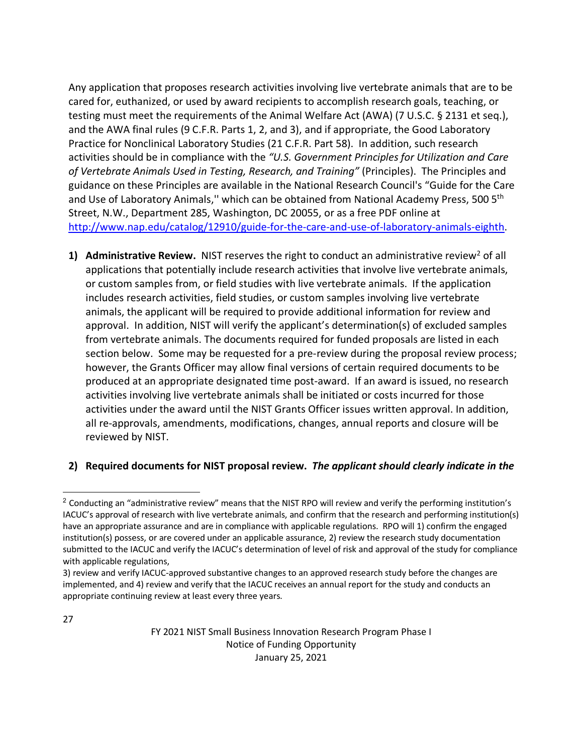Any application that proposes research activities involving live vertebrate animals that are to be cared for, euthanized, or used by award recipients to accomplish research goals, teaching, or testing must meet the requirements of the Animal Welfare Act (AWA) (7 U.S.C. § 2131 et seq.), and the AWA final rules (9 C.F.R. Parts 1, 2, and 3), and if appropriate, the Good Laboratory Practice for Nonclinical Laboratory Studies (21 C.F.R. Part 58). In addition, such research activities should be in compliance with the *"U.S. Government Principles for Utilization and Care of Vertebrate Animals Used in Testing, Research, and Training"* (Principles). The Principles and guidance on these Principles are available in the National Research Council's "Guide for the Care and Use of Laboratory Animals," which can be obtained from National Academy Press, 500 5<sup>th</sup> Street, N.W., Department 285, Washington, DC 20055, or as a free PDF online at [http://www.nap.edu/catalog/12910/guide-for-the-care-and-use-of-laboratory-animals-eighth.](http://www.nap.edu/catalog/12910/guide-for-the-care-and-use-of-laboratory-animals-eighth)

**1)** Administrative Review. NIST reserves the right to conduct an administrative review<sup>[2](#page-26-0)</sup> of all applications that potentially include research activities that involve live vertebrate animals, or custom samples from, or field studies with live vertebrate animals. If the application includes research activities, field studies, or custom samples involving live vertebrate animals, the applicant will be required to provide additional information for review and approval. In addition, NIST will verify the applicant's determination(s) of excluded samples from vertebrate animals. The documents required for funded proposals are listed in each section below. Some may be requested for a pre-review during the proposal review process; however, the Grants Officer may allow final versions of certain required documents to be produced at an appropriate designated time post-award. If an award is issued, no research activities involving live vertebrate animals shall be initiated or costs incurred for those activities under the award until the NIST Grants Officer issues written approval. In addition, all re-approvals, amendments, modifications, changes, annual reports and closure will be reviewed by NIST.

# **2) Required documents for NIST proposal review.** *The applicant should clearly indicate in the*

<span id="page-26-0"></span><sup>&</sup>lt;sup>2</sup> Conducting an "administrative review" means that the NIST RPO will review and verify the performing institution's IACUC's approval of research with live vertebrate animals, and confirm that the research and performing institution(s) have an appropriate assurance and are in compliance with applicable regulations. RPO will 1) confirm the engaged institution(s) possess, or are covered under an applicable assurance, 2) review the research study documentation submitted to the IACUC and verify the IACUC's determination of level of risk and approval of the study for compliance with applicable regulations,

<sup>3)</sup> review and verify IACUC-approved substantive changes to an approved research study before the changes are implemented, and 4) review and verify that the IACUC receives an annual report for the study and conducts an appropriate continuing review at least every three years.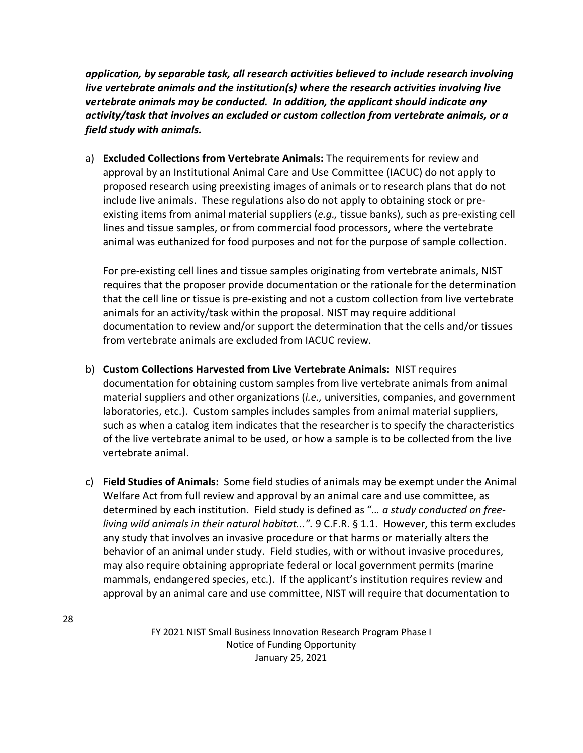*application, by separable task, all research activities believed to include research involving live vertebrate animals and the institution(s) where the research activities involving live vertebrate animals may be conducted. In addition, the applicant should indicate any activity/task that involves an excluded or custom collection from vertebrate animals, or a field study with animals.*

a) **Excluded Collections from Vertebrate Animals:** The requirements for review and approval by an Institutional Animal Care and Use Committee (IACUC) do not apply to proposed research using preexisting images of animals or to research plans that do not include live animals. These regulations also do not apply to obtaining stock or preexisting items from animal material suppliers (*e.g.,* tissue banks), such as pre-existing cell lines and tissue samples, or from commercial food processors, where the vertebrate animal was euthanized for food purposes and not for the purpose of sample collection.

For pre-existing cell lines and tissue samples originating from vertebrate animals, NIST requires that the proposer provide documentation or the rationale for the determination that the cell line or tissue is pre-existing and not a custom collection from live vertebrate animals for an activity/task within the proposal. NIST may require additional documentation to review and/or support the determination that the cells and/or tissues from vertebrate animals are excluded from IACUC review.

- b) **Custom Collections Harvested from Live Vertebrate Animals:** NIST requires documentation for obtaining custom samples from live vertebrate animals from animal material suppliers and other organizations (*i.e.,* universities, companies, and government laboratories, etc.). Custom samples includes samples from animal material suppliers, such as when a catalog item indicates that the researcher is to specify the characteristics of the live vertebrate animal to be used, or how a sample is to be collected from the live vertebrate animal.
- c) **Field Studies of Animals:** Some field studies of animals may be exempt under the Animal Welfare Act from full review and approval by an animal care and use committee, as determined by each institution. Field study is defined as "*… a study conducted on freeliving wild animals in their natural habitat...".* 9 C.F.R. § 1.1. However, this term excludes any study that involves an invasive procedure or that harms or materially alters the behavior of an animal under study. Field studies, with or without invasive procedures, may also require obtaining appropriate federal or local government permits (marine mammals, endangered species, etc.). If the applicant's institution requires review and approval by an animal care and use committee, NIST will require that documentation to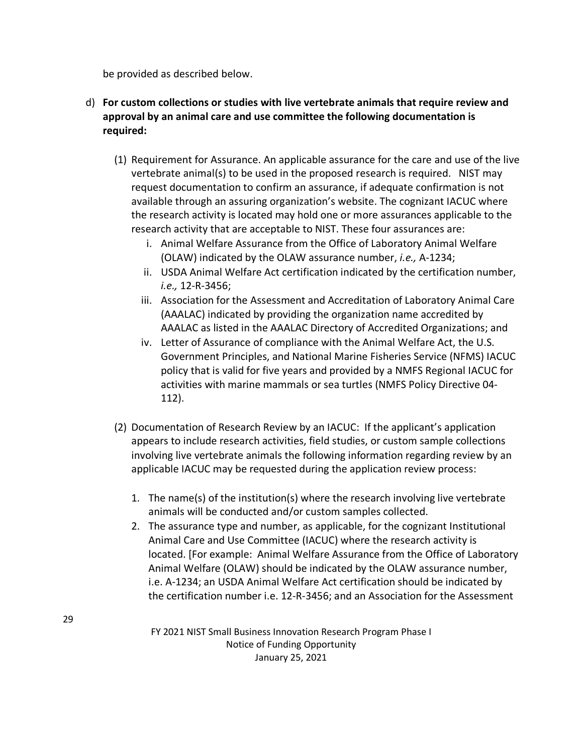be provided as described below.

- d) **For custom collections or studies with live vertebrate animals that require review and approval by an animal care and use committee the following documentation is required:**
	- (1) Requirement for Assurance. An applicable assurance for the care and use of the live vertebrate animal(s) to be used in the proposed research is required. NIST may request documentation to confirm an assurance, if adequate confirmation is not available through an assuring organization's website. The cognizant IACUC where the research activity is located may hold one or more assurances applicable to the research activity that are acceptable to NIST. These four assurances are:
		- i. Animal Welfare Assurance from the Office of Laboratory Animal Welfare (OLAW) indicated by the OLAW assurance number, *i.e.,* A-1234;
		- ii. USDA Animal Welfare Act certification indicated by the certification number, *i.e.,* 12-R-3456;
		- iii. Association for the Assessment and Accreditation of Laboratory Animal Care (AAALAC) indicated by providing the organization name accredited by AAALAC as listed in the AAALAC Directory of Accredited Organizations; and
		- iv. Letter of Assurance of compliance with the Animal Welfare Act, the U.S. Government Principles, and National Marine Fisheries Service (NFMS) IACUC policy that is valid for five years and provided by a NMFS Regional IACUC for activities with marine mammals or sea turtles (NMFS Policy Directive 04- 112).
	- (2) Documentation of Research Review by an IACUC: If the applicant's application appears to include research activities, field studies, or custom sample collections involving live vertebrate animals the following information regarding review by an applicable IACUC may be requested during the application review process:
		- 1. The name(s) of the institution(s) where the research involving live vertebrate animals will be conducted and/or custom samples collected.
		- 2. The assurance type and number, as applicable, for the cognizant Institutional Animal Care and Use Committee (IACUC) where the research activity is located. [For example: Animal Welfare Assurance from the Office of Laboratory Animal Welfare (OLAW) should be indicated by the OLAW assurance number, i.e. A-1234; an USDA Animal Welfare Act certification should be indicated by the certification number i.e. 12-R-3456; and an Association for the Assessment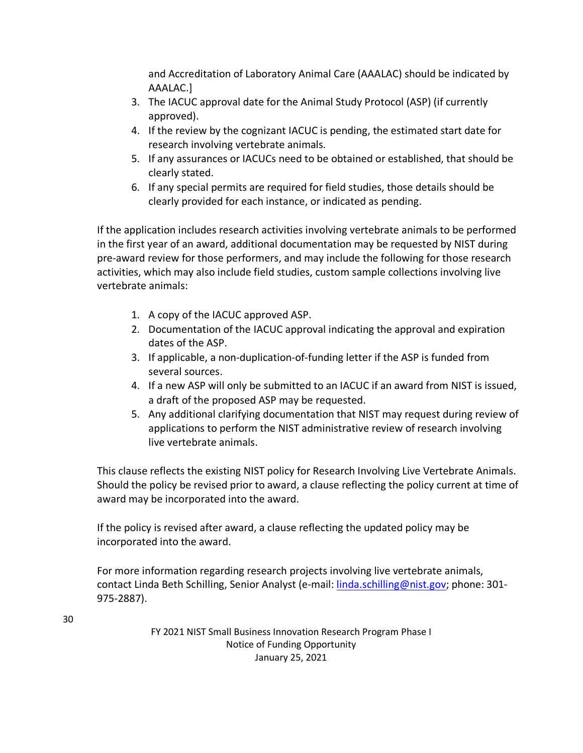and Accreditation of Laboratory Animal Care (AAALAC) should be indicated by AAALAC.]

- 3. The IACUC approval date for the Animal Study Protocol (ASP) (if currently approved).
- 4. If the review by the cognizant IACUC is pending, the estimated start date for research involving vertebrate animals.
- 5. If any assurances or IACUCs need to be obtained or established, that should be clearly stated.
- 6. If any special permits are required for field studies, those details should be clearly provided for each instance, or indicated as pending.

If the application includes research activities involving vertebrate animals to be performed in the first year of an award, additional documentation may be requested by NIST during pre-award review for those performers, and may include the following for those research activities, which may also include field studies, custom sample collections involving live vertebrate animals:

- 1. A copy of the IACUC approved ASP.
- 2. Documentation of the IACUC approval indicating the approval and expiration dates of the ASP.
- 3. If applicable, a non-duplication-of-funding letter if the ASP is funded from several sources.
- 4. If a new ASP will only be submitted to an IACUC if an award from NIST is issued, a draft of the proposed ASP may be requested.
- 5. Any additional clarifying documentation that NIST may request during review of applications to perform the NIST administrative review of research involving live vertebrate animals.

This clause reflects the existing NIST policy for Research Involving Live Vertebrate Animals. Should the policy be revised prior to award, a clause reflecting the policy current at time of award may be incorporated into the award.

If the policy is revised after award, a clause reflecting the updated policy may be incorporated into the award.

For more information regarding research projects involving live vertebrate animals, contact Linda Beth Schilling, Senior Analyst (e-mail: [linda.schilling@nist.gov;](mailto:linda.schilling@nist.gov) phone: 301- 975-2887).

30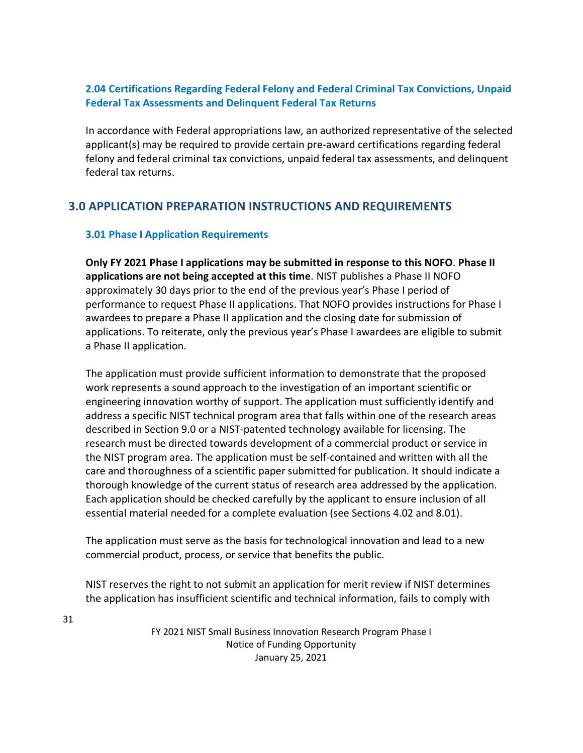## <span id="page-30-0"></span>**2.04 Certifications Regarding Federal Felony and Federal Criminal Tax Convictions, Unpaid Federal Tax Assessments and Delinquent Federal Tax Returns**

In accordance with Federal appropriations law, an authorized representative of the selected applicant(s) may be required to provide certain pre-award certifications regarding federal felony and federal criminal tax convictions, unpaid federal tax assessments, and delinquent federal tax returns.

# <span id="page-30-1"></span>**3.0 APPLICATION PREPARATION INSTRUCTIONS AND REQUIREMENTS**

## <span id="page-30-2"></span>**3.01 Phase I Application Requirements**

**Only FY 2021 Phase I applications may be submitted in response to this NOFO**. **Phase II applications are not being accepted at this time**. NIST publishes a Phase II NOFO approximately 30 days prior to the end of the previous year's Phase I period of performance to request Phase II applications. That NOFO provides instructions for Phase I awardees to prepare a Phase II application and the closing date for submission of applications. To reiterate, only the previous year's Phase I awardees are eligible to submit a Phase II application.

The application must provide sufficient information to demonstrate that the proposed work represents a sound approach to the investigation of an important scientific or engineering innovation worthy of support. The application must sufficiently identify and address a specific NIST technical program area that falls within one of the research areas described in Section 9.0 or a NIST-patented technology available for licensing. The research must be directed towards development of a commercial product or service in the NIST program area. The application must be self-contained and written with all the care and thoroughness of a scientific paper submitted for publication. It should indicate a thorough knowledge of the current status of research area addressed by the application. Each application should be checked carefully by the applicant to ensure inclusion of all essential material needed for a complete evaluation (see Sections 4.02 and 8.01).

The application must serve as the basis for technological innovation and lead to a new commercial product, process, or service that benefits the public.

NIST reserves the right to not submit an application for merit review if NIST determines the application has insufficient scientific and technical information, fails to comply with

31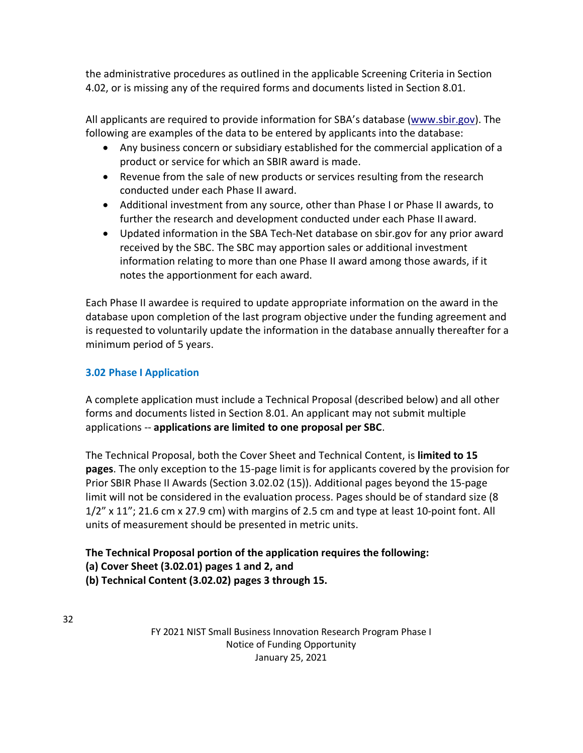the administrative procedures as outlined in the applicable Screening Criteria in Section 4.02, or is missing any of the required forms and documents listed in Section 8.01.

All applicants are required to provide information for SBA's database [\(www.sbir.gov\)](http://www.sbir.gov/). The following are examples of the data to be entered by applicants into the database:

- Any business concern or subsidiary established for the commercial application of a product or service for which an SBIR award is made.
- Revenue from the sale of new products or services resulting from the research conducted under each Phase II award.
- Additional investment from any source, other than Phase I or Phase II awards, to further the research and development conducted under each Phase II award.
- Updated information in the SBA Tech-Net database on sbir.gov for any prior award received by the SBC. The SBC may apportion sales or additional investment information relating to more than one Phase II award among those awards, if it notes the apportionment for each award.

Each Phase II awardee is required to update appropriate information on the award in the database upon completion of the last program objective under the funding agreement and is requested to voluntarily update the information in the database annually thereafter for a minimum period of 5 years.

# <span id="page-31-0"></span>**3.02 Phase I Application**

A complete application must include a Technical Proposal (described below) and all other forms and documents listed in Section 8.01. An applicant may not submit multiple applications -- **applications are limited to one proposal per SBC**.

The Technical Proposal, both the Cover Sheet and Technical Content, is **limited to 15 pages**. The only exception to the 15-page limit is for applicants covered by the provision for Prior SBIR Phase II Awards (Section 3.02.02 (15)). Additional pages beyond the 15-page limit will not be considered in the evaluation process. Pages should be of standard size (8 1/2" x 11"; 21.6 cm x 27.9 cm) with margins of 2.5 cm and type at least 10-point font. All units of measurement should be presented in metric units.

# **The Technical Proposal portion of the application requires the following: (a) Cover Sheet (3.02.01) pages 1 and 2, and (b) Technical Content (3.02.02) pages 3 through 15.**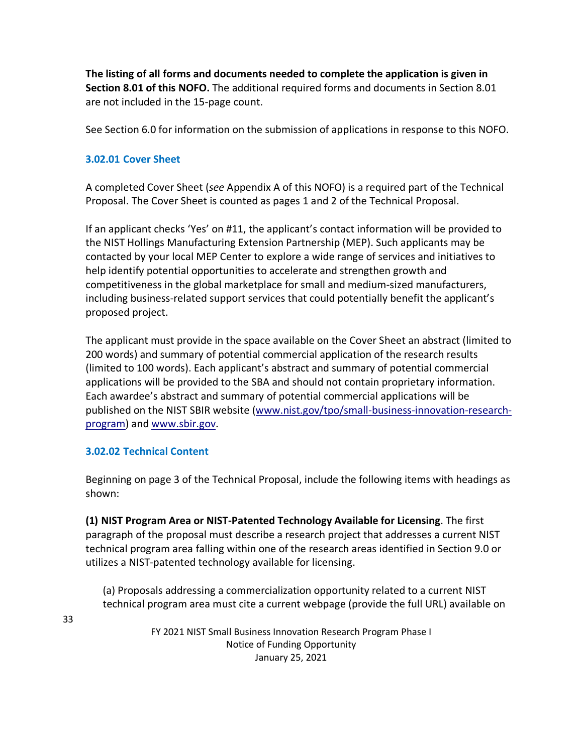**The listing of all forms and documents needed to complete the application is given in Section 8.01 of this NOFO.** The additional required forms and documents in Section 8.01 are not included in the 15-page count.

See Section 6.0 for information on the submission of applications in response to this NOFO.

# **3.02.01 Cover Sheet**

A completed Cover Sheet (*see* Appendix A of this NOFO) is a required part of the Technical Proposal. The Cover Sheet is counted as pages 1 and 2 of the Technical Proposal.

If an applicant checks 'Yes' on #11, the applicant's contact information will be provided to the NIST Hollings Manufacturing Extension Partnership (MEP). Such applicants may be contacted by your local MEP Center to explore a wide range of services and initiatives to help identify potential opportunities to accelerate and strengthen growth and competitiveness in the global marketplace for small and medium-sized manufacturers, including business-related support services that could potentially benefit the applicant's proposed project.

The applicant must provide in the space available on the Cover Sheet an abstract (limited to 200 words) and summary of potential commercial application of the research results (limited to 100 words). Each applicant's abstract and summary of potential commercial applications will be provided to the SBA and should not contain proprietary information. Each awardee's abstract and summary of potential commercial applications will be published on the NIST SBIR website [\(www.nist.gov/tpo/small-business-innovation-research](http://www.nist.gov/tpo/small-business-innovation-research-program)[program\)](http://www.nist.gov/tpo/small-business-innovation-research-program) and [www.sbir.gov.](http://www.sbir.gov/)

## **3.02.02 Technical Content**

Beginning on page 3 of the Technical Proposal, include the following items with headings as shown:

**(1) NIST Program Area or NIST-Patented Technology Available for Licensing**. The first paragraph of the proposal must describe a research project that addresses a current NIST technical program area falling within one of the research areas identified in Section 9.0 or utilizes a NIST-patented technology available for licensing.

(a) Proposals addressing a commercialization opportunity related to a current NIST technical program area must cite a current webpage (provide the full URL) available on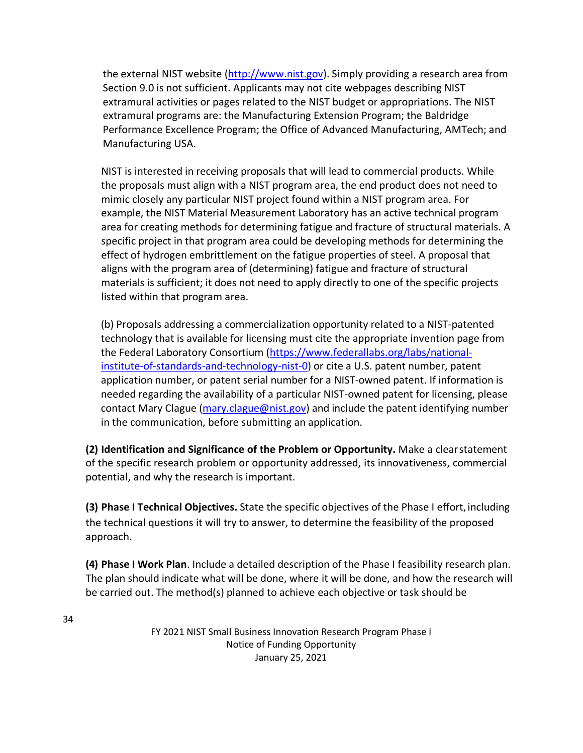the external NIST website [\(http://www.nist.gov\)](http://www.nist.gov/). Simply providing a research area from Section 9.0 is not sufficient. Applicants may not cite webpages describing NIST extramural activities or pages related to the NIST budget or appropriations. The NIST extramural programs are: the Manufacturing Extension Program; the Baldridge Performance Excellence Program; the Office of Advanced Manufacturing, AMTech; and Manufacturing USA.

NIST is interested in receiving proposals that will lead to commercial products. While the proposals must align with a NIST program area, the end product does not need to mimic closely any particular NIST project found within a NIST program area. For example, the NIST Material Measurement Laboratory has an active technical program area for creating methods for determining fatigue and fracture of structural materials. A specific project in that program area could be developing methods for determining the effect of hydrogen embrittlement on the fatigue properties of steel. A proposal that aligns with the program area of (determining) fatigue and fracture of structural materials is sufficient; it does not need to apply directly to one of the specific projects listed within that program area.

(b) Proposals addressing a commercialization opportunity related to a NIST-patented technology that is available for licensing must cite the appropriate invention page from the Federal Laboratory Consortium [\(https://www.federallabs.org/labs/national](https://www.federallabs.org/labs/national-institute-of-standards-and-technology-nist-0)[institute-of-standards-and-technology-nist-0\)](https://www.federallabs.org/labs/national-institute-of-standards-and-technology-nist-0) or cite a U.S. patent number, patent application number, or patent serial number for a NIST-owned patent. If information is needed regarding the availability of a particular NIST-owned patent for licensing, please contact Mary Clague [\(mary.clague@nist.gov\)](mailto:mary.clague@nist.gov) and include the patent identifying number in the communication, before submitting an application.

**(2) Identification and Significance of the Problem or Opportunity.** Make a clearstatement of the specific research problem or opportunity addressed, its innovativeness, commercial potential, and why the research is important.

**(3) Phase I Technical Objectives.** State the specific objectives of the Phase I effort, including the technical questions it will try to answer, to determine the feasibility of the proposed approach.

**(4) Phase I Work Plan**. Include a detailed description of the Phase I feasibility research plan. The plan should indicate what will be done, where it will be done, and how the research will be carried out. The method(s) planned to achieve each objective or task should be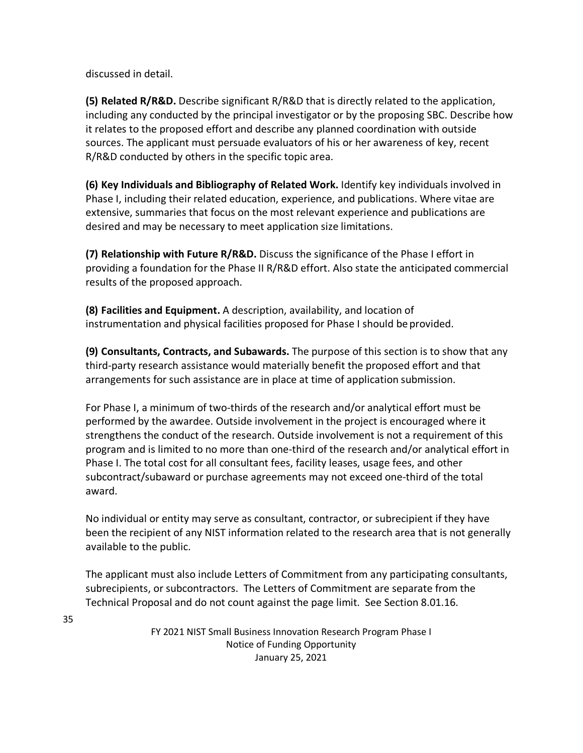discussed in detail.

**(5) Related R/R&D.** Describe significant R/R&D that is directly related to the application, including any conducted by the principal investigator or by the proposing SBC. Describe how it relates to the proposed effort and describe any planned coordination with outside sources. The applicant must persuade evaluators of his or her awareness of key, recent R/R&D conducted by others in the specific topic area.

**(6) Key Individuals and Bibliography of Related Work.** Identify key individuals involved in Phase I, including their related education, experience, and publications. Where vitae are extensive, summaries that focus on the most relevant experience and publications are desired and may be necessary to meet application size limitations.

**(7) Relationship with Future R/R&D.** Discuss the significance of the Phase I effort in providing a foundation for the Phase II R/R&D effort. Also state the anticipated commercial results of the proposed approach.

**(8) Facilities and Equipment.** A description, availability, and location of instrumentation and physical facilities proposed for Phase I should be provided.

**(9) Consultants, Contracts, and Subawards.** The purpose of this section is to show that any third-party research assistance would materially benefit the proposed effort and that arrangements for such assistance are in place at time of application submission.

For Phase I, a minimum of two-thirds of the research and/or analytical effort must be performed by the awardee. Outside involvement in the project is encouraged where it strengthens the conduct of the research. Outside involvement is not a requirement of this program and is limited to no more than one-third of the research and/or analytical effort in Phase I. The total cost for all consultant fees, facility leases, usage fees, and other subcontract/subaward or purchase agreements may not exceed one-third of the total award.

No individual or entity may serve as consultant, contractor, or subrecipient if they have been the recipient of any NIST information related to the research area that is not generally available to the public.

The applicant must also include Letters of Commitment from any participating consultants, subrecipients, or subcontractors. The Letters of Commitment are separate from the Technical Proposal and do not count against the page limit. See Section 8.01.16.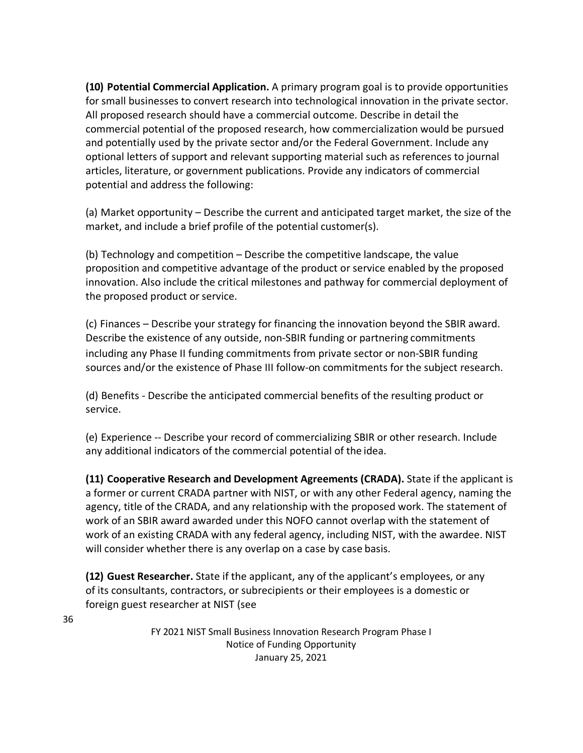**(10) Potential Commercial Application.** A primary program goal is to provide opportunities for small businesses to convert research into technological innovation in the private sector. All proposed research should have a commercial outcome. Describe in detail the commercial potential of the proposed research, how commercialization would be pursued and potentially used by the private sector and/or the Federal Government. Include any optional letters of support and relevant supporting material such as references to journal articles, literature, or government publications. Provide any indicators of commercial potential and address the following:

(a) Market opportunity – Describe the current and anticipated target market, the size of the market, and include a brief profile of the potential customer(s).

(b) Technology and competition – Describe the competitive landscape, the value proposition and competitive advantage of the product or service enabled by the proposed innovation. Also include the critical milestones and pathway for commercial deployment of the proposed product or service.

(c) Finances – Describe your strategy for financing the innovation beyond the SBIR award. Describe the existence of any outside, non-SBIR funding or partnering commitments including any Phase II funding commitments from private sector or non-SBIR funding sources and/or the existence of Phase III follow-on commitments for the subject research.

(d) Benefits - Describe the anticipated commercial benefits of the resulting product or service.

(e) Experience -- Describe your record of commercializing SBIR or other research. Include any additional indicators of the commercial potential of the idea.

**(11) Cooperative Research and Development Agreements (CRADA).** State if the applicant is a former or current CRADA partner with NIST, or with any other Federal agency, naming the agency, title of the CRADA, and any relationship with the proposed work. The statement of work of an SBIR award awarded under this NOFO cannot overlap with the statement of work of an existing CRADA with any federal agency, including NIST, with the awardee. NIST will consider whether there is any overlap on a case by case basis.

**(12) Guest Researcher.** State if the applicant, any of the applicant's employees, or any of its consultants, contractors, or subrecipients or their employees is a domestic or foreign guest researcher at NIST (see

> FY 2021 NIST Small Business Innovation Research Program Phase I Notice of Funding Opportunity January 25, 2021

36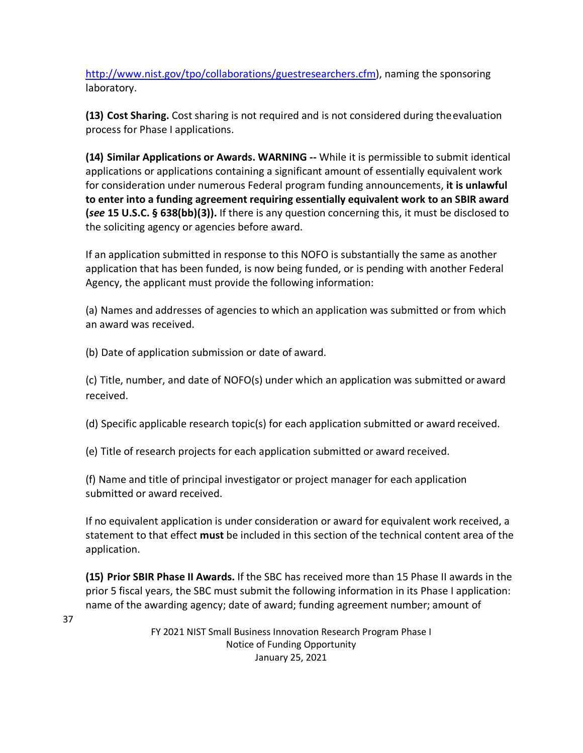[http://www.nist.gov/tpo/collaborations/guestresearchers.cfm\)](http://www.nist.gov/tpo/collaborations/guestresearchers.cfm), naming the sponsoring laboratory.

**(13) Cost Sharing.** Cost sharing is not required and is not considered during theevaluation process for Phase I applications.

**(14) Similar Applications or Awards. WARNING --** While it is permissible to submit identical applications or applications containing a significant amount of essentially equivalent work for consideration under numerous Federal program funding announcements, **it is unlawful to enter into a funding agreement requiring essentially equivalent work to an SBIR award (***see* **15 U.S.C. § 638(bb)(3)).** If there is any question concerning this, it must be disclosed to the soliciting agency or agencies before award.

If an application submitted in response to this NOFO is substantially the same as another application that has been funded, is now being funded, or is pending with another Federal Agency, the applicant must provide the following information:

(a) Names and addresses of agencies to which an application was submitted or from which an award was received.

(b) Date of application submission or date of award.

37

(c) Title, number, and date of NOFO(s) under which an application was submitted or award received.

(d) Specific applicable research topic(s) for each application submitted or award received.

(e) Title of research projects for each application submitted or award received.

(f) Name and title of principal investigator or project manager for each application submitted or award received.

If no equivalent application is under consideration or award for equivalent work received, a statement to that effect **must** be included in this section of the technical content area of the application.

**(15) Prior SBIR Phase II Awards.** If the SBC has received more than 15 Phase II awards in the prior 5 fiscal years, the SBC must submit the following information in its Phase I application: name of the awarding agency; date of award; funding agreement number; amount of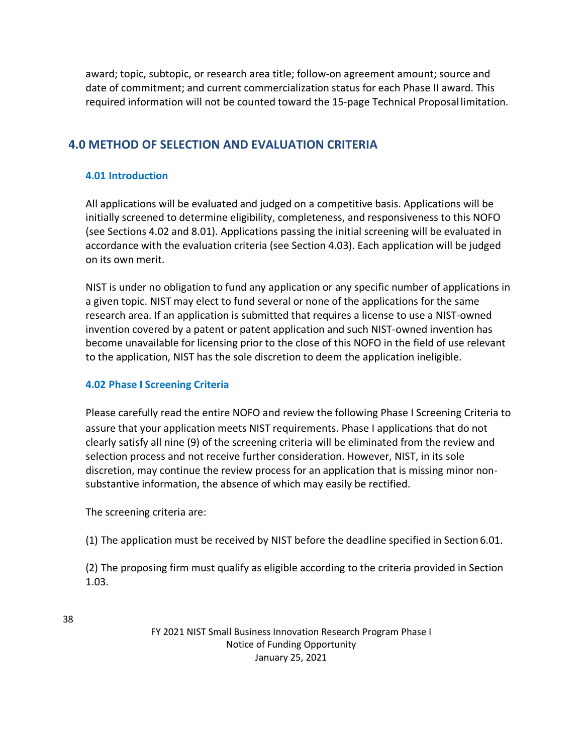award; topic, subtopic, or research area title; follow-on agreement amount; source and date of commitment; and current commercialization status for each Phase II award. This required information will not be counted toward the 15-page Technical Proposal limitation.

# **4.0 METHOD OF SELECTION AND EVALUATION CRITERIA**

## **4.01 Introduction**

All applications will be evaluated and judged on a competitive basis. Applications will be initially screened to determine eligibility, completeness, and responsiveness to this NOFO (see Sections 4.02 and 8.01). Applications passing the initial screening will be evaluated in accordance with the evaluation criteria (see Section 4.03). Each application will be judged on its own merit.

NIST is under no obligation to fund any application or any specific number of applications in a given topic. NIST may elect to fund several or none of the applications for the same research area. If an application is submitted that requires a license to use a NIST-owned invention covered by a patent or patent application and such NIST-owned invention has become unavailable for licensing prior to the close of this NOFO in the field of use relevant to the application, NIST has the sole discretion to deem the application ineligible.

## **4.02 Phase I Screening Criteria**

Please carefully read the entire NOFO and review the following Phase I Screening Criteria to assure that your application meets NIST requirements. Phase I applications that do not clearly satisfy all nine (9) of the screening criteria will be eliminated from the review and selection process and not receive further consideration. However, NIST, in its sole discretion, may continue the review process for an application that is missing minor nonsubstantive information, the absence of which may easily be rectified.

The screening criteria are:

(1) The application must be received by NIST before the deadline specified in Section 6.01.

(2) The proposing firm must qualify as eligible according to the criteria provided in Section 1.03.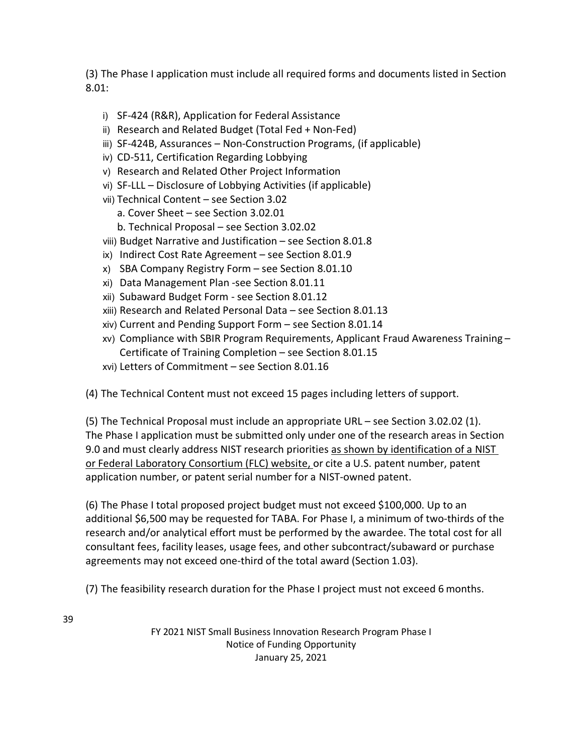(3) The Phase I application must include all required forms and documents listed in Section 8.01:

- i) SF-424 (R&R), Application for Federal Assistance
- ii) Research and Related Budget (Total Fed + Non-Fed)
- iii) SF-424B, Assurances Non-Construction Programs, (if applicable)
- iv) CD-511, Certification Regarding Lobbying
- v) Research and Related Other Project Information
- vi) SF-LLL Disclosure of Lobbying Activities (if applicable)
- vii) Technical Content see Section 3.02
	- a. Cover Sheet see Section 3.02.01
	- b. Technical Proposal see Section 3.02.02
- viii) Budget Narrative and Justification see Section 8.01.8
- ix) Indirect Cost Rate Agreement see Section 8.01.9
- x) SBA Company Registry Form see Section 8.01.10
- xi) Data Management Plan -see Section 8.01.11
- xii) Subaward Budget Form see Section 8.01.12
- xiii) Research and Related Personal Data see Section 8.01.13
- xiv) Current and Pending Support Form see Section 8.01.14
- xv) Compliance with SBIR Program Requirements, Applicant Fraud Awareness Training Certificate of Training Completion – see Section 8.01.15
- xvi) Letters of Commitment see Section 8.01.16

(4) The Technical Content must not exceed 15 pages including letters of support.

(5) The Technical Proposal must include an appropriate URL – see Section 3.02.02 (1). The Phase I application must be submitted only under one of the research areas in Section 9.0 and must clearly address NIST research priorities as shown by identification of a NIST or Federal Laboratory Consortium (FLC) website, or cite a U.S. patent number, patent application number, or patent serial number for a NIST-owned patent.

(6) The Phase I total proposed project budget must not exceed \$100,000. Up to an additional \$6,500 may be requested for TABA. For Phase I, a minimum of two-thirds of the research and/or analytical effort must be performed by the awardee. The total cost for all consultant fees, facility leases, usage fees, and other subcontract/subaward or purchase agreements may not exceed one-third of the total award (Section 1.03).

(7) The feasibility research duration for the Phase I project must not exceed 6 months.

39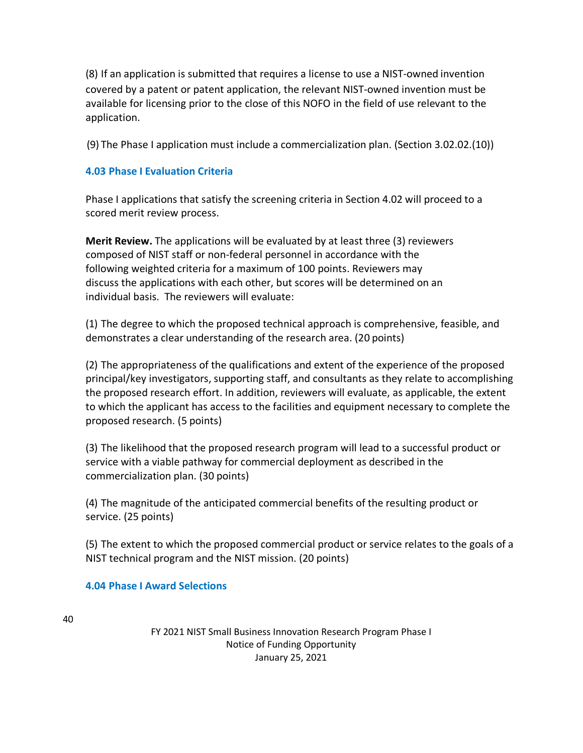(8) If an application is submitted that requires a license to use a NIST-owned invention covered by a patent or patent application, the relevant NIST-owned invention must be available for licensing prior to the close of this NOFO in the field of use relevant to the application.

(9) The Phase I application must include a commercialization plan. (Section 3.02.02.(10))

## **4.03 Phase I Evaluation Criteria**

Phase I applications that satisfy the screening criteria in Section 4.02 will proceed to a scored merit review process.

**Merit Review.** The applications will be evaluated by at least three (3) reviewers composed of NIST staff or non-federal personnel in accordance with the following weighted criteria for a maximum of 100 points. Reviewers may discuss the applications with each other, but scores will be determined on an individual basis. The reviewers will evaluate:

(1) The degree to which the proposed technical approach is comprehensive, feasible, and demonstrates a clear understanding of the research area. (20 points)

(2) The appropriateness of the qualifications and extent of the experience of the proposed principal/key investigators, supporting staff, and consultants as they relate to accomplishing the proposed research effort. In addition, reviewers will evaluate, as applicable, the extent to which the applicant has access to the facilities and equipment necessary to complete the proposed research. (5 points)

(3) The likelihood that the proposed research program will lead to a successful product or service with a viable pathway for commercial deployment as described in the commercialization plan. (30 points)

(4) The magnitude of the anticipated commercial benefits of the resulting product or service. (25 points)

(5) The extent to which the proposed commercial product or service relates to the goals of a NIST technical program and the NIST mission. (20 points)

## **4.04 Phase I Award Selections**

40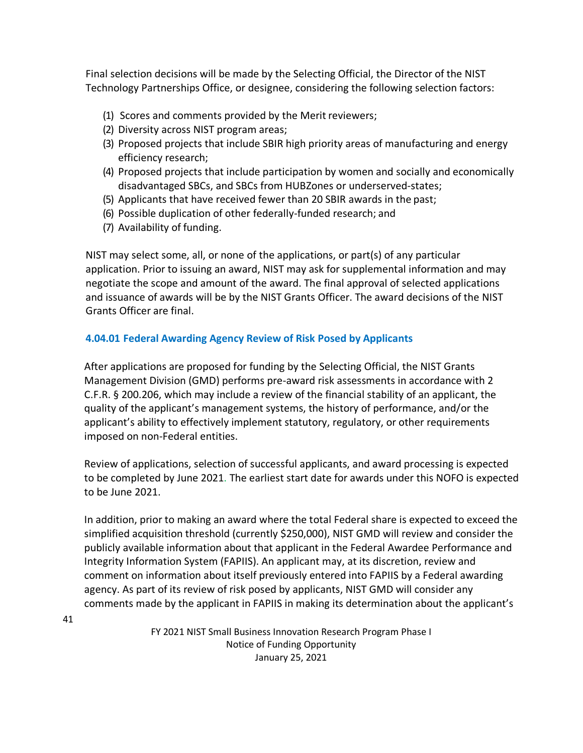Final selection decisions will be made by the Selecting Official, the Director of the NIST Technology Partnerships Office, or designee, considering the following selection factors:

- (1) Scores and comments provided by the Merit reviewers;
- (2) Diversity across NIST program areas;
- (3) Proposed projects that include SBIR high priority areas of manufacturing and energy efficiency research;
- (4) Proposed projects that include participation by women and socially and economically disadvantaged SBCs, and SBCs from HUBZones or underserved-states;
- (5) Applicants that have received fewer than 20 SBIR awards in the past;
- (6) Possible duplication of other federally-funded research; and
- (7) Availability of funding.

NIST may select some, all, or none of the applications, or part(s) of any particular application. Prior to issuing an award, NIST may ask for supplemental information and may negotiate the scope and amount of the award. The final approval of selected applications and issuance of awards will be by the NIST Grants Officer. The award decisions of the NIST Grants Officer are final.

### **4.04.01 Federal Awarding Agency Review of Risk Posed by Applicants**

After applications are proposed for funding by the Selecting Official, the NIST Grants Management Division (GMD) performs pre-award risk assessments in accordance with 2 C.F.R. § 200.206, which may include a review of the financial stability of an applicant, the quality of the applicant's management systems, the history of performance, and/or the applicant's ability to effectively implement statutory, regulatory, or other requirements imposed on non-Federal entities.

Review of applications, selection of successful applicants, and award processing is expected to be completed by June 2021. The earliest start date for awards under this NOFO is expected to be June 2021.

In addition, prior to making an award where the total Federal share is expected to exceed the simplified acquisition threshold (currently \$250,000), NIST GMD will review and consider the publicly available information about that applicant in the Federal Awardee Performance and Integrity Information System (FAPIIS). An applicant may, at its discretion, review and comment on information about itself previously entered into FAPIIS by a Federal awarding agency. As part of its review of risk posed by applicants, NIST GMD will consider any comments made by the applicant in FAPIIS in making its determination about the applicant's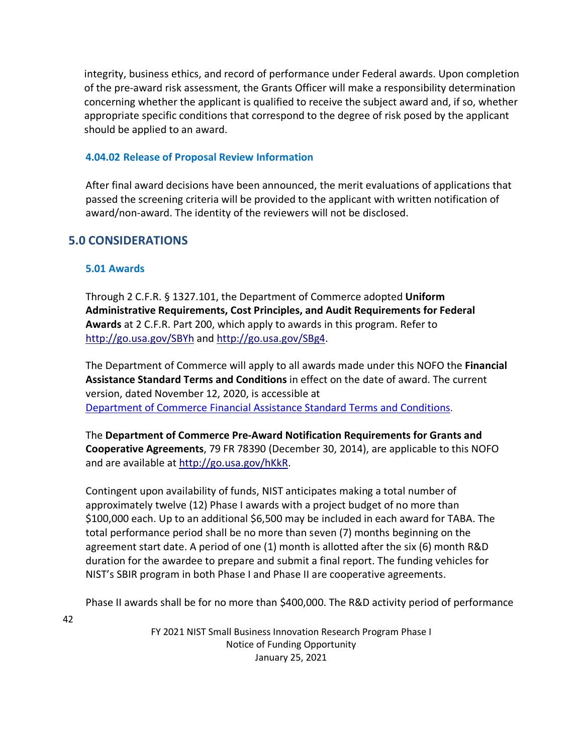integrity, business ethics, and record of performance under Federal awards. Upon completion of the pre-award risk assessment, the Grants Officer will make a responsibility determination concerning whether the applicant is qualified to receive the subject award and, if so, whether appropriate specific conditions that correspond to the degree of risk posed by the applicant should be applied to an award.

## **4.04.02 Release of Proposal Review Information**

After final award decisions have been announced, the merit evaluations of applications that passed the screening criteria will be provided to the applicant with written notification of award/non-award. The identity of the reviewers will not be disclosed.

## **5.0 CONSIDERATIONS**

## **5.01 Awards**

Through 2 C.F.R. § 1327.101, the Department of Commerce adopted **Uniform Administrative Requirements, Cost Principles, and Audit Requirements for Federal Awards** at 2 C.F.R. Part 200, which apply to awards in this program. Refer to <http://go.usa.gov/SBYh> and<http://go.usa.gov/SBg4>.

The Department of Commerce will apply to all awards made under this NOFO the **Financial Assistance Standard Terms and Conditions** in effect on the date of award. The current version, dated November 12, 2020, is accessible at [Department of Commerce Financial Assistance Standard Terms and Conditions.](https://www.commerce.gov/sites/default/files/2020-11/DOC%20Standard%20Terms%20and%20Conditions%20-%2012%20November%202020%20PDF_0.pdf)

The **Department of Commerce Pre-Award Notification Requirements for Grants and Cooperative Agreements**, 79 FR 78390 (December 30, 2014), are applicable to this NOFO and are available at [http://go.usa.gov/hKkR.](http://go.usa.gov/hKkR)

Contingent upon availability of funds, NIST anticipates making a total number of approximately twelve (12) Phase I awards with a project budget of no more than \$100,000 each. Up to an additional \$6,500 may be included in each award for TABA. The total performance period shall be no more than seven (7) months beginning on the agreement start date. A period of one (1) month is allotted after the six (6) month R&D duration for the awardee to prepare and submit a final report. The funding vehicles for NIST's SBIR program in both Phase I and Phase II are cooperative agreements.

Phase II awards shall be for no more than \$400,000. The R&D activity period of performance

42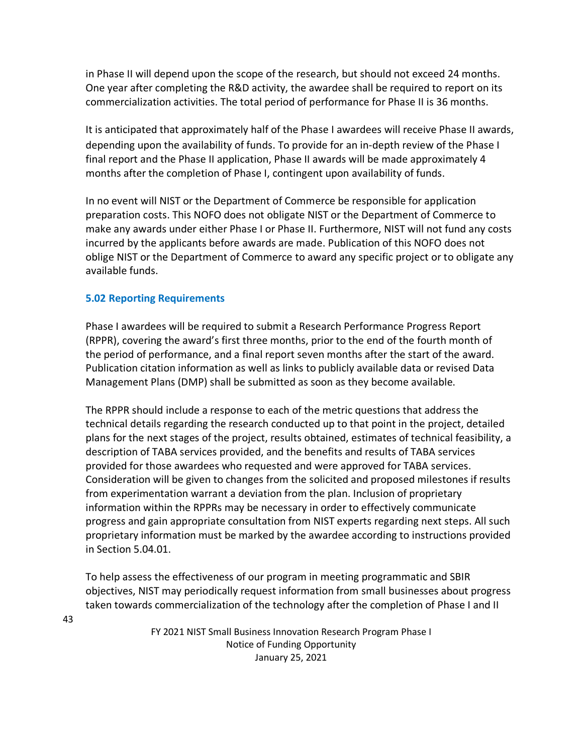in Phase II will depend upon the scope of the research, but should not exceed 24 months. One year after completing the R&D activity, the awardee shall be required to report on its commercialization activities. The total period of performance for Phase II is 36 months.

It is anticipated that approximately half of the Phase I awardees will receive Phase II awards, depending upon the availability of funds. To provide for an in-depth review of the Phase I final report and the Phase II application, Phase II awards will be made approximately 4 months after the completion of Phase I, contingent upon availability of funds.

In no event will NIST or the Department of Commerce be responsible for application preparation costs. This NOFO does not obligate NIST or the Department of Commerce to make any awards under either Phase I or Phase II. Furthermore, NIST will not fund any costs incurred by the applicants before awards are made. Publication of this NOFO does not oblige NIST or the Department of Commerce to award any specific project or to obligate any available funds.

## **5.02 Reporting Requirements**

43

Phase I awardees will be required to submit a Research Performance Progress Report (RPPR), covering the award's first three months, prior to the end of the fourth month of the period of performance, and a final report seven months after the start of the award. Publication citation information as well as links to publicly available data or revised Data Management Plans (DMP) shall be submitted as soon as they become available.

The RPPR should include a response to each of the metric questions that address the technical details regarding the research conducted up to that point in the project, detailed plans for the next stages of the project, results obtained, estimates of technical feasibility, a description of TABA services provided, and the benefits and results of TABA services provided for those awardees who requested and were approved for TABA services. Consideration will be given to changes from the solicited and proposed milestones if results from experimentation warrant a deviation from the plan. Inclusion of proprietary information within the RPPRs may be necessary in order to effectively communicate progress and gain appropriate consultation from NIST experts regarding next steps. All such proprietary information must be marked by the awardee according to instructions provided in Section 5.04.01.

To help assess the effectiveness of our program in meeting programmatic and SBIR objectives, NIST may periodically request information from small businesses about progress taken towards commercialization of the technology after the completion of Phase I and II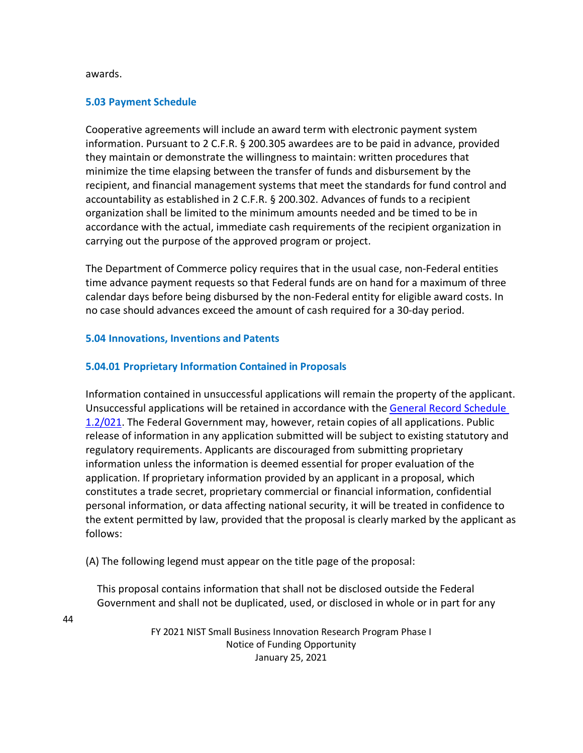#### awards.

44

### **5.03 Payment Schedule**

Cooperative agreements will include an award term with electronic payment system information. Pursuant to 2 C.F.R. § 200.305 awardees are to be paid in advance, provided they maintain or demonstrate the willingness to maintain: written procedures that minimize the time elapsing between the transfer of funds and disbursement by the recipient, and financial management systems that meet the standards for fund control and accountability as established in 2 C.F.R. § 200.302. Advances of funds to a recipient organization shall be limited to the minimum amounts needed and be timed to be in accordance with the actual, immediate cash requirements of the recipient organization in carrying out the purpose of the approved program or project.

The Department of Commerce policy requires that in the usual case, non-Federal entities time advance payment requests so that Federal funds are on hand for a maximum of three calendar days before being disbursed by the non-Federal entity for eligible award costs. In no case should advances exceed the amount of cash required for a 30-day period.

#### **5.04 Innovations, Inventions and Patents**

### **5.04.01 Proprietary Information Contained in Proposals**

Information contained in unsuccessful applications will remain the property of the applicant. Unsuccessful applications will be retained in accordance with the [General Record Schedule](https://www.archives.gov/files/records-mgmt/grs/grs01-2.pdf)  [1.2/021.](https://www.archives.gov/files/records-mgmt/grs/grs01-2.pdf) The Federal Government may, however, retain copies of all applications. Public release of information in any application submitted will be subject to existing statutory and regulatory requirements. Applicants are discouraged from submitting proprietary information unless the information is deemed essential for proper evaluation of the application. If proprietary information provided by an applicant in a proposal, which constitutes a trade secret, proprietary commercial or financial information, confidential personal information, or data affecting national security, it will be treated in confidence to the extent permitted by law, provided that the proposal is clearly marked by the applicant as follows:

(A) The following legend must appear on the title page of the proposal:

This proposal contains information that shall not be disclosed outside the Federal Government and shall not be duplicated, used, or disclosed in whole or in part for any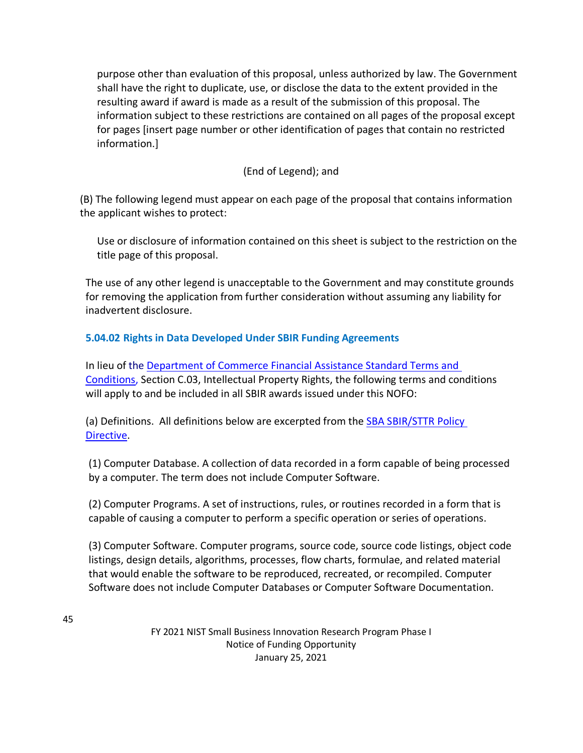purpose other than evaluation of this proposal, unless authorized by law. The Government shall have the right to duplicate, use, or disclose the data to the extent provided in the resulting award if award is made as a result of the submission of this proposal. The information subject to these restrictions are contained on all pages of the proposal except for pages [insert page number or other identification of pages that contain no restricted information.]

## (End of Legend); and

(B) The following legend must appear on each page of the proposal that contains information the applicant wishes to protect:

Use or disclosure of information contained on this sheet is subject to the restriction on the title page of this proposal.

The use of any other legend is unacceptable to the Government and may constitute grounds for removing the application from further consideration without assuming any liability for inadvertent disclosure.

## **5.04.02 Rights in Data Developed Under SBIR Funding Agreements**

In lieu of the [Department of Commerce Financial Assistance Standard Terms and](https://www.commerce.gov/sites/default/files/2020-11/DOC%20Standard%20Terms%20and%20Conditions%20-%2012%20November%202020%20PDF_0.pdf)  [Conditions,](https://www.commerce.gov/sites/default/files/2020-11/DOC%20Standard%20Terms%20and%20Conditions%20-%2012%20November%202020%20PDF_0.pdf) Section C.03, Intellectual Property Rights, the following terms and conditions will apply to and be included in all SBIR awards issued under this NOFO:

(a) Definitions. All definitions below are excerpted from the [SBA SBIR/STTR Policy](https://www.sbir.gov/sites/default/files/SBA_SBIR_STTR_POLICY_DIRECTIVE_OCT_2020_0.pdf)  [Directive.](https://www.sbir.gov/sites/default/files/SBA_SBIR_STTR_POLICY_DIRECTIVE_OCT_2020_0.pdf)

(1) Computer Database. A collection of data recorded in a form capable of being processed by a computer. The term does not include Computer Software.

(2) Computer Programs. A set of instructions, rules, or routines recorded in a form that is capable of causing a computer to perform a specific operation or series of operations.

(3) Computer Software. Computer programs, source code, source code listings, object code listings, design details, algorithms, processes, flow charts, formulae, and related material that would enable the software to be reproduced, recreated, or recompiled. Computer Software does not include Computer Databases or Computer Software Documentation.

45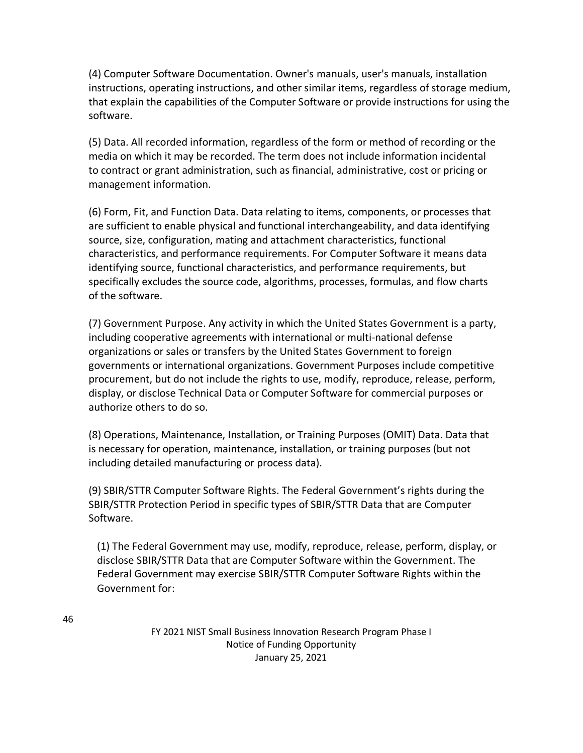(4) Computer Software Documentation. Owner's manuals, user's manuals, installation instructions, operating instructions, and other similar items, regardless of storage medium, that explain the capabilities of the Computer Software or provide instructions for using the software.

(5) Data. All recorded information, regardless of the form or method of recording or the media on which it may be recorded. The term does not include information incidental to contract or grant administration, such as financial, administrative, cost or pricing or management information.

(6) Form, Fit, and Function Data. Data relating to items, components, or processes that are sufficient to enable physical and functional interchangeability, and data identifying source, size, configuration, mating and attachment characteristics, functional characteristics, and performance requirements. For Computer Software it means data identifying source, functional characteristics, and performance requirements, but specifically excludes the source code, algorithms, processes, formulas, and flow charts of the software.

(7) Government Purpose. Any activity in which the United States Government is a party, including cooperative agreements with international or multi-national defense organizations or sales or transfers by the United States Government to foreign governments or international organizations. Government Purposes include competitive procurement, but do not include the rights to use, modify, reproduce, release, perform, display, or disclose Technical Data or Computer Software for commercial purposes or authorize others to do so.

(8) Operations, Maintenance, Installation, or Training Purposes (OMIT) Data. Data that is necessary for operation, maintenance, installation, or training purposes (but not including detailed manufacturing or process data).

(9) SBIR/STTR Computer Software Rights. The Federal Government's rights during the SBIR/STTR Protection Period in specific types of SBIR/STTR Data that are Computer Software.

(1) The Federal Government may use, modify, reproduce, release, perform, display, or disclose SBIR/STTR Data that are Computer Software within the Government. The Federal Government may exercise SBIR/STTR Computer Software Rights within the Government for: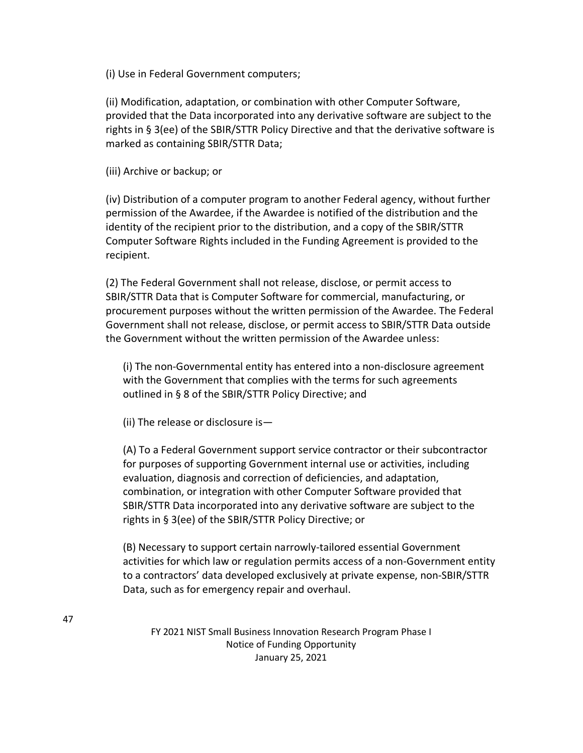(i) Use in Federal Government computers;

(ii) Modification, adaptation, or combination with other Computer Software, provided that the Data incorporated into any derivative software are subject to the rights in § 3(ee) of the SBIR/STTR Policy Directive and that the derivative software is marked as containing SBIR/STTR Data;

(iii) Archive or backup; or

(iv) Distribution of a computer program to another Federal agency, without further permission of the Awardee, if the Awardee is notified of the distribution and the identity of the recipient prior to the distribution, and a copy of the SBIR/STTR Computer Software Rights included in the Funding Agreement is provided to the recipient.

(2) The Federal Government shall not release, disclose, or permit access to SBIR/STTR Data that is Computer Software for commercial, manufacturing, or procurement purposes without the written permission of the Awardee. The Federal Government shall not release, disclose, or permit access to SBIR/STTR Data outside the Government without the written permission of the Awardee unless:

(i) The non-Governmental entity has entered into a non-disclosure agreement with the Government that complies with the terms for such agreements outlined in § 8 of the SBIR/STTR Policy Directive; and

(ii) The release or disclosure is—

(A) To a Federal Government support service contractor or their subcontractor for purposes of supporting Government internal use or activities, including evaluation, diagnosis and correction of deficiencies, and adaptation, combination, or integration with other Computer Software provided that SBIR/STTR Data incorporated into any derivative software are subject to the rights in § 3(ee) of the SBIR/STTR Policy Directive; or

(B) Necessary to support certain narrowly-tailored essential Government activities for which law or regulation permits access of a non-Government entity to a contractors' data developed exclusively at private expense, non-SBIR/STTR Data, such as for emergency repair and overhaul.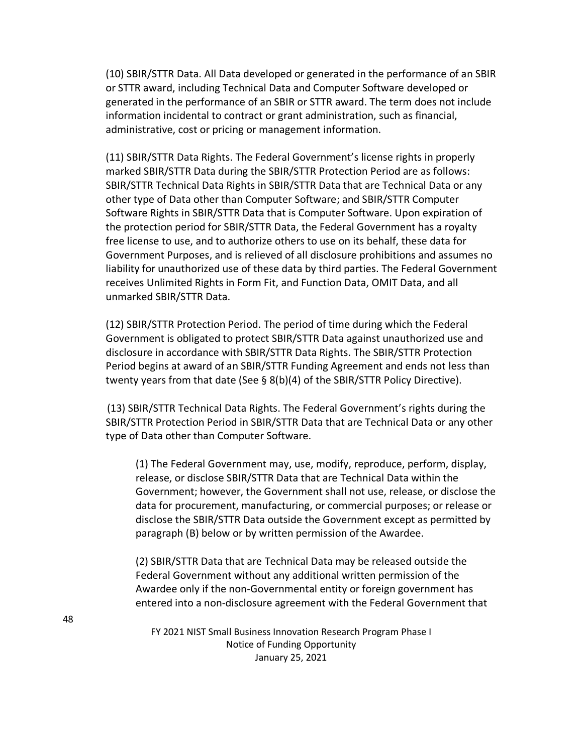(10) SBIR/STTR Data. All Data developed or generated in the performance of an SBIR or STTR award, including Technical Data and Computer Software developed or generated in the performance of an SBIR or STTR award. The term does not include information incidental to contract or grant administration, such as financial, administrative, cost or pricing or management information.

(11) SBIR/STTR Data Rights. The Federal Government's license rights in properly marked SBIR/STTR Data during the SBIR/STTR Protection Period are as follows: SBIR/STTR Technical Data Rights in SBIR/STTR Data that are Technical Data or any other type of Data other than Computer Software; and SBIR/STTR Computer Software Rights in SBIR/STTR Data that is Computer Software. Upon expiration of the protection period for SBIR/STTR Data, the Federal Government has a royalty free license to use, and to authorize others to use on its behalf, these data for Government Purposes, and is relieved of all disclosure prohibitions and assumes no liability for unauthorized use of these data by third parties. The Federal Government receives Unlimited Rights in Form Fit, and Function Data, OMIT Data, and all unmarked SBIR/STTR Data.

(12) SBIR/STTR Protection Period. The period of time during which the Federal Government is obligated to protect SBIR/STTR Data against unauthorized use and disclosure in accordance with SBIR/STTR Data Rights. The SBIR/STTR Protection Period begins at award of an SBIR/STTR Funding Agreement and ends not less than twenty years from that date (See § 8(b)(4) of the SBIR/STTR Policy Directive).

(13) SBIR/STTR Technical Data Rights. The Federal Government's rights during the SBIR/STTR Protection Period in SBIR/STTR Data that are Technical Data or any other type of Data other than Computer Software.

(1) The Federal Government may, use, modify, reproduce, perform, display, release, or disclose SBIR/STTR Data that are Technical Data within the Government; however, the Government shall not use, release, or disclose the data for procurement, manufacturing, or commercial purposes; or release or disclose the SBIR/STTR Data outside the Government except as permitted by paragraph (B) below or by written permission of the Awardee.

(2) SBIR/STTR Data that are Technical Data may be released outside the Federal Government without any additional written permission of the Awardee only if the non-Governmental entity or foreign government has entered into a non-disclosure agreement with the Federal Government that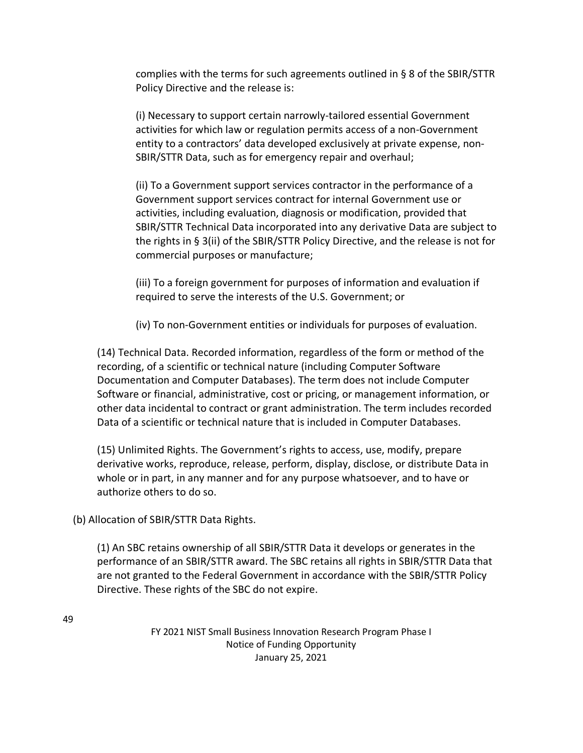complies with the terms for such agreements outlined in § 8 of the SBIR/STTR Policy Directive and the release is:

(i) Necessary to support certain narrowly-tailored essential Government activities for which law or regulation permits access of a non-Government entity to a contractors' data developed exclusively at private expense, non-SBIR/STTR Data, such as for emergency repair and overhaul;

(ii) To a Government support services contractor in the performance of a Government support services contract for internal Government use or activities, including evaluation, diagnosis or modification, provided that SBIR/STTR Technical Data incorporated into any derivative Data are subject to the rights in § 3(ii) of the SBIR/STTR Policy Directive, and the release is not for commercial purposes or manufacture;

(iii) To a foreign government for purposes of information and evaluation if required to serve the interests of the U.S. Government; or

(iv) To non-Government entities or individuals for purposes of evaluation.

(14) Technical Data. Recorded information, regardless of the form or method of the recording, of a scientific or technical nature (including Computer Software Documentation and Computer Databases). The term does not include Computer Software or financial, administrative, cost or pricing, or management information, or other data incidental to contract or grant administration. The term includes recorded Data of a scientific or technical nature that is included in Computer Databases.

(15) Unlimited Rights. The Government's rights to access, use, modify, prepare derivative works, reproduce, release, perform, display, disclose, or distribute Data in whole or in part, in any manner and for any purpose whatsoever, and to have or authorize others to do so.

(b) Allocation of SBIR/STTR Data Rights.

(1) An SBC retains ownership of all SBIR/STTR Data it develops or generates in the performance of an SBIR/STTR award. The SBC retains all rights in SBIR/STTR Data that are not granted to the Federal Government in accordance with the SBIR/STTR Policy Directive. These rights of the SBC do not expire.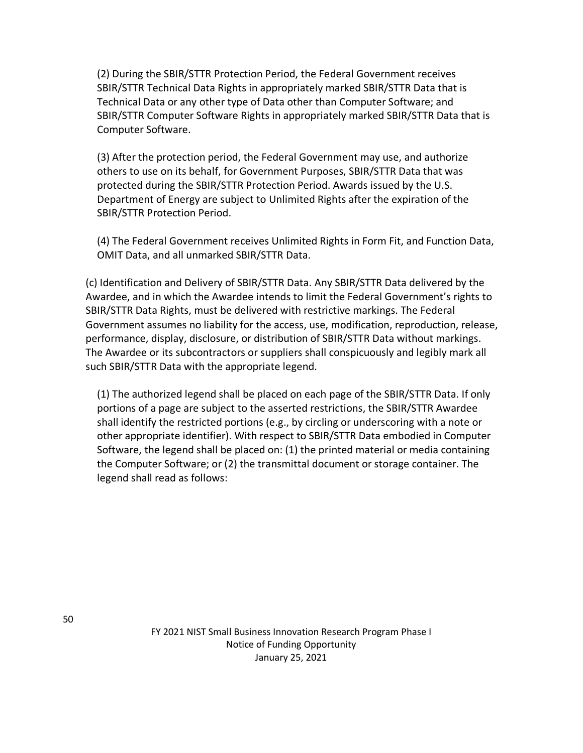(2) During the SBIR/STTR Protection Period, the Federal Government receives SBIR/STTR Technical Data Rights in appropriately marked SBIR/STTR Data that is Technical Data or any other type of Data other than Computer Software; and SBIR/STTR Computer Software Rights in appropriately marked SBIR/STTR Data that is Computer Software.

(3) After the protection period, the Federal Government may use, and authorize others to use on its behalf, for Government Purposes, SBIR/STTR Data that was protected during the SBIR/STTR Protection Period. Awards issued by the U.S. Department of Energy are subject to Unlimited Rights after the expiration of the SBIR/STTR Protection Period.

(4) The Federal Government receives Unlimited Rights in Form Fit, and Function Data, OMIT Data, and all unmarked SBIR/STTR Data.

(c) Identification and Delivery of SBIR/STTR Data. Any SBIR/STTR Data delivered by the Awardee, and in which the Awardee intends to limit the Federal Government's rights to SBIR/STTR Data Rights, must be delivered with restrictive markings. The Federal Government assumes no liability for the access, use, modification, reproduction, release, performance, display, disclosure, or distribution of SBIR/STTR Data without markings. The Awardee or its subcontractors or suppliers shall conspicuously and legibly mark all such SBIR/STTR Data with the appropriate legend.

(1) The authorized legend shall be placed on each page of the SBIR/STTR Data. If only portions of a page are subject to the asserted restrictions, the SBIR/STTR Awardee shall identify the restricted portions (e.g., by circling or underscoring with a note or other appropriate identifier). With respect to SBIR/STTR Data embodied in Computer Software, the legend shall be placed on: (1) the printed material or media containing the Computer Software; or (2) the transmittal document or storage container. The legend shall read as follows: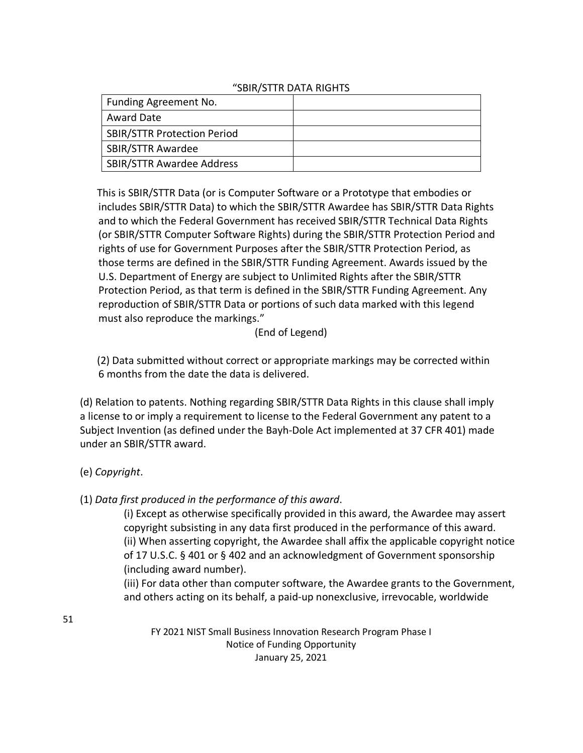## "SBIR/STTR DATA RIGHTS

| Funding Agreement No.              |  |
|------------------------------------|--|
| Award Date                         |  |
| <b>SBIR/STTR Protection Period</b> |  |
| <b>SBIR/STTR Awardee</b>           |  |
| <b>SBIR/STTR Awardee Address</b>   |  |

This is SBIR/STTR Data (or is Computer Software or a Prototype that embodies or includes SBIR/STTR Data) to which the SBIR/STTR Awardee has SBIR/STTR Data Rights and to which the Federal Government has received SBIR/STTR Technical Data Rights (or SBIR/STTR Computer Software Rights) during the SBIR/STTR Protection Period and rights of use for Government Purposes after the SBIR/STTR Protection Period, as those terms are defined in the SBIR/STTR Funding Agreement. Awards issued by the U.S. Department of Energy are subject to Unlimited Rights after the SBIR/STTR Protection Period, as that term is defined in the SBIR/STTR Funding Agreement. Any reproduction of SBIR/STTR Data or portions of such data marked with this legend must also reproduce the markings."

### (End of Legend)

(2) Data submitted without correct or appropriate markings may be corrected within 6 months from the date the data is delivered.

(d) Relation to patents. Nothing regarding SBIR/STTR Data Rights in this clause shall imply a license to or imply a requirement to license to the Federal Government any patent to a Subject Invention (as defined under the Bayh-Dole Act implemented at 37 CFR 401) made under an SBIR/STTR award.

## (e) *Copyright*.

## (1) *Data first produced in the performance of this award*.

(i) Except as otherwise specifically provided in this award, the Awardee may assert copyright subsisting in any data first produced in the performance of this award. (ii) When asserting copyright, the Awardee shall affix the applicable copyright notice of 17 U.S.C. § 401 or § 402 and an acknowledgment of Government sponsorship (including award number).

(iii) For data other than computer software, the Awardee grants to the Government, and others acting on its behalf, a paid-up nonexclusive, irrevocable, worldwide

51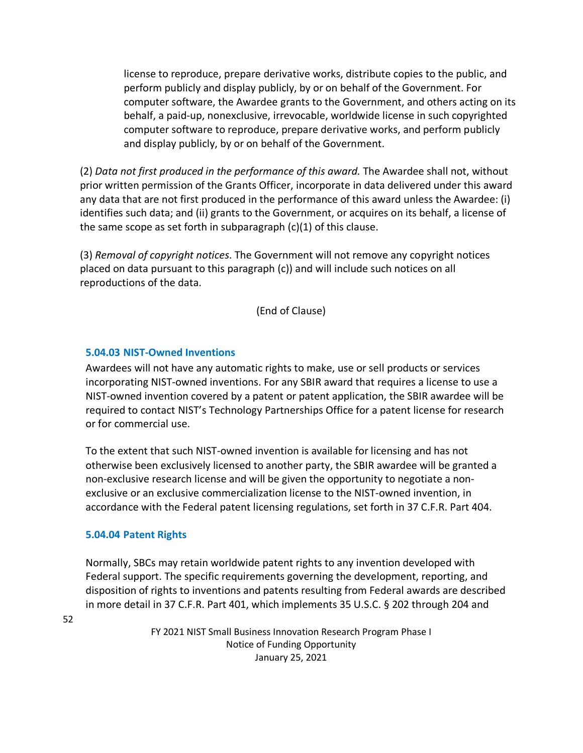license to reproduce, prepare derivative works, distribute copies to the public, and perform publicly and display publicly, by or on behalf of the Government. For computer software, the Awardee grants to the Government, and others acting on its behalf, a paid-up, nonexclusive, irrevocable, worldwide license in such copyrighted computer software to reproduce, prepare derivative works, and perform publicly and display publicly, by or on behalf of the Government.

(2) *Data not first produced in the performance of this award.* The Awardee shall not, without prior written permission of the Grants Officer, incorporate in data delivered under this award any data that are not first produced in the performance of this award unless the Awardee: (i) identifies such data; and (ii) grants to the Government, or acquires on its behalf, a license of the same scope as set forth in subparagraph  $(c)(1)$  of this clause.

(3) *Removal of copyright notices*. The Government will not remove any copyright notices placed on data pursuant to this paragraph (c)) and will include such notices on all reproductions of the data.

(End of Clause)

## **5.04.03 NIST-Owned Inventions**

Awardees will not have any automatic rights to make, use or sell products or services incorporating NIST-owned inventions. For any SBIR award that requires a license to use a NIST-owned invention covered by a patent or patent application, the SBIR awardee will be required to contact NIST's Technology Partnerships Office for a patent license for research or for commercial use.

To the extent that such NIST-owned invention is available for licensing and has not otherwise been exclusively licensed to another party, the SBIR awardee will be granted a non-exclusive research license and will be given the opportunity to negotiate a nonexclusive or an exclusive commercialization license to the NIST-owned invention, in accordance with the Federal patent licensing regulations, set forth in 37 C.F.R. Part 404.

### **5.04.04 Patent Rights**

Normally, SBCs may retain worldwide patent rights to any invention developed with Federal support. The specific requirements governing the development, reporting, and disposition of rights to inventions and patents resulting from Federal awards are described in more detail in 37 C.F.R. Part 401, which implements 35 U.S.C. § 202 through 204 and

52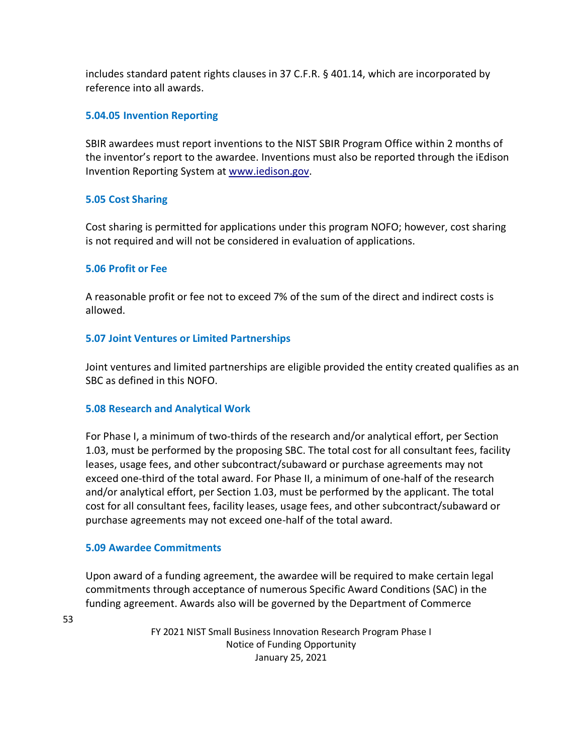includes standard patent rights clauses in 37 C.F.R. § 401.14, which are incorporated by reference into all awards.

## **5.04.05 Invention Reporting**

SBIR awardees must report inventions to the NIST SBIR Program Office within 2 months of the inventor's report to the awardee. Inventions must also be reported through the iEdison Invention Reporting System at [www.iedison.gov.](http://www.iedison.gov/)

## **5.05 Cost Sharing**

Cost sharing is permitted for applications under this program NOFO; however, cost sharing is not required and will not be considered in evaluation of applications.

### **5.06 Profit or Fee**

A reasonable profit or fee not to exceed 7% of the sum of the direct and indirect costs is allowed.

### **5.07 Joint Ventures or Limited Partnerships**

Joint ventures and limited partnerships are eligible provided the entity created qualifies as an SBC as defined in this NOFO.

### **5.08 Research and Analytical Work**

For Phase I, a minimum of two-thirds of the research and/or analytical effort, per Section 1.03, must be performed by the proposing SBC. The total cost for all consultant fees, facility leases, usage fees, and other subcontract/subaward or purchase agreements may not exceed one-third of the total award. For Phase II, a minimum of one-half of the research and/or analytical effort, per Section 1.03, must be performed by the applicant. The total cost for all consultant fees, facility leases, usage fees, and other subcontract/subaward or purchase agreements may not exceed one-half of the total award.

### **5.09 Awardee Commitments**

Upon award of a funding agreement, the awardee will be required to make certain legal commitments through acceptance of numerous Specific Award Conditions (SAC) in the funding agreement. Awards also will be governed by the Department of Commerce

53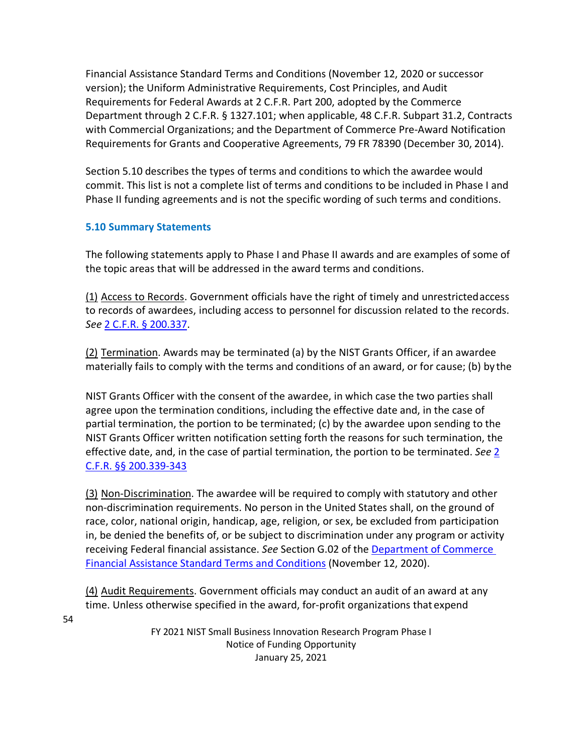Financial Assistance Standard Terms and Conditions (November 12, 2020 or successor version); the Uniform Administrative Requirements, Cost Principles, and Audit Requirements for Federal Awards at 2 C.F.R. Part 200, adopted by the Commerce Department through 2 C.F.R. § 1327.101; when applicable, 48 C.F.R. Subpart 31.2, Contracts with Commercial Organizations; and the Department of Commerce Pre-Award Notification Requirements for Grants and Cooperative Agreements, 79 FR 78390 (December 30, 2014).

Section 5.10 describes the types of terms and conditions to which the awardee would commit. This list is not a complete list of terms and conditions to be included in Phase I and Phase II funding agreements and is not the specific wording of such terms and conditions.

## **5.10 Summary Statements**

The following statements apply to Phase I and Phase II awards and are examples of some of the topic areas that will be addressed in the award terms and conditions.

(1) Access to Records. Government officials have the right of timely and unrestrictedaccess to records of awardees, including access to personnel for discussion related to the records. *See* [2 C.F.R. § 200.337.](https://www.ecfr.gov/cgi-bin/text-idx?SID=bf81b931cfbd967ad6785120639045b5&mc=true&node=se2.1.200_1337&rgn=div8)

(2) Termination. Awards may be terminated (a) by the NIST Grants Officer, if an awardee materially fails to comply with the terms and conditions of an award, or for cause; (b) by the

NIST Grants Officer with the consent of the awardee, in which case the two parties shall agree upon the termination conditions, including the effective date and, in the case of partial termination, the portion to be terminated; (c) by the awardee upon sending to the NIST Grants Officer written notification setting forth the reasons for such termination, the effective date, and, in the case of partial termination, the portion to be terminated. *See* [2](https://www.ecfr.gov/cgi-bin/text-idx?SID=bf81b931cfbd967ad6785120639045b5&mc=true&node=sg2.1.200_1338.sg5&rgn=div7) [C.F.R. §§ 200.339-343](https://www.ecfr.gov/cgi-bin/text-idx?SID=bf81b931cfbd967ad6785120639045b5&mc=true&node=sg2.1.200_1338.sg5&rgn=div7)

(3) Non-Discrimination. The awardee will be required to comply with statutory and other non-discrimination requirements. No person in the United States shall, on the ground of race, color, national origin, handicap, age, religion, or sex, be excluded from participation in, be denied the benefits of, or be subject to discrimination under any program or activity receiving Federal financial assistance. *See* Section G.02 of the [Department of Commerce](https://www.commerce.gov/sites/default/files/2020-11/DOC%20Standard%20Terms%20and%20Conditions%20-%2012%20November%202020%20PDF_0.pdf)  [Financial Assistance Standard Terms and Conditions](https://www.commerce.gov/sites/default/files/2020-11/DOC%20Standard%20Terms%20and%20Conditions%20-%2012%20November%202020%20PDF_0.pdf) (November 12, 2020).

(4) Audit Requirements. Government officials may conduct an audit of an award at any time. Unless otherwise specified in the award, for-profit organizations that expend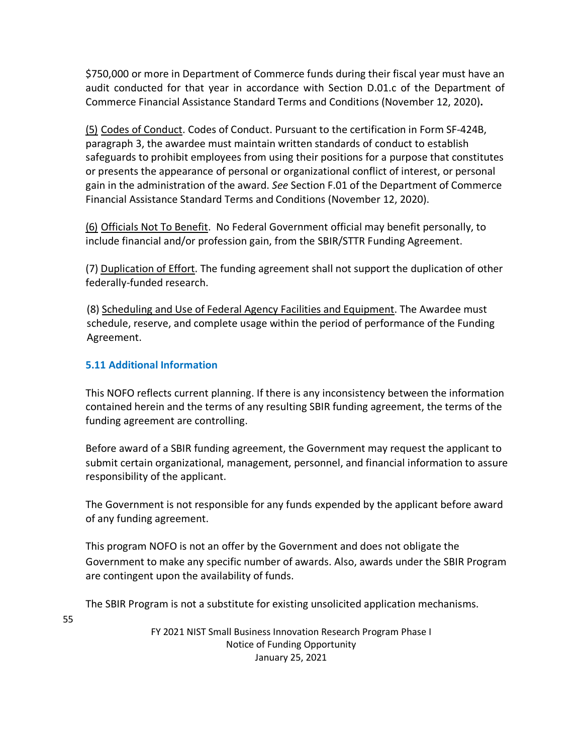\$750,000 or more in Department of Commerce funds during their fiscal year must have an audit conducted for that year in accordance with Section D.01.c of the Department of Commerce Financial Assistance Standard Terms and Conditions (November 12, 2020)**.**

(5) Codes of Conduct. Codes of Conduct. Pursuant to the certification in Form SF-424B, paragraph 3, the awardee must maintain written standards of conduct to establish safeguards to prohibit employees from using their positions for a purpose that constitutes or presents the appearance of personal or organizational conflict of interest, or personal gain in the administration of the award. *See* Section F.01 of the Department of Commerce Financial Assistance Standard Terms and Conditions (November 12, 2020).

(6) Officials Not To Benefit. No Federal Government official may benefit personally, to include financial and/or profession gain, from the SBIR/STTR Funding Agreement.

(7) Duplication of Effort. The funding agreement shall not support the duplication of other federally-funded research.

(8) Scheduling and Use of Federal Agency Facilities and Equipment. The Awardee must schedule, reserve, and complete usage within the period of performance of the Funding Agreement.

## **5.11 Additional Information**

This NOFO reflects current planning. If there is any inconsistency between the information contained herein and the terms of any resulting SBIR funding agreement, the terms of the funding agreement are controlling.

Before award of a SBIR funding agreement, the Government may request the applicant to submit certain organizational, management, personnel, and financial information to assure responsibility of the applicant.

The Government is not responsible for any funds expended by the applicant before award of any funding agreement.

This program NOFO is not an offer by the Government and does not obligate the Government to make any specific number of awards. Also, awards under the SBIR Program are contingent upon the availability of funds.

The SBIR Program is not a substitute for existing unsolicited application mechanisms.

55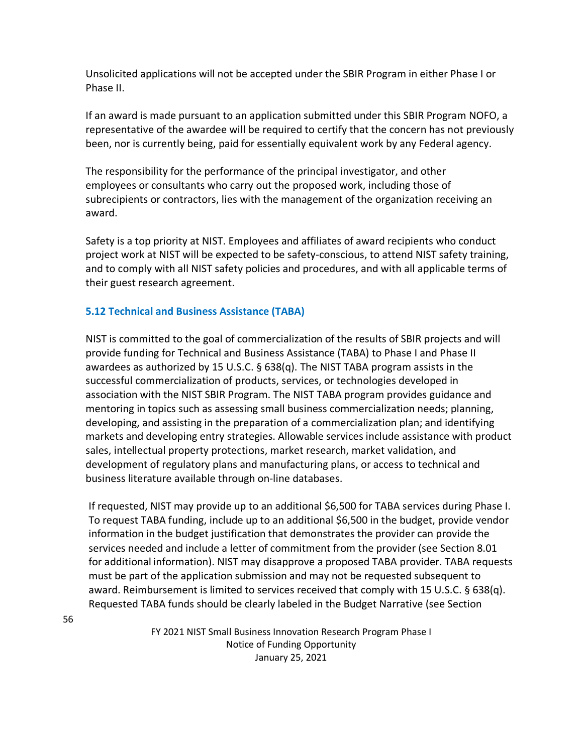Unsolicited applications will not be accepted under the SBIR Program in either Phase I or Phase II.

If an award is made pursuant to an application submitted under this SBIR Program NOFO, a representative of the awardee will be required to certify that the concern has not previously been, nor is currently being, paid for essentially equivalent work by any Federal agency.

The responsibility for the performance of the principal investigator, and other employees or consultants who carry out the proposed work, including those of subrecipients or contractors, lies with the management of the organization receiving an award.

Safety is a top priority at NIST. Employees and affiliates of award recipients who conduct project work at NIST will be expected to be safety-conscious, to attend NIST safety training, and to comply with all NIST safety policies and procedures, and with all applicable terms of their guest research agreement.

## **5.12 Technical and Business Assistance (TABA)**

NIST is committed to the goal of commercialization of the results of SBIR projects and will provide funding for Technical and Business Assistance (TABA) to Phase I and Phase II awardees as authorized by 15 U.S.C.  $\S$  638(q). The NIST TABA program assists in the successful commercialization of products, services, or technologies developed in association with the NIST SBIR Program. The NIST TABA program provides guidance and mentoring in topics such as assessing small business commercialization needs; planning, developing, and assisting in the preparation of a commercialization plan; and identifying markets and developing entry strategies. Allowable services include assistance with product sales, intellectual property protections, market research, market validation, and development of regulatory plans and manufacturing plans, or access to technical and business literature available through on-line databases.

If requested, NIST may provide up to an additional \$6,500 for TABA services during Phase I. To request TABA funding, include up to an additional \$6,500 in the budget, provide vendor information in the budget justification that demonstrates the provider can provide the services needed and include a letter of commitment from the provider (see Section 8.01 for additional information). NIST may disapprove a proposed TABA provider. TABA requests must be part of the application submission and may not be requested subsequent to award. Reimbursement is limited to services received that comply with 15 U.S.C. § 638(q). Requested TABA funds should be clearly labeled in the Budget Narrative (see Section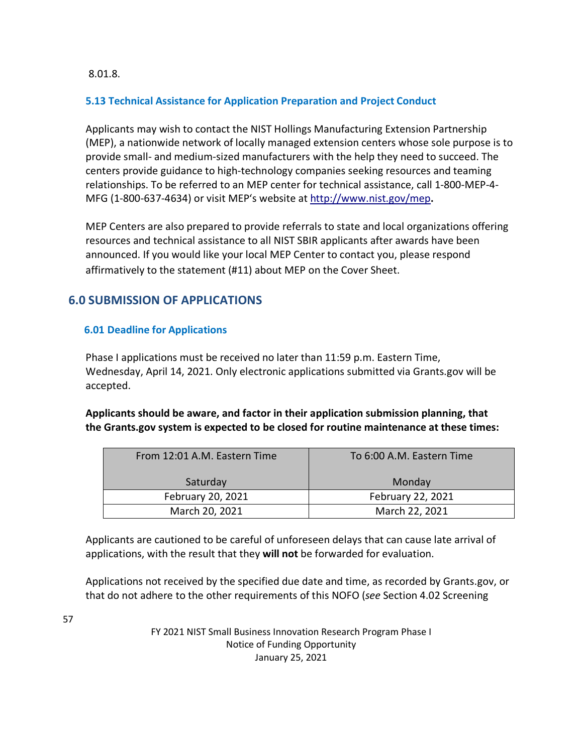8.01.8.

## **5.13 Technical Assistance for Application Preparation and Project Conduct**

Applicants may wish to contact the NIST Hollings Manufacturing Extension Partnership (MEP), a nationwide network of locally managed extension centers whose sole purpose is to provide small- and medium-sized manufacturers with the help they need to succeed. The centers provide guidance to high-technology companies seeking resources and teaming relationships. To be referred to an MEP center for technical assistance, call 1-800-MEP-4- MFG (1-800-637-4634) or visit MEP's website a[t http://www.nist.gov/mep](http://www.nist.gov/mep)**.**

MEP Centers are also prepared to provide referrals to state and local organizations offering resources and technical assistance to all NIST SBIR applicants after awards have been announced. If you would like your local MEP Center to contact you, please respond affirmatively to the statement (#11) about MEP on the Cover Sheet.

# **6.0 SUBMISSION OF APPLICATIONS**

## **6.01 Deadline for Applications**

Phase I applications must be received no later than 11:59 p.m. Eastern Time, Wednesday, April 14, 2021. Only electronic applications submitted via Grants.gov will be accepted.

**Applicants should be aware, and factor in their application submission planning, that the Grants.gov system is expected to be closed for routine maintenance at these times:**

| From 12:01 A.M. Eastern Time | To 6:00 A.M. Eastern Time |
|------------------------------|---------------------------|
| Saturday                     | Monday                    |
| February 20, 2021            | February 22, 2021         |
| March 20, 2021               | March 22, 2021            |

Applicants are cautioned to be careful of unforeseen delays that can cause late arrival of applications, with the result that they **will not** be forwarded for evaluation.

Applications not received by the specified due date and time, as recorded by Grants.gov, or that do not adhere to the other requirements of this NOFO (*see* Section 4.02 Screening

57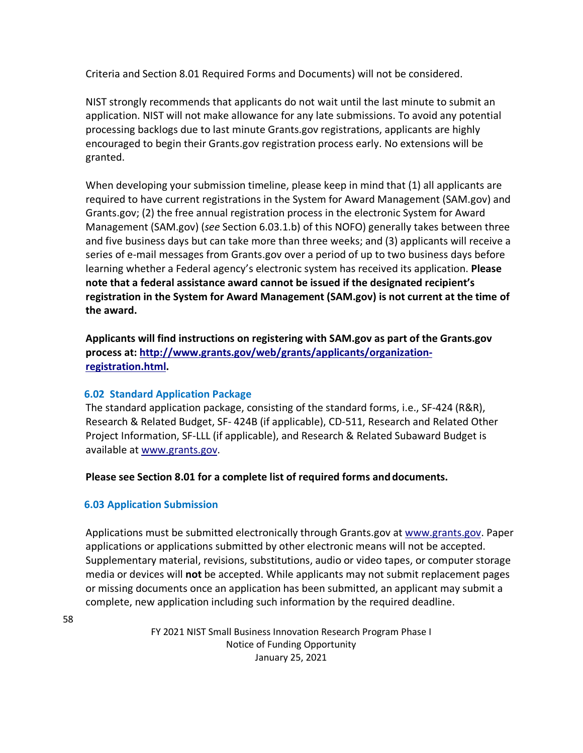Criteria and Section 8.01 Required Forms and Documents) will not be considered.

NIST strongly recommends that applicants do not wait until the last minute to submit an application. NIST will not make allowance for any late submissions. To avoid any potential processing backlogs due to last minute Grants.gov registrations, applicants are highly encouraged to begin their Grants.gov registration process early. No extensions will be granted.

When developing your submission timeline, please keep in mind that (1) all applicants are required to have current registrations in the System for Award Management (SAM.gov) and Grants.gov; (2) the free annual registration process in the electronic System for Award Management (SAM.gov) (*see* Section 6.03.1.b) of this NOFO) generally takes between three and five business days but can take more than three weeks; and (3) applicants will receive a series of e-mail messages from Grants.gov over a period of up to two business days before learning whether a Federal agency's electronic system has received its application. **Please note that a federal assistance award cannot be issued if the designated recipient's registration in the System for Award Management (SAM.gov) is not current at the time of the award.**

**Applicants will find instructions on registering with SAM.gov as part of the Grants.gov process at: [http://www.grants.gov/web/grants/applicants/organization](http://www.grants.gov/web/grants/applicants/organization-registration.html)[registration.html.](http://www.grants.gov/web/grants/applicants/organization-registration.html)**

## **6.02 Standard Application Package**

The standard application package, consisting of the standard forms, i.e., SF-424 (R&R), Research & Related Budget, SF- 424B (if applicable), CD-511, Research and Related Other Project Information, SF-LLL (if applicable), and Research & Related Subaward Budget is available at [www.grants.gov.](http://www.grants.gov/) 

### **Please see Section 8.01 for a complete list of required forms anddocuments.**

### **6.03 Application Submission**

Applications must be submitted electronically through Grants.gov at [www.grants.gov. P](http://www.grants.gov/)aper applications or applications submitted by other electronic means will not be accepted. Supplementary material, revisions, substitutions, audio or video tapes, or computer storage media or devices will **not** be accepted. While applicants may not submit replacement pages or missing documents once an application has been submitted, an applicant may submit a complete, new application including such information by the required deadline.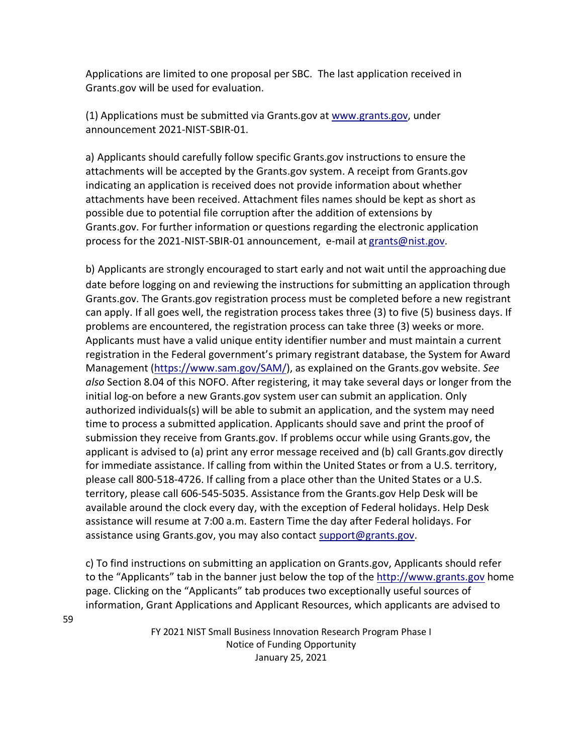Applications are limited to one proposal per SBC. The last application received in Grants.gov will be used for evaluation.

(1) Applications must be submitted via Grants.gov at [www.grants.gov, u](http://www.grants.gov/)nder announcement 2021-NIST-SBIR-01.

a) Applicants should carefully follow specific Grants.gov instructions to ensure the attachments will be accepted by the Grants.gov system. A receipt from Grants.gov indicating an application is received does not provide information about whether attachments have been received. Attachment files names should be kept as short as possible due to potential file corruption after the addition of extensions by Grants.gov. For further information or questions regarding the electronic application process for the 2021-NIST-SBIR-01 announcement, e-mail at [grants@nist.gov.](mailto:grants@nist.gov)

b) Applicants are strongly encouraged to start early and not wait until the approaching due date before logging on and reviewing the instructions for submitting an application through Grants.gov. The Grants.gov registration process must be completed before a new registrant can apply. If all goes well, the registration process takes three (3) to five (5) business days. If problems are encountered, the registration process can take three (3) weeks or more. Applicants must have a valid unique entity identifier number and must maintain a current registration in the Federal government's primary registrant database, the System for Award Management [\(https://www.sam.gov/SAM/\)](https://www.sam.gov/SAM/), as explained on the Grants.gov website. *See also* Section 8.04 of this NOFO. After registering, it may take several days or longer from the initial log-on before a new Grants.gov system user can submit an application. Only authorized individuals(s) will be able to submit an application, and the system may need time to process a submitted application. Applicants should save and print the proof of submission they receive from Grants.gov. If problems occur while using Grants.gov, the applicant is advised to (a) print any error message received and (b) call Grants.gov directly for immediate assistance. If calling from within the United States or from a U.S. territory, please call 800-518-4726. If calling from a place other than the United States or a U.S. territory, please call 606-545-5035. Assistance from the Grants.gov Help Desk will be available around the clock every day, with the exception of Federal holidays. Help Desk assistance will resume at 7:00 a.m. Eastern Time the day after Federal holidays. For assistance using Grants.gov, you may also contact [support@grants.gov.](mailto:support@grants.gov)

c) To find instructions on submitting an application on Grants.gov, Applicants should refer to the "Applicants" tab in the banner just below the top of the [http://www.grants.gov](http://www.grants.gov/) home page. Clicking on the "Applicants" tab produces two exceptionally useful sources of information, Grant Applications and Applicant Resources, which applicants are advised to

> FY 2021 NIST Small Business Innovation Research Program Phase I Notice of Funding Opportunity January 25, 2021

59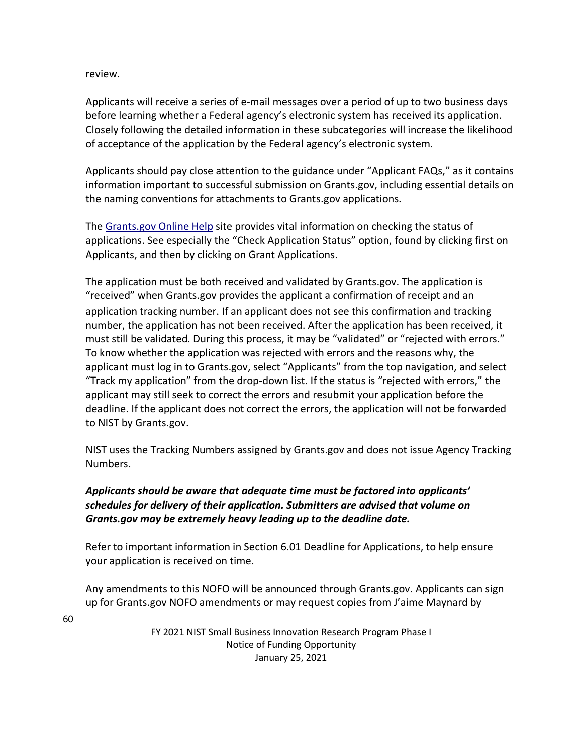review.

Applicants will receive a series of e-mail messages over a period of up to two business days before learning whether a Federal agency's electronic system has received its application. Closely following the detailed information in these subcategories will increase the likelihood of acceptance of the application by the Federal agency's electronic system.

Applicants should pay close attention to the guidance under "Applicant FAQs," as it contains information important to successful submission on Grants.gov, including essential details on the naming conventions for attachments to Grants.gov applications.

The [Grants.gov Online Help](https://www.grants.gov/help/html/help/index.htm?callingApp=custom&t=GetStarted%2FGetStarted.htm) site provides vital information on checking the status of applications. See especially the "Check Application Status" option, found by clicking first on Applicants, and then by clicking on Grant Applications.

The application must be both received and validated by Grants.gov. The application is "received" when Grants.gov provides the applicant a confirmation of receipt and an application tracking number. If an applicant does not see this confirmation and tracking number, the application has not been received. After the application has been received, it must still be validated. During this process, it may be "validated" or "rejected with errors." To know whether the application was rejected with errors and the reasons why, the applicant must log in to Grants.gov, select "Applicants" from the top navigation, and select "Track my application" from the drop-down list. If the status is "rejected with errors," the applicant may still seek to correct the errors and resubmit your application before the deadline. If the applicant does not correct the errors, the application will not be forwarded to NIST by Grants.gov.

NIST uses the Tracking Numbers assigned by Grants.gov and does not issue Agency Tracking Numbers.

## *Applicants should be aware that adequate time must be factored into applicants' schedules for delivery of their application. Submitters are advised that volume on Grants.gov may be extremely heavy leading up to the deadline date.*

Refer to important information in Section 6.01 Deadline for Applications, to help ensure your application is received on time.

Any amendments to this NOFO will be announced through Grants.gov. Applicants can sign up for Grants.gov NOFO amendments or may request copies from J'aime Maynard by

60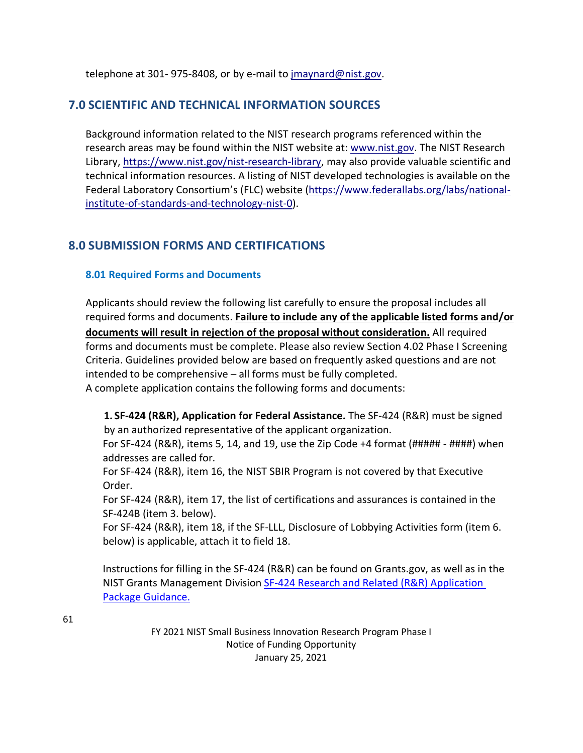telephone at 301- 975-8408, or by e-mail to [jmaynard@nist.gov.](mailto:jmaynard@nist.gov)

## **7.0 SCIENTIFIC AND TECHNICAL INFORMATION SOURCES**

Background information related to the NIST research programs referenced within the research areas may be found within the NIST website at: [www.nist.gov. T](http://www.nist.gov/)he NIST Research Library, [https://www.nist.gov/nist-research-library,](https://www.nist.gov/nist-research-library) may also provide valuable scientific and technical information resources. A listing of NIST developed technologies is available on the Federal Laboratory Consortium's (FLC) website [\(https://www.federallabs.org/labs/national](https://www.federallabs.org/labs/national-institute-of-standards-and-technology-nist-0)[institute-of-standards-and-technology-nist-0\)](https://www.federallabs.org/labs/national-institute-of-standards-and-technology-nist-0).

# **8.0 SUBMISSION FORMS AND CERTIFICATIONS**

## **8.01 Required Forms and Documents**

Applicants should review the following list carefully to ensure the proposal includes all required forms and documents. **Failure to include any of the applicable listed forms and/or documents will result in rejection of the proposal without consideration.** All required forms and documents must be complete. Please also review Section 4.02 Phase I Screening Criteria. Guidelines provided below are based on frequently asked questions and are not intended to be comprehensive – all forms must be fully completed. A complete application contains the following forms and documents:

**1. SF-424 (R&R), Application for Federal Assistance.** The SF-424 (R&R) must be signed by an authorized representative of the applicant organization.

For SF-424 (R&R), items 5, 14, and 19, use the Zip Code +4 format (##### - ####) when addresses are called for.

For SF-424 (R&R), item 16, the NIST SBIR Program is not covered by that Executive Order.

For SF-424 (R&R), item 17, the list of certifications and assurances is contained in the SF-424B (item 3. below).

For SF-424 (R&R), item 18, if the SF-LLL, Disclosure of Lobbying Activities form (item 6. below) is applicable, attach it to field 18.

Instructions for filling in the SF-424 (R&R) can be found on Grants.gov, as well as in the NIST Grants Management Division [SF-424 Research and Related \(R&R\) Application](https://www.nist.gov/oaam/grants-management-division/sf-424-research-related-rr-application-package-guidance)  [Package Guidance.](https://www.nist.gov/oaam/grants-management-division/sf-424-research-related-rr-application-package-guidance)

61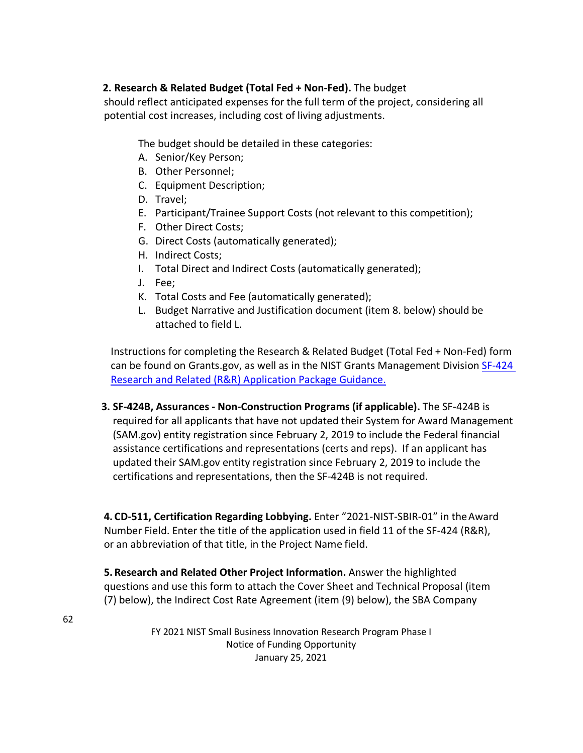## **2. Research & Related Budget (Total Fed + Non-Fed).** The budget

should reflect anticipated expenses for the full term of the project, considering all potential cost increases, including cost of living adjustments.

The budget should be detailed in these categories:

- A. Senior/Key Person;
- B. Other Personnel;
- C. Equipment Description;
- D. Travel;
- E. Participant/Trainee Support Costs (not relevant to this competition);
- F. Other Direct Costs;
- G. Direct Costs (automatically generated);
- H. Indirect Costs;
- I. Total Direct and Indirect Costs (automatically generated);
- J. Fee;
- K. Total Costs and Fee (automatically generated);
- L. Budget Narrative and Justification document (item 8. below) should be attached to field L.

Instructions for completing the Research & Related Budget (Total Fed + Non-Fed) form can be found on Grants.gov, as well as in the NIST Grants Management Division [SF-424](https://www.nist.gov/oaam/grants-management-division/sf-424-research-related-rr-application-package-guidance)  [Research and Related \(R&R\) Application Package Guidance.](https://www.nist.gov/oaam/grants-management-division/sf-424-research-related-rr-application-package-guidance)

**3. SF-424B, Assurances - Non-Construction Programs (if applicable).** The SF-424B is required for all applicants that have not updated their System for Award Management (SAM.gov) entity registration since February 2, 2019 to include the Federal financial assistance certifications and representations (certs and reps). If an applicant has updated their SAM.gov entity registration since February 2, 2019 to include the certifications and representations, then the SF-424B is not required.

**4. CD-511, Certification Regarding Lobbying.** Enter "2021-NIST-SBIR-01" in theAward Number Field. Enter the title of the application used in field 11 of the SF-424 (R&R), or an abbreviation of that title, in the Project Name field.

**5. Research and Related Other Project Information.** Answer the highlighted questions and use this form to attach the Cover Sheet and Technical Proposal (item (7) below), the Indirect Cost Rate Agreement (item (9) below), the SBA Company

62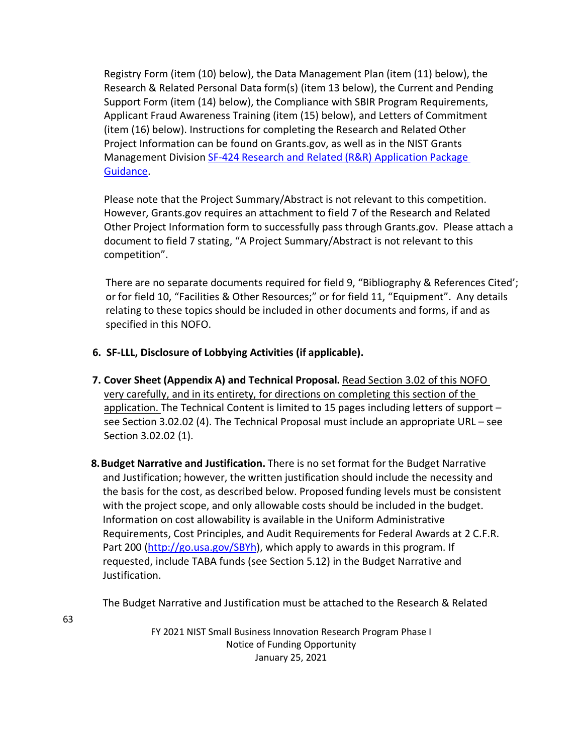Registry Form (item (10) below), the Data Management Plan (item (11) below), the Research & Related Personal Data form(s) (item 13 below), the Current and Pending Support Form (item (14) below), the Compliance with SBIR Program Requirements, Applicant Fraud Awareness Training (item (15) below), and Letters of Commitment (item (16) below). Instructions for completing the Research and Related Other Project Information can be found on Grants.gov, as well as in the NIST Grants Management Division [SF-424 Research and Related \(R&R\) Application Package](https://www.nist.gov/oaam/grants-management-division/sf-424-research-related-rr-application-package-guidance)  [Guidance.](https://www.nist.gov/oaam/grants-management-division/sf-424-research-related-rr-application-package-guidance)

Please note that the Project Summary/Abstract is not relevant to this competition. However, Grants.gov requires an attachment to field 7 of the Research and Related Other Project Information form to successfully pass through Grants.gov. Please attach a document to field 7 stating, "A Project Summary/Abstract is not relevant to this competition".

There are no separate documents required for field 9, "Bibliography & References Cited'; or for field 10, "Facilities & Other Resources;" or for field 11, "Equipment". Any details relating to these topics should be included in other documents and forms, if and as specified in this NOFO.

- **6. SF-LLL, Disclosure of Lobbying Activities (if applicable).**
- **7. Cover Sheet (Appendix A) and Technical Proposal.** Read Section 3.02 of this NOFO very carefully, and in its entirety, for directions on completing this section of the application. The Technical Content is limited to 15 pages including letters of support – see Section 3.02.02 (4). The Technical Proposal must include an appropriate URL – see Section 3.02.02 (1).
- **8.Budget Narrative and Justification.** There is no set format for the Budget Narrative and Justification; however, the written justification should include the necessity and the basis for the cost, as described below. Proposed funding levels must be consistent with the project scope, and only allowable costs should be included in the budget. Information on cost allowability is available in the Uniform Administrative Requirements, Cost Principles, and Audit Requirements for Federal Awards at 2 C.F.R. Part 200 [\(http://go.usa.gov/SBYh\)](http://go.usa.gov/SBYh), which apply to awards in this program. If requested, include TABA funds (see Section 5.12) in the Budget Narrative and Justification.

The Budget Narrative and Justification must be attached to the Research & Related

63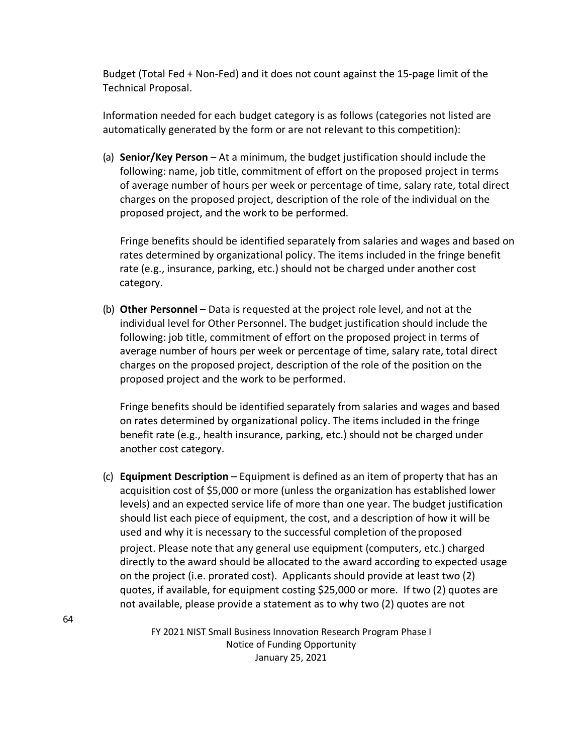Budget (Total Fed + Non-Fed) and it does not count against the 15-page limit of the Technical Proposal.

Information needed for each budget category is as follows (categories not listed are automatically generated by the form or are not relevant to this competition):

(a) **Senior/Key Person** – At a minimum, the budget justification should include the following: name, job title, commitment of effort on the proposed project in terms of average number of hours per week or percentage of time, salary rate, total direct charges on the proposed project, description of the role of the individual on the proposed project, and the work to be performed.

 Fringe benefits should be identified separately from salaries and wages and based on rates determined by organizational policy. The items included in the fringe benefit rate (e.g., insurance, parking, etc.) should not be charged under another cost category.

(b) **Other Personnel** – Data is requested at the project role level, and not at the individual level for Other Personnel. The budget justification should include the following: job title, commitment of effort on the proposed project in terms of average number of hours per week or percentage of time, salary rate, total direct charges on the proposed project, description of the role of the position on the proposed project and the work to be performed.

Fringe benefits should be identified separately from salaries and wages and based on rates determined by organizational policy. The items included in the fringe benefit rate (e.g., health insurance, parking, etc.) should not be charged under another cost category.

(c) **Equipment Description** – Equipment is defined as an item of property that has an acquisition cost of \$5,000 or more (unless the organization has established lower levels) and an expected service life of more than one year. The budget justification should list each piece of equipment, the cost, and a description of how it will be used and why it is necessary to the successful completion of theproposed project. Please note that any general use equipment (computers, etc.) charged directly to the award should be allocated to the award according to expected usage on the project (i.e. prorated cost). Applicants should provide at least two (2) quotes, if available, for equipment costing \$25,000 or more. If two (2) quotes are not available, please provide a statement as to why two (2) quotes are not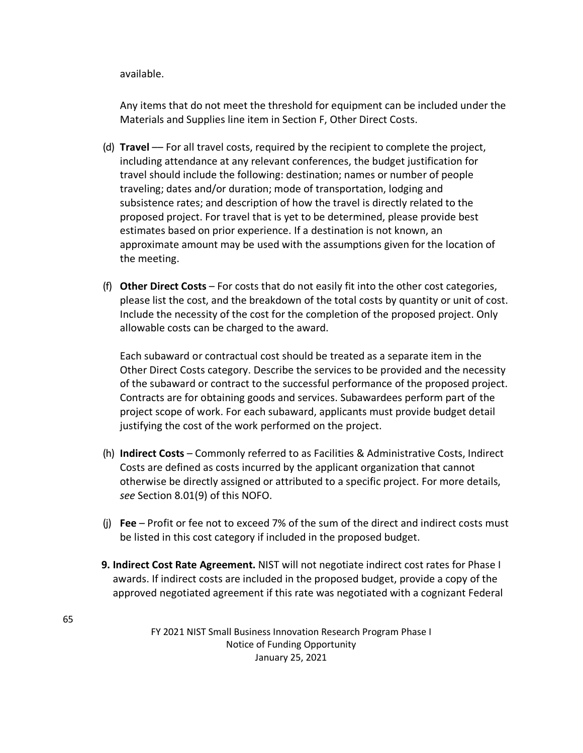available.

Any items that do not meet the threshold for equipment can be included under the Materials and Supplies line item in Section F, Other Direct Costs.

- (d) **Travel** –– For all travel costs, required by the recipient to complete the project, including attendance at any relevant conferences, the budget justification for travel should include the following: destination; names or number of people traveling; dates and/or duration; mode of transportation, lodging and subsistence rates; and description of how the travel is directly related to the proposed project. For travel that is yet to be determined, please provide best estimates based on prior experience. If a destination is not known, an approximate amount may be used with the assumptions given for the location of the meeting.
- (f) **Other Direct Costs**  For costs that do not easily fit into the other cost categories, please list the cost, and the breakdown of the total costs by quantity or unit of cost. Include the necessity of the cost for the completion of the proposed project. Only allowable costs can be charged to the award.

Each subaward or contractual cost should be treated as a separate item in the Other Direct Costs category. Describe the services to be provided and the necessity of the subaward or contract to the successful performance of the proposed project. Contracts are for obtaining goods and services. Subawardees perform part of the project scope of work. For each subaward, applicants must provide budget detail justifying the cost of the work performed on the project.

- (h) **Indirect Costs**  Commonly referred to as Facilities & Administrative Costs, Indirect Costs are defined as costs incurred by the applicant organization that cannot otherwise be directly assigned or attributed to a specific project. For more details, *see* Section 8.01(9) of this NOFO.
- (j) **Fee** Profit or fee not to exceed 7% of the sum of the direct and indirect costs must be listed in this cost category if included in the proposed budget.
- **9. Indirect Cost Rate Agreement.** NIST will not negotiate indirect cost rates for Phase I awards. If indirect costs are included in the proposed budget, provide a copy of the approved negotiated agreement if this rate was negotiated with a cognizant Federal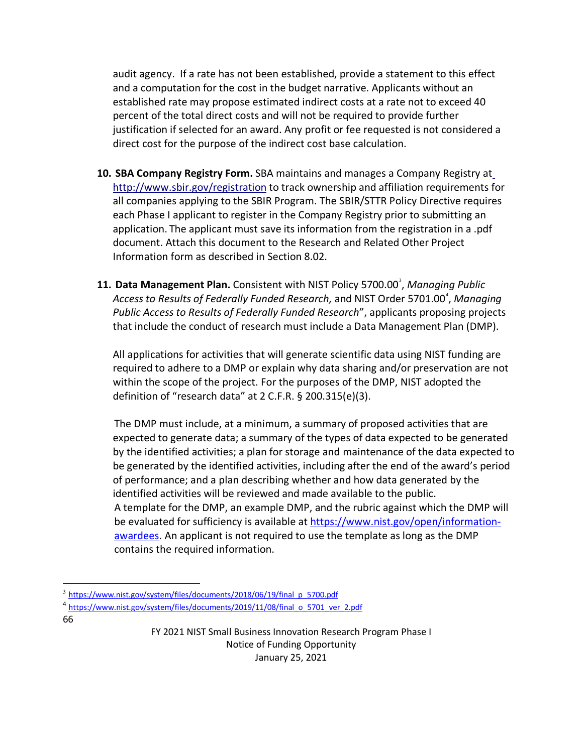audit agency. If a rate has not been established, provide a statement to this effect and a computation for the cost in the budget narrative. Applicants without an established rate may propose estimated indirect costs at a rate not to exceed 40 percent of the total direct costs and will not be required to provide further justification if selected for an award. Any profit or fee requested is not considered a direct cost for the purpose of the indirect cost base calculation.

- **10. SBA Company Registry Form.** SBA maintains and manages a Company Registry a[t](http://www.sbir.gov/registration) <http://www.sbir.gov/registration> to track ownership and affiliation requirements for all companies applying to the SBIR Program. The SBIR/STTR Policy Directive requires each Phase I applicant to register in the Company Registry prior to submitting an application. The applicant must save its information from the registration in a .pdf document. Attach this document to the Research and Related Other Project Information form as described in Section 8.02.
- 11. Data Management Plan. Consistent with NIST Policy 5700.00<sup>[3](#page-65-0)</sup>, Managing Public Access to Results of Federally Funded Research, and NIST Order 5701.00<sup>[4](#page-65-1)</sup>, Managing *Public Access to Results of Federally Funded Research*", applicants proposing projects that include the conduct of research must include a Data Management Plan (DMP).

All applications for activities that will generate scientific data using NIST funding are required to adhere to a DMP or explain why data sharing and/or preservation are not within the scope of the project. For the purposes of the DMP, NIST adopted the definition of "research data" at 2 C.F.R. § 200.315(e)(3).

The DMP must include, at a minimum, a summary of proposed activities that are expected to generate data; a summary of the types of data expected to be generated by the identified activities; a plan for storage and maintenance of the data expected to be generated by the identified activities, including after the end of the award's period of performance; and a plan describing whether and how data generated by the identified activities will be reviewed and made available to the public. A template for the DMP, an example DMP, and the rubric against which the DMP will be evaluated for sufficiency is available at [https://www.nist.gov/open/information](https://www.nist.gov/open/information-awardees)[awardees.](https://www.nist.gov/open/information-awardees) An applicant is not required to use the template as long as the DMP contains the required information.

66

<span id="page-65-0"></span><sup>3</sup> [https://www.nist.gov/system/files/documents/2018/06/19/final\\_p\\_5700.pdf](https://www.nist.gov/system/files/documents/2018/06/19/final_p_5700.pdf)

<span id="page-65-1"></span><sup>4</sup> [https://www.nist.gov/system/files/documents/2019/11/08/final\\_o\\_5701\\_ver\\_2.pdf](https://www.nist.gov/system/files/documents/2019/11/08/final_o_5701_ver_2.pdf)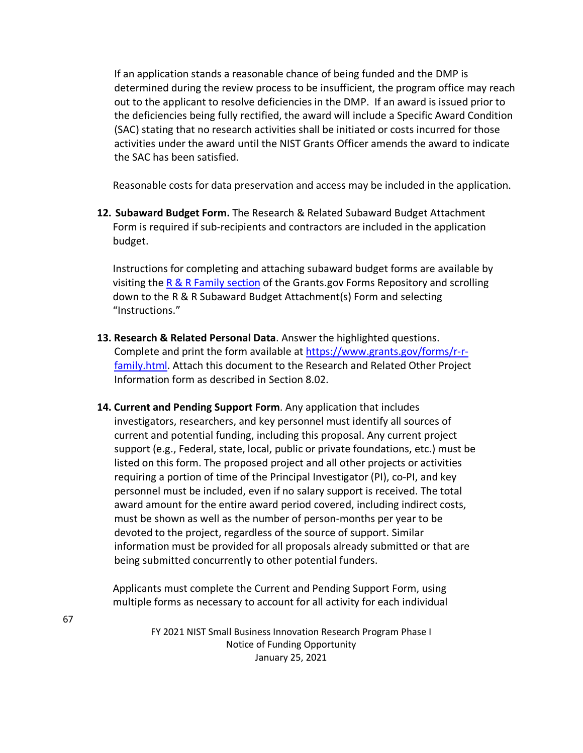If an application stands a reasonable chance of being funded and the DMP is determined during the review process to be insufficient, the program office may reach out to the applicant to resolve deficiencies in the DMP. If an award is issued prior to the deficiencies being fully rectified, the award will include a Specific Award Condition (SAC) stating that no research activities shall be initiated or costs incurred for those activities under the award until the NIST Grants Officer amends the award to indicate the SAC has been satisfied.

Reasonable costs for data preservation and access may be included in the application.

**12. Subaward Budget Form.** The Research & Related Subaward Budget Attachment Form is required if sub-recipients and contractors are included in the application budget.

Instructions for completing and attaching subaward budget forms are available by visiting th[e R & R Family section](https://www.grants.gov/forms/r-r-family.html) of the Grants.gov Forms Repository and scrolling down to the R & R Subaward Budget Attachment(s) Form and selecting "Instructions."

- **13. Research & Related Personal Data**. Answer the highlighted questions. Complete and print the form available at [https://www.grants.gov/forms/r-r](https://www.grants.gov/forms/r-r-family.html)[family.html.](https://www.grants.gov/forms/r-r-family.html) Attach this document to the Research and Related Other Project Information form as described in Section 8.02.
- **14. Current and Pending Support Form**. Any application that includes investigators, researchers, and key personnel must identify all sources of current and potential funding, including this proposal. Any current project support (e.g., Federal, state, local, public or private foundations, etc.) must be listed on this form. The proposed project and all other projects or activities requiring a portion of time of the Principal Investigator (PI), co-PI, and key personnel must be included, even if no salary support is received. The total award amount for the entire award period covered, including indirect costs, must be shown as well as the number of person-months per year to be devoted to the project, regardless of the source of support. Similar information must be provided for all proposals already submitted or that are being submitted concurrently to other potential funders.

Applicants must complete the Current and Pending Support Form, using multiple forms as necessary to account for all activity for each individual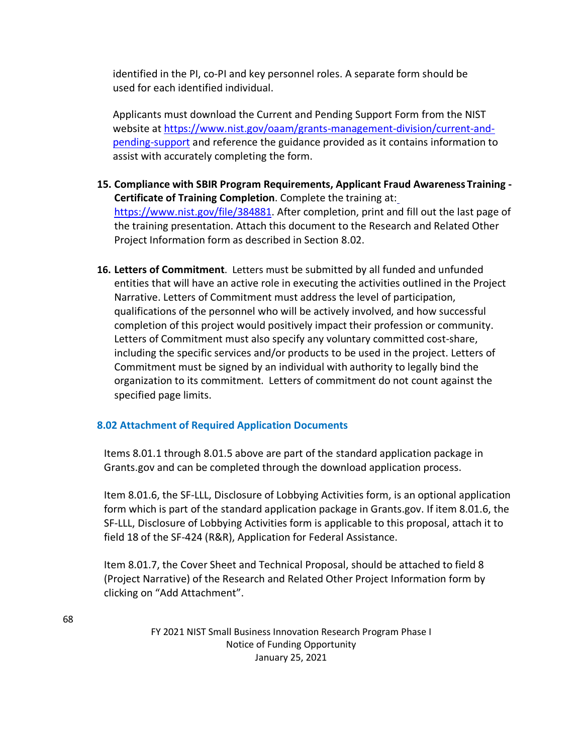identified in the PI, co-PI and key personnel roles. A separate form should be used for each identified individual.

Applicants must download the Current and Pending Support Form from the NIST website at [https://www.nist.gov/oaam/grants-management-division/current-and](https://www.nist.gov/oaam/grants-management-division/current-and-pending-support)[pending-support](https://www.nist.gov/oaam/grants-management-division/current-and-pending-support) and reference the guidance provided as it contains information to assist with accurately completing the form.

- **15. Compliance with SBIR Program Requirements, Applicant Fraud Awareness Training - Certificate of Training Completion**. Complete the training at: [https://www.nist.gov/file/384881.](https://www.nist.gov/file/384881) After completion, print and fill out the last page of the training presentation. Attach this document to the Research and Related Other Project Information form as described in Section 8.02.
- **16. Letters of Commitment**. Letters must be submitted by all funded and unfunded entities that will have an active role in executing the activities outlined in the Project Narrative. Letters of Commitment must address the level of participation, qualifications of the personnel who will be actively involved, and how successful completion of this project would positively impact their profession or community. Letters of Commitment must also specify any voluntary committed cost-share, including the specific services and/or products to be used in the project. Letters of Commitment must be signed by an individual with authority to legally bind the organization to its commitment. Letters of commitment do not count against the specified page limits.

## **8.02 Attachment of Required Application Documents**

Items 8.01.1 through 8.01.5 above are part of the standard application package in Grants.gov and can be completed through the download application process.

Item 8.01.6, the SF-LLL, Disclosure of Lobbying Activities form, is an optional application form which is part of the standard application package in Grants.gov. If item 8.01.6, the SF-LLL, Disclosure of Lobbying Activities form is applicable to this proposal, attach it to field 18 of the SF-424 (R&R), Application for Federal Assistance.

Item 8.01.7, the Cover Sheet and Technical Proposal, should be attached to field 8 (Project Narrative) of the Research and Related Other Project Information form by clicking on "Add Attachment".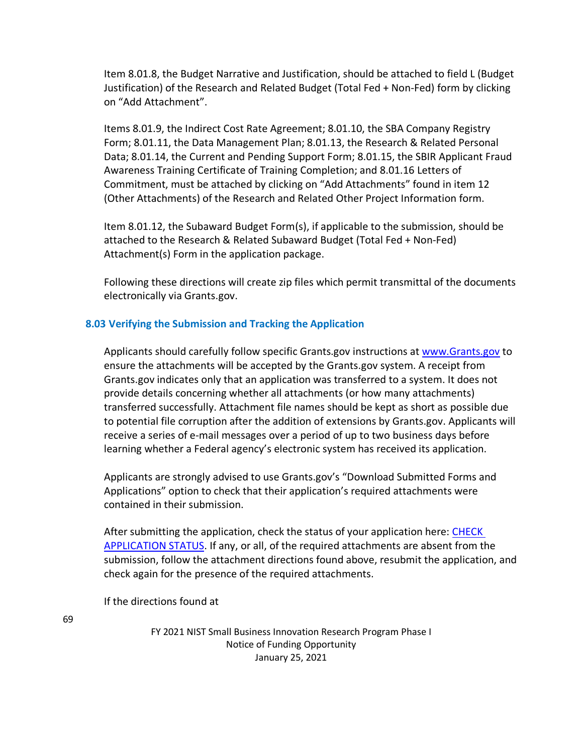Item 8.01.8, the Budget Narrative and Justification, should be attached to field L (Budget Justification) of the Research and Related Budget (Total Fed + Non-Fed) form by clicking on "Add Attachment".

Items 8.01.9, the Indirect Cost Rate Agreement; 8.01.10, the SBA Company Registry Form; 8.01.11, the Data Management Plan; 8.01.13, the Research & Related Personal Data; 8.01.14, the Current and Pending Support Form; 8.01.15, the SBIR Applicant Fraud Awareness Training Certificate of Training Completion; and 8.01.16 Letters of Commitment, must be attached by clicking on "Add Attachments" found in item 12 (Other Attachments) of the Research and Related Other Project Information form.

Item 8.01.12, the Subaward Budget Form(s), if applicable to the submission, should be attached to the Research & Related Subaward Budget (Total Fed + Non-Fed) Attachment(s) Form in the application package.

Following these directions will create zip files which permit transmittal of the documents electronically via Grants.gov.

### **8.03 Verifying the Submission and Tracking the Application**

Applicants should carefully follow specific Grants.gov instructions at [www.Grants.gov](http://www.grants.gov/) to ensure the attachments will be accepted by the Grants.gov system. A receipt from Grants.gov indicates only that an application was transferred to a system. It does not provide details concerning whether all attachments (or how many attachments) transferred successfully. Attachment file names should be kept as short as possible due to potential file corruption after the addition of extensions by Grants.gov. Applicants will receive a series of e-mail messages over a period of up to two business days before learning whether a Federal agency's electronic system has received its application.

Applicants are strongly advised to use Grants.gov's "Download Submitted Forms and Applications" option to check that their application's required attachments were contained in their submission.

After submitting the application, check the status of your application here: [CHECK](https://www.grants.gov/help/html/help/index.htm#t=Applicants%2FCheckApplicationStatus%2FCheckApplicationStatus.htm)  [APPLICATION STATUS.](https://www.grants.gov/help/html/help/index.htm#t=Applicants%2FCheckApplicationStatus%2FCheckApplicationStatus.htm) If any, or all, of the required attachments are absent from the submission, follow the attachment directions found above, resubmit the application, and check again for the presence of the required attachments.

If the directions found at

69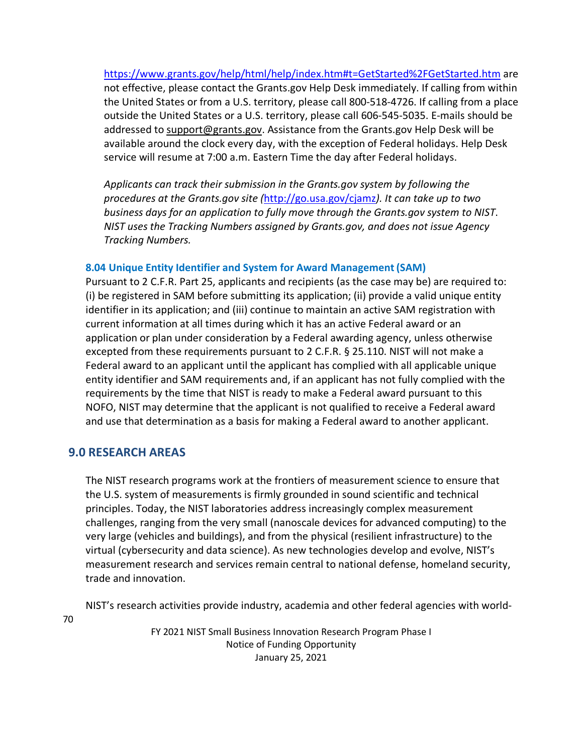<https://www.grants.gov/help/html/help/index.htm#t=GetStarted%2FGetStarted.htm> are not effective, please contact the Grants.gov Help Desk immediately. If calling from within the United States or from a U.S. territory, please call 800-518-4726. If calling from a place outside the United States or a U.S. territory, please call 606-545-5035. E-mails should be addressed to [support@grants.gov.](mailto:support@grants.gov) Assistance from the Grants.gov Help Desk will be available around the clock every day, with the exception of Federal holidays. Help Desk service will resume at 7:00 a.m. Eastern Time the day after Federal holidays.

*Applicants can track their submission in the Grants.gov system by following the procedures at the Grants.gov site (*<http://go.usa.gov/cjamz>*). It can take up to two business days for an application to fully move through the Grants.gov system to NIST*. *NIST uses the Tracking Numbers assigned by Grants.gov, and does not issue Agency Tracking Numbers.*

#### **8.04 Unique Entity Identifier and System for Award Management(SAM)**

Pursuant to 2 C.F.R. Part 25, applicants and recipients (as the case may be) are required to: (i) be registered in SAM before submitting its application; (ii) provide a valid unique entity identifier in its application; and (iii) continue to maintain an active SAM registration with current information at all times during which it has an active Federal award or an application or plan under consideration by a Federal awarding agency, unless otherwise excepted from these requirements pursuant to 2 C.F.R. § 25.110. NIST will not make a Federal award to an applicant until the applicant has complied with all applicable unique entity identifier and SAM requirements and, if an applicant has not fully complied with the requirements by the time that NIST is ready to make a Federal award pursuant to this NOFO, NIST may determine that the applicant is not qualified to receive a Federal award and use that determination as a basis for making a Federal award to another applicant.

## **9.0 RESEARCH AREAS**

The NIST research programs work at the frontiers of measurement science to ensure that the U.S. system of measurements is firmly grounded in sound scientific and technical principles. Today, the NIST laboratories address increasingly complex measurement challenges, ranging from the very small (nanoscale devices for advanced computing) to the very large (vehicles and buildings), and from the physical (resilient infrastructure) to the virtual (cybersecurity and data science). As new technologies develop and evolve, NIST's measurement research and services remain central to national defense, homeland security, trade and innovation.

NIST's research activities provide industry, academia and other federal agencies with world-

70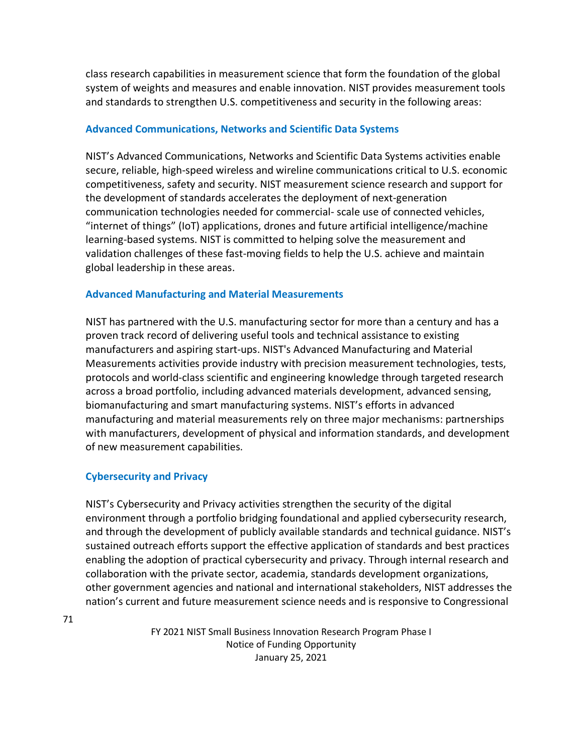class research capabilities in measurement science that form the foundation of the global system of weights and measures and enable innovation. NIST provides measurement tools and standards to strengthen U.S. competitiveness and security in the following areas:

## **Advanced Communications, Networks and Scientific Data Systems**

NIST's Advanced Communications, Networks and Scientific Data Systems activities enable secure, reliable, high-speed wireless and wireline communications critical to U.S. economic competitiveness, safety and security. NIST measurement science research and support for the development of standards accelerates the deployment of next-generation communication technologies needed for commercial- scale use of connected vehicles, "internet of things" (IoT) applications, drones and future artificial intelligence/machine learning-based systems. NIST is committed to helping solve the measurement and validation challenges of these fast-moving fields to help the U.S. achieve and maintain global leadership in these areas.

### **Advanced Manufacturing and Material Measurements**

NIST has partnered with the U.S. manufacturing sector for more than a century and has a proven track record of delivering useful tools and technical assistance to existing manufacturers and aspiring start-ups. NIST's Advanced Manufacturing and Material Measurements activities provide industry with precision measurement technologies, tests, protocols and world-class scientific and engineering knowledge through targeted research across a broad portfolio, including advanced materials development, advanced sensing, biomanufacturing and smart manufacturing systems. NIST's efforts in advanced manufacturing and material measurements rely on three major mechanisms: partnerships with manufacturers, development of physical and information standards, and development of new measurement capabilities.

## **Cybersecurity and Privacy**

NIST's Cybersecurity and Privacy activities strengthen the security of the digital environment through a portfolio bridging foundational and applied cybersecurity research, and through the development of publicly available standards and technical guidance. NIST's sustained outreach efforts support the effective application of standards and best practices enabling the adoption of practical cybersecurity and privacy. Through internal research and collaboration with the private sector, academia, standards development organizations, other government agencies and national and international stakeholders, NIST addresses the nation's current and future measurement science needs and is responsive to Congressional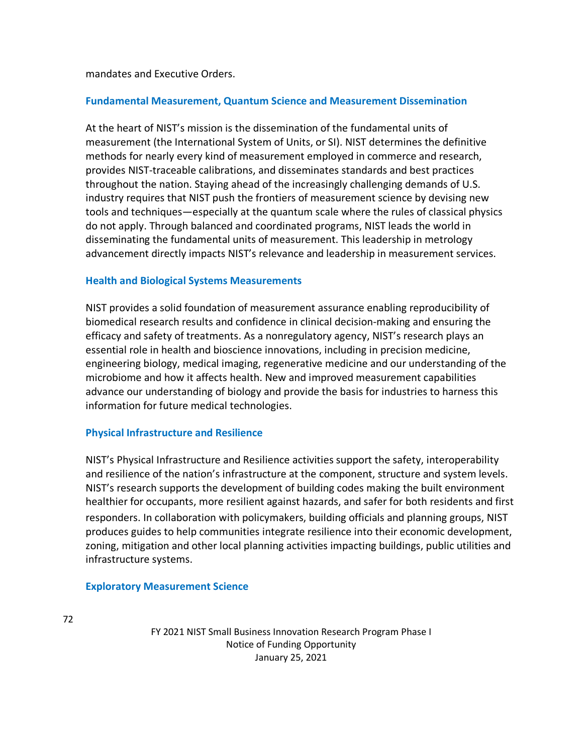mandates and Executive Orders.

### **Fundamental Measurement, Quantum Science and Measurement Dissemination**

At the heart of NIST's mission is the dissemination of the fundamental units of measurement (the International System of Units, or SI). NIST determines the definitive methods for nearly every kind of measurement employed in commerce and research, provides NIST-traceable calibrations, and disseminates standards and best practices throughout the nation. Staying ahead of the increasingly challenging demands of U.S. industry requires that NIST push the frontiers of measurement science by devising new tools and techniques—especially at the quantum scale where the rules of classical physics do not apply. Through balanced and coordinated programs, NIST leads the world in disseminating the fundamental units of measurement. This leadership in metrology advancement directly impacts NIST's relevance and leadership in measurement services.

### **Health and Biological Systems Measurements**

NIST provides a solid foundation of measurement assurance enabling reproducibility of biomedical research results and confidence in clinical decision-making and ensuring the efficacy and safety of treatments. As a nonregulatory agency, NIST's research plays an essential role in health and bioscience innovations, including in precision medicine, engineering biology, medical imaging, regenerative medicine and our understanding of the microbiome and how it affects health. New and improved measurement capabilities advance our understanding of biology and provide the basis for industries to harness this information for future medical technologies.

### **Physical Infrastructure and Resilience**

NIST's Physical Infrastructure and Resilience activities support the safety, interoperability and resilience of the nation's infrastructure at the component, structure and system levels. NIST's research supports the development of building codes making the built environment healthier for occupants, more resilient against hazards, and safer for both residents and first responders. In collaboration with policymakers, building officials and planning groups, NIST produces guides to help communities integrate resilience into their economic development, zoning, mitigation and other local planning activities impacting buildings, public utilities and infrastructure systems.

### **Exploratory Measurement Science**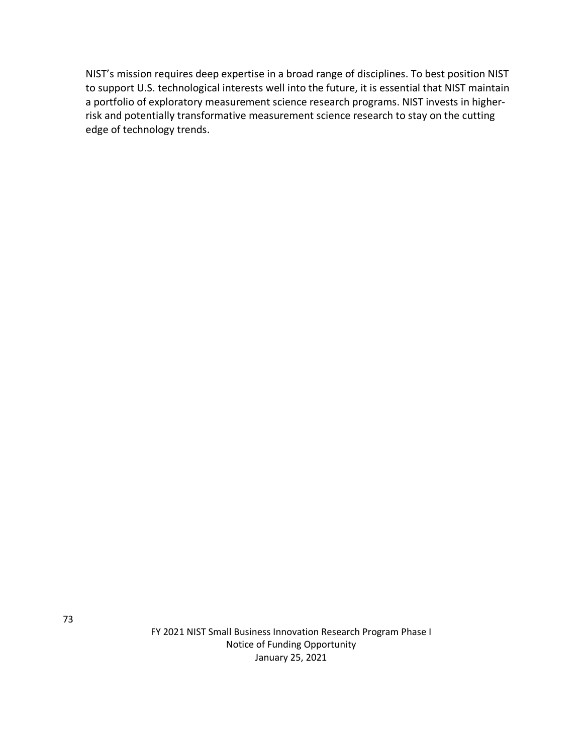NIST's mission requires deep expertise in a broad range of disciplines. To best position NIST to support U.S. technological interests well into the future, it is essential that NIST maintain a portfolio of exploratory measurement science research programs. NIST invests in higherrisk and potentially transformative measurement science research to stay on the cutting edge of technology trends.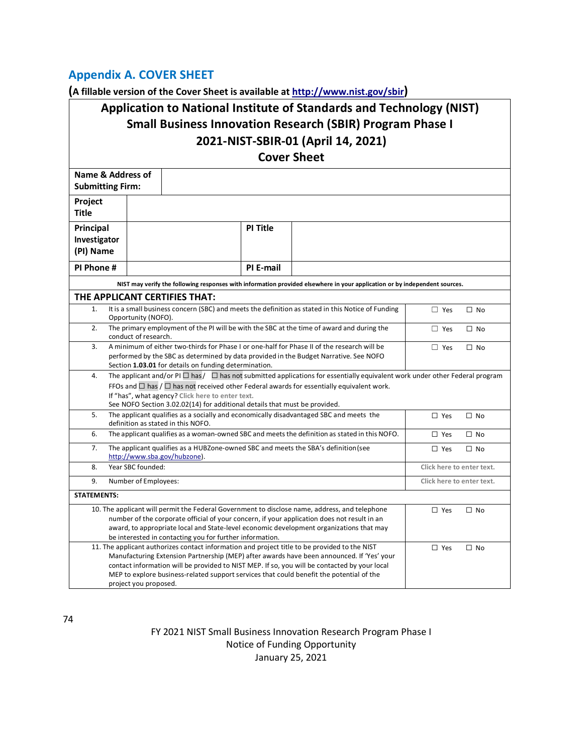## **Appendix A. COVER SHEET**

**(A fillable version of the Cover Sheet is available at [http://www.nist.gov/sbir\)](http://www.nist.gov/sbir)**

# **Application to National Institute of Standards and Technology (NIST) Small Business Innovation Research (SBIR) Program Phase I 2021-NIST-SBIR-01 (April 14, 2021)**

**Cover Sheet**

| Name & Address of<br><b>Submitting Firm:</b>                                                                                                                                           |                                                                                                                                                     |                                                                                                                                                                                                   |  |            |           |  |
|----------------------------------------------------------------------------------------------------------------------------------------------------------------------------------------|-----------------------------------------------------------------------------------------------------------------------------------------------------|---------------------------------------------------------------------------------------------------------------------------------------------------------------------------------------------------|--|------------|-----------|--|
| Project                                                                                                                                                                                |                                                                                                                                                     |                                                                                                                                                                                                   |  |            |           |  |
| <b>Title</b>                                                                                                                                                                           |                                                                                                                                                     |                                                                                                                                                                                                   |  |            |           |  |
| Principal                                                                                                                                                                              |                                                                                                                                                     | PI Title                                                                                                                                                                                          |  |            |           |  |
| Investigator                                                                                                                                                                           |                                                                                                                                                     |                                                                                                                                                                                                   |  |            |           |  |
| (PI) Name                                                                                                                                                                              |                                                                                                                                                     |                                                                                                                                                                                                   |  |            |           |  |
| PI Phone #                                                                                                                                                                             |                                                                                                                                                     | PI E-mail                                                                                                                                                                                         |  |            |           |  |
|                                                                                                                                                                                        | NIST may verify the following responses with information provided elsewhere in your application or by independent sources.                          |                                                                                                                                                                                                   |  |            |           |  |
|                                                                                                                                                                                        | THE APPLICANT CERTIFIES THAT:                                                                                                                       |                                                                                                                                                                                                   |  |            |           |  |
| 1.                                                                                                                                                                                     | It is a small business concern (SBC) and meets the definition as stated in this Notice of Funding<br>$\Box$ Yes<br>$\Box$ No<br>Opportunity (NOFO). |                                                                                                                                                                                                   |  |            |           |  |
| 2.                                                                                                                                                                                     | conduct of research.                                                                                                                                | The primary employment of the PI will be with the SBC at the time of award and during the<br>$\Box$ Yes<br>$\Box$ No                                                                              |  |            |           |  |
| 3.                                                                                                                                                                                     |                                                                                                                                                     | A minimum of either two-thirds for Phase I or one-half for Phase II of the research will be<br>$\Box$ Yes<br>$\Box$ No                                                                            |  |            |           |  |
|                                                                                                                                                                                        | performed by the SBC as determined by data provided in the Budget Narrative. See NOFO                                                               |                                                                                                                                                                                                   |  |            |           |  |
| 4.                                                                                                                                                                                     |                                                                                                                                                     | Section 1.03.01 for details on funding determination.<br>The applicant and/or PI $\Box$ has $/$ $\Box$ has not submitted applications for essentially equivalent work under other Federal program |  |            |           |  |
|                                                                                                                                                                                        |                                                                                                                                                     | FFOs and $\Box$ has / $\Box$ has not received other Federal awards for essentially equivalent work.                                                                                               |  |            |           |  |
|                                                                                                                                                                                        |                                                                                                                                                     | If "has", what agency? Click here to enter text.                                                                                                                                                  |  |            |           |  |
| 5.                                                                                                                                                                                     |                                                                                                                                                     | See NOFO Section 3.02.02(14) for additional details that must be provided.<br>The applicant qualifies as a socially and economically disadvantaged SBC and meets the<br>$\Box$ Yes<br>$\Box$ No   |  |            |           |  |
|                                                                                                                                                                                        | definition as stated in this NOFO.                                                                                                                  |                                                                                                                                                                                                   |  |            |           |  |
| 6.                                                                                                                                                                                     |                                                                                                                                                     | The applicant qualifies as a woman-owned SBC and meets the definition as stated in this NOFO.<br>$\Box$ Yes<br>$\Box$ No                                                                          |  |            |           |  |
| 7.                                                                                                                                                                                     |                                                                                                                                                     | The applicant qualifies as a HUBZone-owned SBC and meets the SBA's definition (see<br>$\Box$ Yes<br>$\Box$ No                                                                                     |  |            |           |  |
| 8.                                                                                                                                                                                     | Year SBC founded:                                                                                                                                   | http://www.sba.gov/hubzone).<br>Click here to enter text.                                                                                                                                         |  |            |           |  |
| 9.                                                                                                                                                                                     |                                                                                                                                                     |                                                                                                                                                                                                   |  |            |           |  |
| Number of Employees:<br>Click here to enter text.                                                                                                                                      |                                                                                                                                                     |                                                                                                                                                                                                   |  |            |           |  |
| <b>STATEMENTS:</b>                                                                                                                                                                     |                                                                                                                                                     |                                                                                                                                                                                                   |  |            |           |  |
|                                                                                                                                                                                        | 10. The applicant will permit the Federal Government to disclose name, address, and telephone                                                       |                                                                                                                                                                                                   |  | $\Box$ Yes | $\Box$ No |  |
| number of the corporate official of your concern, if your application does not result in an<br>award, to appropriate local and State-level economic development organizations that may |                                                                                                                                                     |                                                                                                                                                                                                   |  |            |           |  |
| be interested in contacting you for further information.                                                                                                                               |                                                                                                                                                     |                                                                                                                                                                                                   |  |            |           |  |
| 11. The applicant authorizes contact information and project title to be provided to the NIST                                                                                          |                                                                                                                                                     |                                                                                                                                                                                                   |  |            | $\Box$ No |  |
| Manufacturing Extension Partnership (MEP) after awards have been announced. If 'Yes' your                                                                                              |                                                                                                                                                     |                                                                                                                                                                                                   |  |            |           |  |
| contact information will be provided to NIST MEP. If so, you will be contacted by your local                                                                                           |                                                                                                                                                     |                                                                                                                                                                                                   |  |            |           |  |
| MEP to explore business-related support services that could benefit the potential of the<br>project you proposed.                                                                      |                                                                                                                                                     |                                                                                                                                                                                                   |  |            |           |  |
|                                                                                                                                                                                        |                                                                                                                                                     |                                                                                                                                                                                                   |  |            |           |  |

74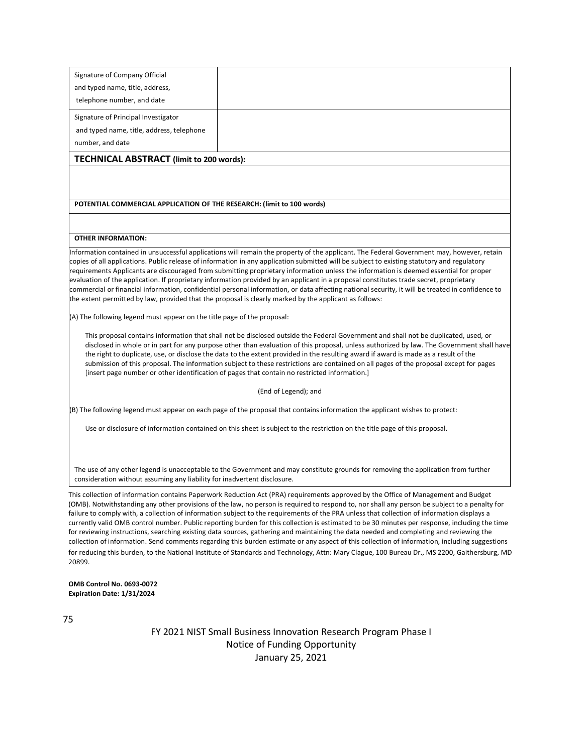| Signature of Company Official             |  |  |  |  |
|-------------------------------------------|--|--|--|--|
| and typed name, title, address,           |  |  |  |  |
| telephone number, and date                |  |  |  |  |
| Signature of Principal Investigator       |  |  |  |  |
| and typed name, title, address, telephone |  |  |  |  |
| number, and date                          |  |  |  |  |
| TECHNICAL ABSTRACT (limit to 200 words):  |  |  |  |  |

#### **POTENTIAL COMMERCIAL APPLICATION OF THE RESEARCH: (limit to 100 words)**

#### **OTHER INFORMATION:**

Information contained in unsuccessful applications will remain the property of the applicant. The Federal Government may, however, retain copies of all applications. Public release of information in any application submitted will be subject to existing statutory and regulatory requirements Applicants are discouraged from submitting proprietary information unless the information is deemed essential for proper evaluation of the application. If proprietary information provided by an applicant in a proposal constitutes trade secret, proprietary commercial or financial information, confidential personal information, or data affecting national security, it will be treated in confidence to the extent permitted by law, provided that the proposal is clearly marked by the applicant as follows:

(A) The following legend must appear on the title page of the proposal:

This proposal contains information that shall not be disclosed outside the Federal Government and shall not be duplicated, used, or disclosed in whole or in part for any purpose other than evaluation of this proposal, unless authorized by law. The Government shall have the right to duplicate, use, or disclose the data to the extent provided in the resulting award if award is made as a result of the submission of this proposal. The information subject to these restrictions are contained on all pages of the proposal except for pages [insert page number or other identification of pages that contain no restricted information.]

#### (End of Legend); and

(B) The following legend must appear on each page of the proposal that contains information the applicant wishes to protect:

Use or disclosure of information contained on this sheet is subject to the restriction on the title page of this proposal.

The use of any other legend is unacceptable to the Government and may constitute grounds for removing the application from further consideration without assuming any liability for inadvertent disclosure.

This collection of information contains Paperwork Reduction Act (PRA) requirements approved by the Office of Management and Budget (OMB). Notwithstanding any other provisions of the law, no person is required to respond to, nor shall any person be subject to a penalty for failure to comply with, a collection of information subject to the requirements of the PRA unless that collection of information displays a currently valid OMB control number. Public reporting burden for this collection is estimated to be 30 minutes per response, including the time for reviewing instructions, searching existing data sources, gathering and maintaining the data needed and completing and reviewing the collection of information. Send comments regarding this burden estimate or any aspect of this collection of information, including suggestions for reducing this burden, to the National Institute of Standards and Technology, Attn: Mary Clague, 100 Bureau Dr., MS 2200, Gaithersburg, MD 20899.

**OMB Control No. 0693-0072 Expiration Date: 1/31/2024**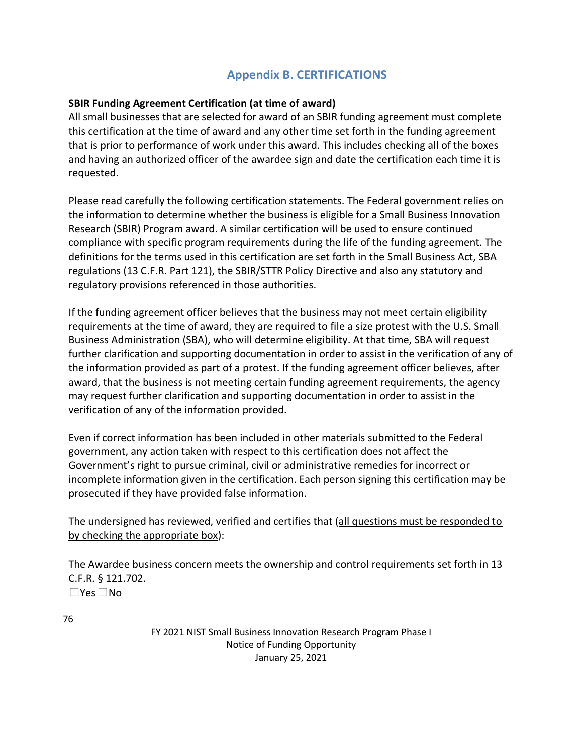# **Appendix B. CERTIFICATIONS**

### **SBIR Funding Agreement Certification (at time of award)**

All small businesses that are selected for award of an SBIR funding agreement must complete this certification at the time of award and any other time set forth in the funding agreement that is prior to performance of work under this award. This includes checking all of the boxes and having an authorized officer of the awardee sign and date the certification each time it is requested.

Please read carefully the following certification statements. The Federal government relies on the information to determine whether the business is eligible for a Small Business Innovation Research (SBIR) Program award. A similar certification will be used to ensure continued compliance with specific program requirements during the life of the funding agreement. The definitions for the terms used in this certification are set forth in the Small Business Act, SBA regulations (13 C.F.R. Part 121), the SBIR/STTR Policy Directive and also any statutory and regulatory provisions referenced in those authorities.

If the funding agreement officer believes that the business may not meet certain eligibility requirements at the time of award, they are required to file a size protest with the U.S. Small Business Administration (SBA), who will determine eligibility. At that time, SBA will request further clarification and supporting documentation in order to assist in the verification of any of the information provided as part of a protest. If the funding agreement officer believes, after award, that the business is not meeting certain funding agreement requirements, the agency may request further clarification and supporting documentation in order to assist in the verification of any of the information provided.

Even if correct information has been included in other materials submitted to the Federal government, any action taken with respect to this certification does not affect the Government's right to pursue criminal, civil or administrative remedies for incorrect or incomplete information given in the certification. Each person signing this certification may be prosecuted if they have provided false information.

The undersigned has reviewed, verified and certifies that (all questions must be responded to by checking the appropriate box):

The Awardee business concern meets the ownership and control requirements set forth in 13 C.F.R. § 121.702. ☐Yes☐No

76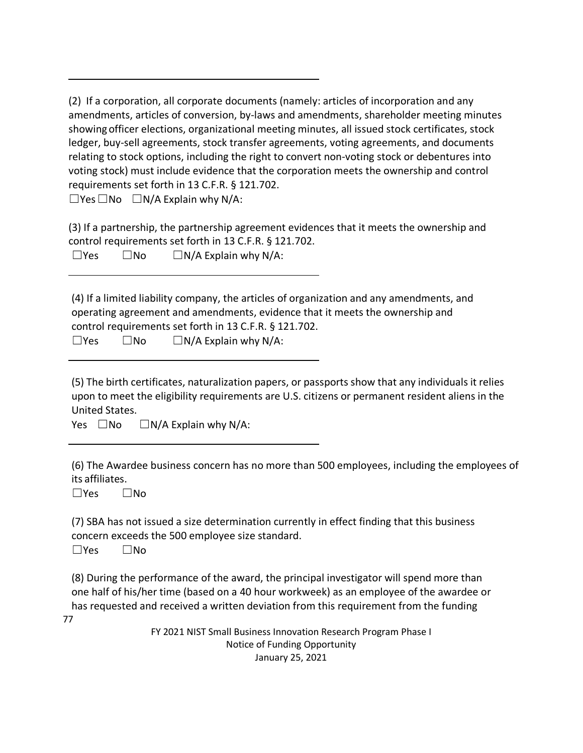(2) If a corporation, all corporate documents (namely: articles of incorporation and any amendments, articles of conversion, by-laws and amendments, shareholder meeting minutes showingofficer elections, organizational meeting minutes, all issued stock certificates, stock ledger, buy-sell agreements, stock transfer agreements, voting agreements, and documents relating to stock options, including the right to convert non-voting stock or debentures into voting stock) must include evidence that the corporation meets the ownership and control requirements set forth in 13 C.F.R. § 121.702.

 $\Box$ Yes  $\Box$ No  $\Box$ N/A Explain why N/A:

(3) If a partnership, the partnership agreement evidences that it meets the ownership and control requirements set forth in 13 C.F.R. § 121.702.

| ٩<br>×<br>۰. |  |
|--------------|--|
|--------------|--|

 $\square$ No  $\square$  N/A Explain why N/A:

(4) If a limited liability company, the articles of organization and any amendments, and operating agreement and amendments, evidence that it meets the ownership and control requirements set forth in 13 C.F.R. § 121.702.

| $\square$ Yes | $\square$ No | $\Box N/A$ Explain why N/A: |
|---------------|--------------|-----------------------------|
|---------------|--------------|-----------------------------|

(5) The birth certificates, naturalization papers, or passports show that any individuals it relies upon to meet the eligibility requirements are U.S. citizens or permanent resident aliens in the United States.

Yes  $\square$ No  $\square$  N/A Explain why N/A:

(6) The Awardee business concern has no more than 500 employees, including the employees of its affiliates.

☐Yes ☐No

(7) SBA has not issued a size determination currently in effect finding that this business concern exceeds the 500 employee size standard.

☐Yes ☐No

(8) During the performance of the award, the principal investigator will spend more than one half of his/her time (based on a 40 hour workweek) as an employee of the awardee or has requested and received a written deviation from this requirement from the funding

77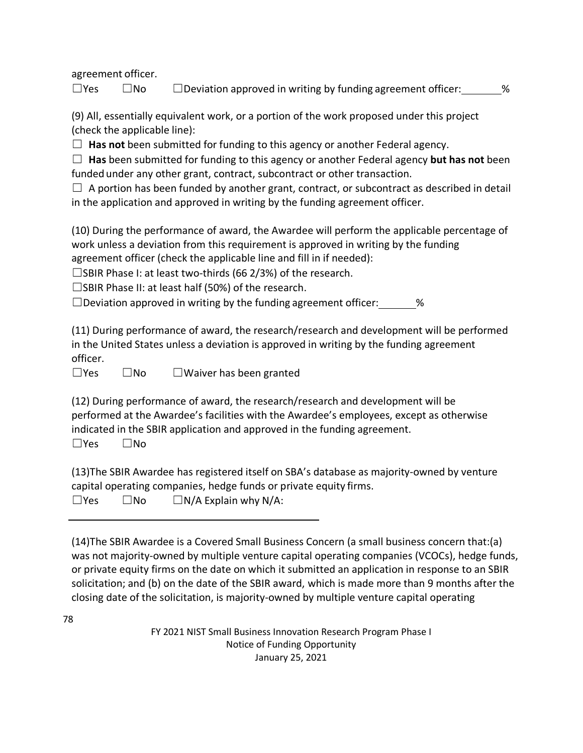agreement officer.

 $\square$ Yes  $\square$ No  $\square$  Deviation approved in writing by funding agreement officer:  $\%$ 

(9) All, essentially equivalent work, or a portion of the work proposed under this project (check the applicable line):

☐ **Has not** been submitted for funding to this agency or another Federal agency.

☐ **Has** been submitted for funding to this agency or another Federal agency **but has not** been funded under any other grant, contract, subcontract or other transaction.

 $\Box$  A portion has been funded by another grant, contract, or subcontract as described in detail in the application and approved in writing by the funding agreement officer.

(10) During the performance of award, the Awardee will perform the applicable percentage of work unless a deviation from this requirement is approved in writing by the funding agreement officer (check the applicable line and fill in if needed):

 $\square$ SBIR Phase I: at least two-thirds (66 2/3%) of the research.

☐SBIR Phase II: at least half (50%) of the research.

 $\square$  Deviation approved in writing by the funding agreement officer:  $\%$ 

(11) During performance of award, the research/research and development will be performed in the United States unless a deviation is approved in writing by the funding agreement officer.

☐Yes ☐No ☐Waiver has been granted

(12) During performance of award, the research/research and development will be performed at the Awardee's facilities with the Awardee's employees, except as otherwise indicated in the SBIR application and approved in the funding agreement.

☐Yes ☐No

78

(13)The SBIR Awardee has registered itself on SBA's database as majority-owned by venture capital operating companies, hedge funds or private equity firms.

 $\square$ Yes  $\square$ No  $\square$  N/A Explain why N/A:

(14)The SBIR Awardee is a Covered Small Business Concern (a small business concern that:(a) was not majority-owned by multiple venture capital operating companies (VCOCs), hedge funds, or private equity firms on the date on which it submitted an application in response to an SBIR solicitation; and (b) on the date of the SBIR award, which is made more than 9 months after the closing date of the solicitation, is majority-owned by multiple venture capital operating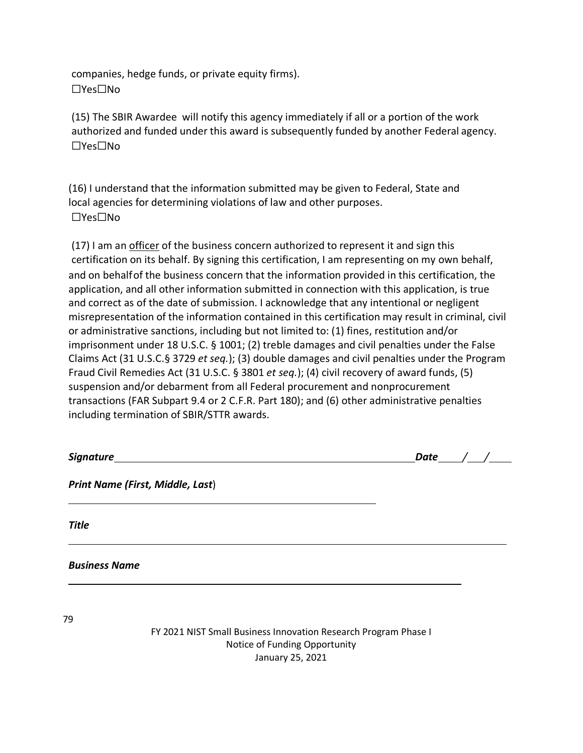companies, hedge funds, or private equity firms). ☐Yes☐No

(15) The SBIR Awardee will notify this agency immediately if all or a portion of the work authorized and funded under this award is subsequently funded by another Federal agency. ☐Yes☐No

(16) I understand that the information submitted may be given to Federal, State and local agencies for determining violations of law and other purposes. ☐Yes☐No

(17) I am an officer of the business concern authorized to represent it and sign this certification on its behalf. By signing this certification, I am representing on my own behalf, and on behalfof the business concern that the information provided in this certification, the application, and all other information submitted in connection with this application, is true and correct as of the date of submission. I acknowledge that any intentional or negligent misrepresentation of the information contained in this certification may result in criminal, civil or administrative sanctions, including but not limited to: (1) fines, restitution and/or imprisonment under 18 U.S.C. § 1001; (2) treble damages and civil penalties under the False Claims Act (31 U.S.C.§ 3729 *et seq.*); (3) double damages and civil penalties under the Program Fraud Civil Remedies Act (31 U.S.C. § 3801 *et seq.*); (4) civil recovery of award funds, (5) suspension and/or debarment from all Federal procurement and nonprocurement transactions (FAR Subpart 9.4 or 2 C.F.R. Part 180); and (6) other administrative penalties including termination of SBIR/STTR awards.

|                                                                 | Date / |
|-----------------------------------------------------------------|--------|
| <b>Print Name (First, Middle, Last)</b>                         |        |
| <b>Title</b>                                                    |        |
| <b>Business Name</b>                                            |        |
| 79                                                              |        |
| FY 2021 NIST Small Business Innovation Research Program Phase I |        |

Notice of Funding Opportunity January 25, 2021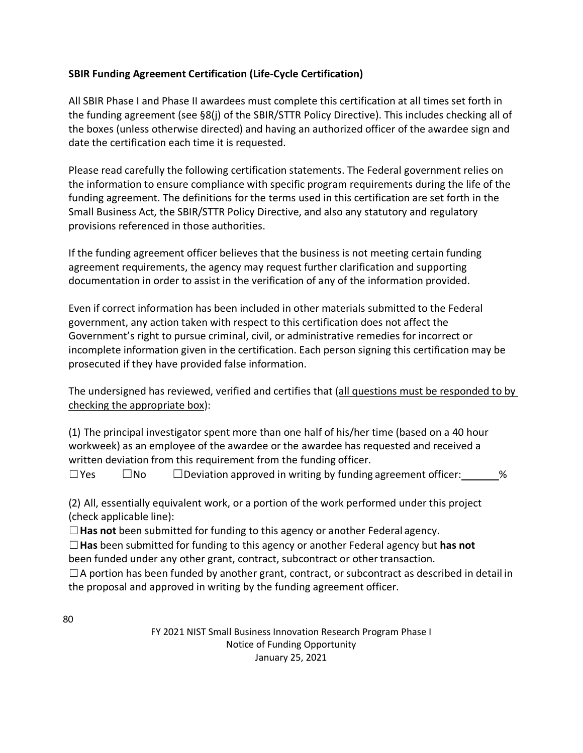### **SBIR Funding Agreement Certification (Life-Cycle Certification)**

All SBIR Phase I and Phase II awardees must complete this certification at all times set forth in the funding agreement (see §8(j) of the SBIR/STTR Policy Directive). This includes checking all of the boxes (unless otherwise directed) and having an authorized officer of the awardee sign and date the certification each time it is requested.

Please read carefully the following certification statements. The Federal government relies on the information to ensure compliance with specific program requirements during the life of the funding agreement. The definitions for the terms used in this certification are set forth in the Small Business Act, the SBIR/STTR Policy Directive, and also any statutory and regulatory provisions referenced in those authorities.

If the funding agreement officer believes that the business is not meeting certain funding agreement requirements, the agency may request further clarification and supporting documentation in order to assist in the verification of any of the information provided.

Even if correct information has been included in other materials submitted to the Federal government, any action taken with respect to this certification does not affect the Government's right to pursue criminal, civil, or administrative remedies for incorrect or incomplete information given in the certification. Each person signing this certification may be prosecuted if they have provided false information.

The undersigned has reviewed, verified and certifies that (all questions must be responded to by checking the appropriate box):

(1) The principal investigator spent more than one half of his/her time (based on a 40 hour workweek) as an employee of the awardee or the awardee has requested and received a written deviation from this requirement from the funding officer.

 $\Box$  Yes  $\Box$  No  $\Box$  Deviation approved in writing by funding agreement officer:  $\Box$ %

(2) All, essentially equivalent work, or a portion of the work performed under this project (check applicable line):

☐**Has not** been submitted for funding to this agency or another Federal agency.

☐**Has** been submitted for funding to this agency or another Federal agency but **has not** been funded under any other grant, contract, subcontract or other transaction.

 $\Box$  A portion has been funded by another grant, contract, or subcontract as described in detail in the proposal and approved in writing by the funding agreement officer.

80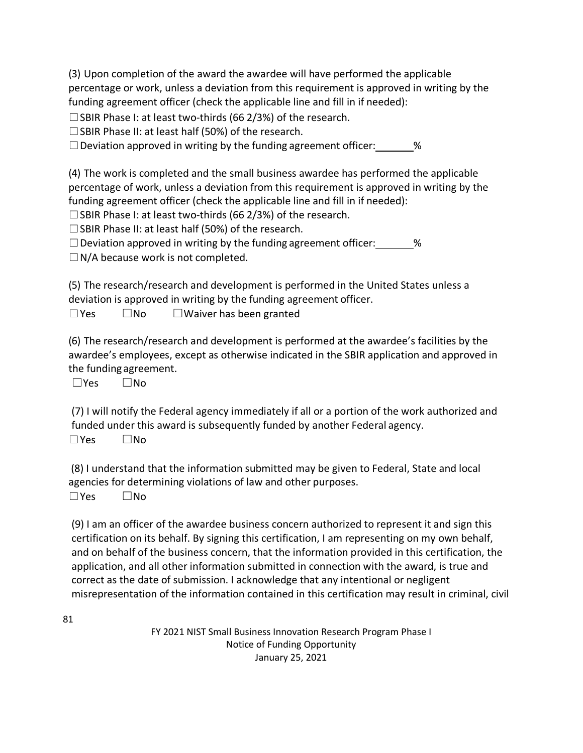(3) Upon completion of the award the awardee will have performed the applicable percentage or work, unless a deviation from this requirement is approved in writing by the funding agreement officer (check the applicable line and fill in if needed):

 $\square$  SBIR Phase I: at least two-thirds (66 2/3%) of the research.

☐SBIR Phase II: at least half (50%) of the research.

 $\Box$  Deviation approved in writing by the funding agreement officer:  $\Box$ %

(4) The work is completed and the small business awardee has performed the applicable percentage of work, unless a deviation from this requirement is approved in writing by the funding agreement officer (check the applicable line and fill in if needed):

□SBIR Phase I: at least two-thirds (66 2/3%) of the research.

☐SBIR Phase II: at least half (50%) of the research.

 $\Box$  Deviation approved in writing by the funding agreement officer:  $\%$ 

 $\Box$  N/A because work is not completed.

(5) The research/research and development is performed in the United States unless a deviation is approved in writing by the funding agreement officer.

☐Yes ☐No ☐Waiver has been granted

(6) The research/research and development is performed at the awardee's facilities by the awardee's employees, except as otherwise indicated in the SBIR application and approved in the funding agreement.

☐Yes ☐No

(7) I will notify the Federal agency immediately if all or a portion of the work authorized and funded under this award is subsequently funded by another Federal agency.

☐Yes ☐No

(8) I understand that the information submitted may be given to Federal, State and local agencies for determining violations of law and other purposes.

☐Yes ☐No

(9) I am an officer of the awardee business concern authorized to represent it and sign this certification on its behalf. By signing this certification, I am representing on my own behalf, and on behalf of the business concern, that the information provided in this certification, the application, and all other information submitted in connection with the award, is true and correct as the date of submission. I acknowledge that any intentional or negligent misrepresentation of the information contained in this certification may result in criminal, civil

81